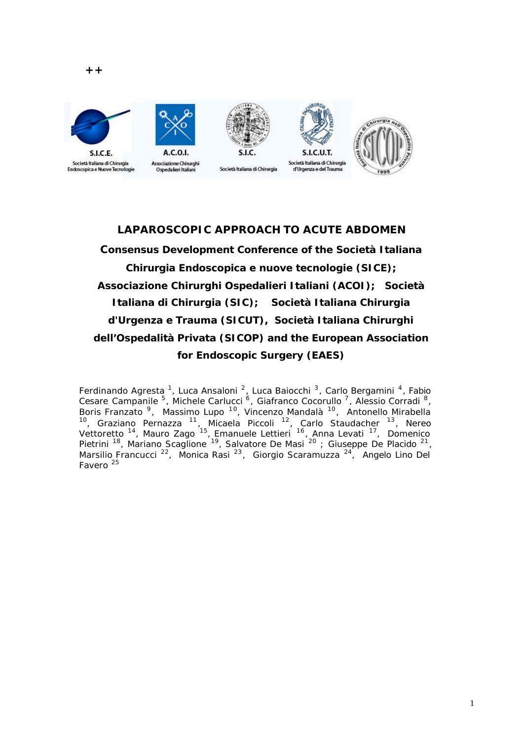

SLC.E.



Società Italiana di Chirurgia



## **LAPAROSCOPIC APPROACH TO ACUTE ABDOMEN**

**Consensus Development Conference of the Società Italiana Chirurgia Endoscopica e nuove tecnologie (SICE); Associazione Chirurghi Ospedalieri Italiani (ACOI); Società Italiana di Chirurgia (SIC); Società Italiana Chirurgia d'Urgenza e Trauma (SICUT), Società Italiana Chirurghi dell'Ospedalità Privata (SICOP) and the European Association for Endoscopic Surgery (EAES)**

Ferdinando Agresta <sup>1</sup>, Luca Ansaloni <sup>2</sup>, Luca Baiocchi <sup>3</sup>, Carlo Bergamini <sup>4</sup>, Fabio Cesare Campanile <sup>5</sup>, Michele Carlucci <sup>6</sup>, Giafranco Cocorullo <sup>7</sup>, Alessio Corradi <sup>8</sup>, Boris Franzato<sup>9</sup>, Massimo Lupo<sup>10</sup>, Vincenzo Mandalà<sup>10</sup>, Antonello Mirabella <sup>10</sup>, Graziano Pernazza <sup>11</sup>, Micaela Piccoli <sup>12</sup>, Carlo Staudacher <sup>13</sup>, Nereo Vettoretto <sup>14</sup>, Mauro Zago <sup>15</sup>, Emanuele Lettieri <sup>16</sup>, Anna Levati <sup>17</sup>, Domenico Pietrini <sup>18</sup>, Mariano Scaglione <sup>19</sup>, Salvatore De Masi <sup>20</sup> ; Giuseppe De Placido <sup>21</sup>, Marsilio Francucci<sup>22</sup>, Monica Rasi<sup>23</sup>, Giorgio Scaramuzza<sup>24</sup>, Angelo Lino Del Favero <sup>25</sup>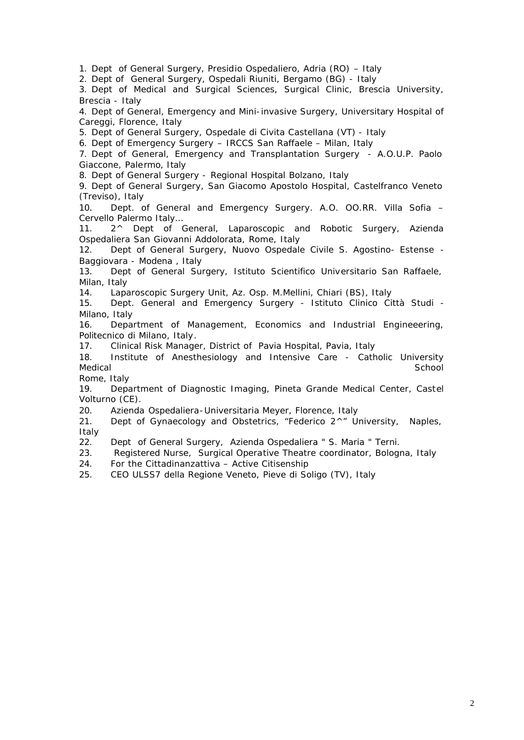1. Dept of General Surgery, Presidio Ospedaliero, Adria (RO) – Italy

2. Dept of General Surgery, Ospedali Riuniti, Bergamo (BG) - Italy

3. Dept of Medical and Surgical Sciences, Surgical Clinic, Brescia University, Brescia - Italy

4. Dept of General, Emergency and Mini-invasive Surgery, Universitary Hospital of Careggi, Florence, Italy

5. Dept of General Surgery, Ospedale di Civita Castellana (VT) - Italy

6. Dept of Emergency Surgery – IRCCS San Raffaele – Milan, Italy

7. Dept of General, Emergency and Transplantation Surgery - A.O.U.P. Paolo Giaccone, Palermo, Italy

8. Dept of General Surgery - Regional Hospital Bolzano, Italy

9. Dept of General Surgery, San Giacomo Apostolo Hospital, Castelfranco Veneto (Treviso), Italy

10. Dept. of General and Emergency Surgery. A.O. OO.RR. Villa Sofia – Cervello Palermo Italy…

11. 2^ Dept of General, Laparoscopic and Robotic Surgery, Azienda Ospedaliera San Giovanni Addolorata, Rome, Italy

12. Dept of General Surgery, Nuovo Ospedale Civile S. Agostino- Estense - Baggiovara - Modena , Italy

13. Dept of General Surgery, Istituto Scientifico Universitario San Raffaele, Milan, Italy

14. Laparoscopic Surgery Unit, Az. Osp. M.Mellini, Chiari (BS), Italy

15. Dept. General and Emergency Surgery - Istituto Clinico Città Studi - Milano, Italy

16. Department of Management, Economics and Industrial Engineeering, Politecnico di Milano, Italy.

17. Clinical Risk Manager, District of Pavia Hospital, Pavia, Italy

18. Institute of Anesthesiology and Intensive Care - Catholic University Medical School **School** School in the second second second second second second second second second second second

Rome, Italy

19. Department of Diagnostic Imaging, Pineta Grande Medical Center, Castel Volturno (CE).

20. Azienda Ospedaliera-Universitaria Meyer, Florence, Italy

21. Dept of Gynaecology and Obstetrics, "Federico 2<sup>^</sup>" University, Naples, Italy

22. Dept of General Surgery, Azienda Ospedaliera " S. Maria " Terni.

23. Registered Nurse, Surgical Operative Theatre coordinator, Bologna, Italy

24. For the Cittadinanzattiva – Active Citisenship

25. CEO ULSS7 della Regione Veneto, Pieve di Soligo (TV), Italy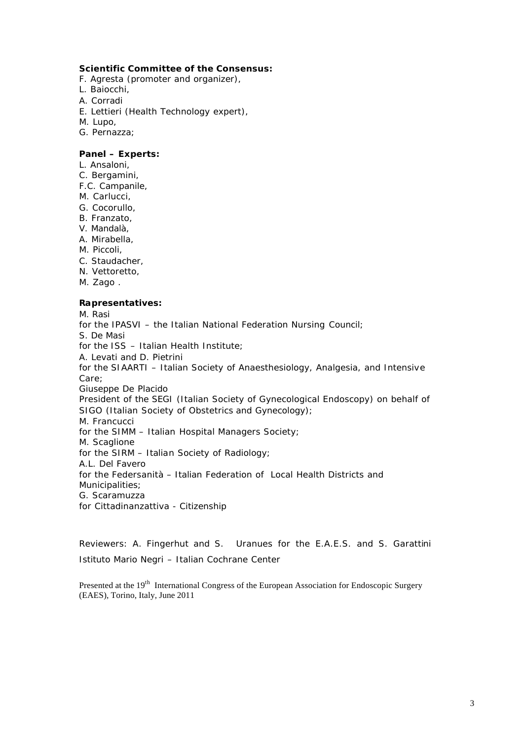#### **Scientific Committee of the Consensus:**

- F. Agresta (promoter and organizer),
- L. Baiocchi,
- A. Corradi
- E. Lettieri (Health Technology expert),
- M. Lupo,
- G. Pernazza;

#### **Panel – Experts:**

- L. Ansaloni,
- C. Bergamini,
- F.C. Campanile,
- M. Carlucci,
- G. Cocorullo,
- B. Franzato,
- V. Mandalà,
- A. Mirabella,
- M. Piccoli,
- C. Staudacher,
- N. Vettoretto,
- M. Zago .

#### **Rapresentatives:**

M. Rasi *for the IPASVI – the Italian National Federation Nursing Council;* S. De Masi *for the ISS – Italian Health Institute;*  A. Levati and D. Pietrini *for the SIAARTI – Italian Society of Anaesthesiology, Analgesia, and Intensive Care;* Giuseppe De Placido *President of the SEGI (Italian Society of Gynecological Endoscopy) on behalf of SIGO (Italian Society of Obstetrics and Gynecology);* M. Francucci *for the SIMM – Italian Hospital Managers Society;* M. Scaglione *for the SIRM – Italian Society of Radiology;*  A.L. Del Favero *for the Federsanità – Italian Federation of Local Health Districts and Municipalities;*  G. Scaramuzza *for Cittadinanzattiva - Citizenship* 

Reviewers: A. Fingerhut and S. Uranues for the E.A.E.S. and S. Garattini Istituto Mario Negri – Italian Cochrane Center

Presented at the 19<sup>th</sup> International Congress of the European Association for Endoscopic Surgery (EAES), Torino, Italy, June 2011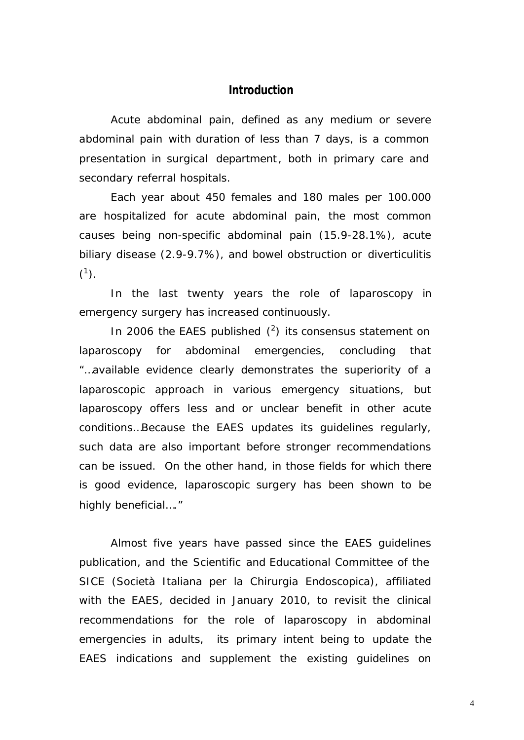### **Introduction**

Acute abdominal pain, defined as any medium or severe abdominal pain with duration of less than 7 days, is a common presentation in surgical department, both in primary care and secondary referral hospitals.

Each year about 450 females and 180 males per 100.000 are hospitalized for acute abdominal pain, the most common causes being non-specific abdominal pain (15.9-28.1%), acute biliary disease (2.9-9.7%), and bowel obstruction or diverticulitis  $(^{1})$ .

In the last twenty years the role of laparoscopy in emergency surgery has increased continuously.

In 2006 the EAES published  $(^2)$  its consensus statement on laparoscopy for abdominal emergencies, concluding that *"…available evidence clearly demonstrates the superiority of a laparoscopic approach in various emergency situations, but laparoscopy offers less and or unclear benefit in other acute conditions…Because the EAES updates its guidelines regularly, such data are also important before stronger recommendations can be issued. On the other hand, in those fields for which there is good evidence, laparoscopic surgery has been shown to be highly beneficial…."*

Almost five years have passed since the EAES guidelines publication, and the Scientific and Educational Committee of the SICE (Società Italiana per la Chirurgia Endoscopica), affiliated with the EAES, decided in January 2010, to revisit the clinical recommendations for the role of laparoscopy in abdominal emergencies in adults, its primary intent being to update the EAES indications and supplement the existing guidelines on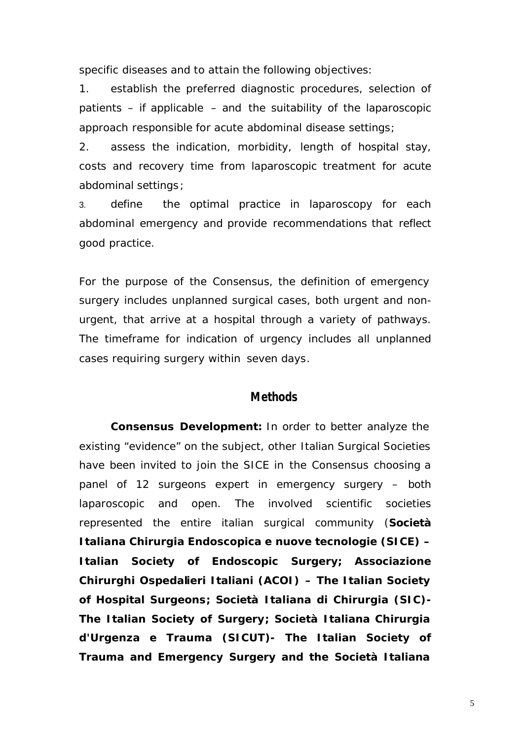specific diseases and to attain the following objectives:

1. establish the preferred diagnostic procedures, selection of patients – if applicable – and the suitability of the laparoscopic approach responsible for acute abdominal disease settings;

2. assess the indication, morbidity, length of hospital stay, costs and recovery time from laparoscopic treatment for acute abdominal settings;

3. define the optimal practice in laparoscopy for each abdominal emergency and provide recommendations that reflect good practice.

For the purpose of the Consensus, the definition of emergency surgery includes unplanned surgical cases, both urgent and nonurgent, that arrive at a hospital through a variety of pathways. The timeframe for indication of urgency includes all unplanned cases requiring surgery within seven days.

## **Methods**

**Consensus Development:** In order to better analyze the existing "evidence" on the subject, other Italian Surgical Societies have been invited to join the SICE in the Consensus choosing a panel of 12 surgeons expert in emergency surgery – both laparoscopic and open. The involved scientific societies represented the entire italian surgical community (**Società Italiana Chirurgia Endoscopica e nuove tecnologie (SICE) – Italian Society of Endoscopic Surgery; Associazione Chirurghi Ospedalieri Italiani (ACOI) – The Italian Society of Hospital Surgeons; Società Italiana di Chirurgia (SIC)- The Italian Society of Surgery; Società Italiana Chirurgia d'Urgenza e Trauma (SICUT)- The Italian Society of Trauma and Emergency Surgery and the Società Italiana**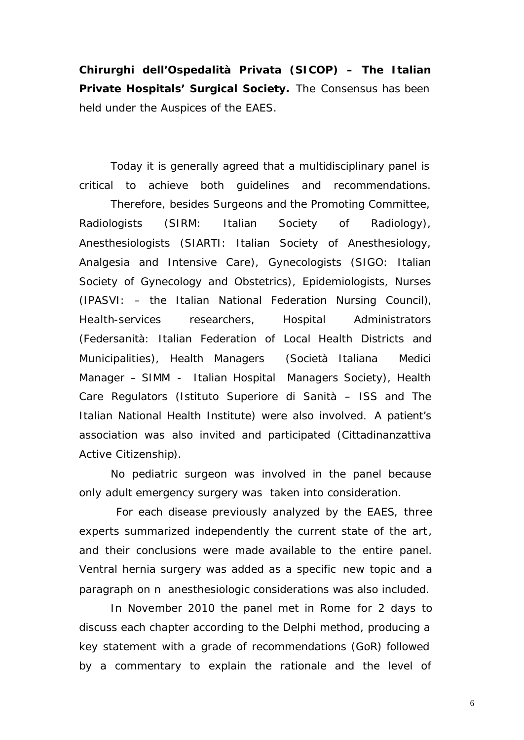**Chirurghi dell'Ospedalità Privata (SICOP) – The Italian Private Hospitals' Surgical Society.** The Consensus has been held under the Auspices of the EAES.

Today it is generally agreed that a multidisciplinary panel is critical to achieve both guidelines and recommendations.

Therefore, besides Surgeons and the Promoting Committee, Radiologists (SIRM: Italian Society of Radiology), Anesthesiologists (SIARTI: Italian Society of Anesthesiology, Analgesia and Intensive Care), Gynecologists (SIGO: Italian Society of Gynecology and Obstetrics), Epidemiologists, Nurses (IPASVI: – the Italian National Federation Nursing Council), Health-services researchers, Hospital Administrators (Federsanità: Italian Federation of Local Health Districts and Municipalities), Health Managers (Società Italiana Medici Manager – SIMM - Italian Hospital Managers Society), Health Care Regulators (Istituto Superiore di Sanità – ISS and The Italian National Health Institute) were also involved. A patient's association was also invited and participated (Cittadinanzattiva Active Citizenship).

No pediatric surgeon was involved in the panel because only adult emergency surgery was taken into consideration.

 For each disease previously analyzed by the EAES, three experts summarized independently the current state of the art, and their conclusions were made available to the entire panel. Ventral hernia surgery was added as a specific new topic and a paragraph on n anesthesiologic considerations was also included.

In November 2010 the panel met in Rome for 2 days to discuss each chapter according to the Delphi method, producing a key statement with a grade of recommendations (GoR) followed by a commentary to explain the rationale and the level of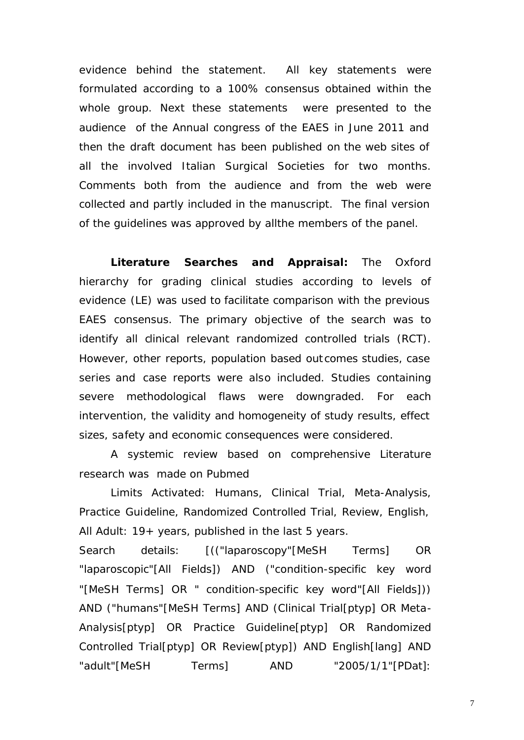evidence behind the statement. All key statements were formulated according to a 100% consensus obtained within the whole group. Next these statements were presented to the audience of the Annual congress of the EAES in June 2011 and then the draft document has been published on the web sites of all the involved Italian Surgical Societies for two months. Comments both from the audience and from the web were collected and partly included in the manuscript. The final version of the guidelines was approved by allthe members of the panel.

**Literature Searches and Appraisal:** The Oxford hierarchy for grading clinical studies according to levels of evidence (LE) was used to facilitate comparison with the previous EAES consensus. The primary objective of the search was to identify all clinical relevant randomized controlled trials (RCT). However, other reports, population based outcomes studies, case series and case reports were also included. Studies containing severe methodological flaws were downgraded. For each intervention, the validity and homogeneity of study results, effect sizes, safety and economic consequences were considered.

A systemic review based on comprehensive Literature research was made on Pubmed

*Limits Activated: Humans, Clinical Trial, Meta-Analysis, Practice Guideline, Randomized Controlled Trial, Review, English, All Adult: 19+ years, published in the last 5 years.* 

*Search details: [(("laparoscopy"[MeSH Terms] OR "laparoscopic"[All Fields]) AND ("condition-specific key word "[MeSH Terms] OR " condition-specific key word"[All Fields])) AND ("humans"[MeSH Terms] AND (Clinical Trial[ptyp] OR Meta-Analysis[ptyp] OR Practice Guideline[ptyp] OR Randomized Controlled Trial[ptyp] OR Review[ptyp]) AND English[lang] AND "adult"[MeSH Terms] AND "2005/1/1"[PDat]:* 

7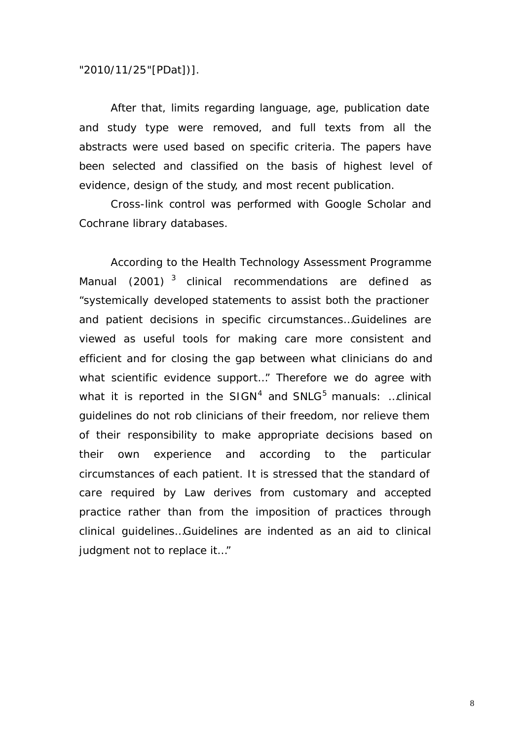### *"2010/11/25"[PDat])].*

After that, limits regarding language, age, publication date and study type were removed, and full texts from all the abstracts were used based on specific criteria. The papers have been selected and classified on the basis of highest level of evidence, design of the study, and most recent publication.

Cross-link control was performed with Google Scholar and Cochrane library databases.

According to the Health Technology Assessment Programme Manual (2001)  $^3$  clinical recommendations are defined as *"systemically developed statements to assist both the practioner and patient decisions in specific circumstances…Guidelines are viewed as useful tools for making care more consistent and efficient and for closing the gap between what clinicians do and what scientific evidence support…"* Therefore we do agree with what it is reported in the SIGN<sup>4</sup> and SNLG<sup>5</sup> manuals: *…clinical guidelines do not rob clinicians of their freedom, nor relieve them of their responsibility to make appropriate decisions based on their own experience and according to the particular circumstances of each patient. It is stressed that the standard of care required by Law derives from customary and accepted practice rather than from the imposition of practices through clinical guidelines…Guidelines are indented as an aid to clinical judgment not to replace it…"*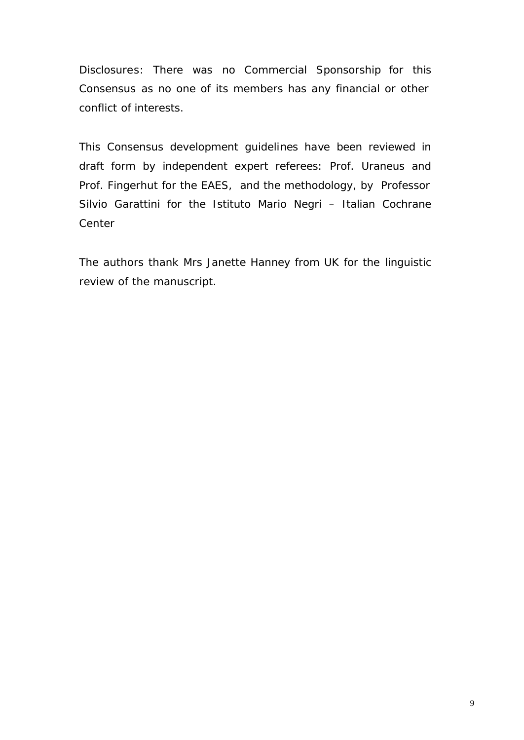Disclosures: There was no Commercial Sponsorship for this Consensus as no one of its members has any financial or other conflict of interests.

This Consensus development guidelines have been reviewed in draft form by independent expert referees: Prof. Uraneus and Prof. Fingerhut for the EAES, and the methodology, by Professor Silvio Garattini for the Istituto Mario Negri – Italian Cochrane Center

The authors thank Mrs Janette Hanney from UK for the linguistic review of the manuscript.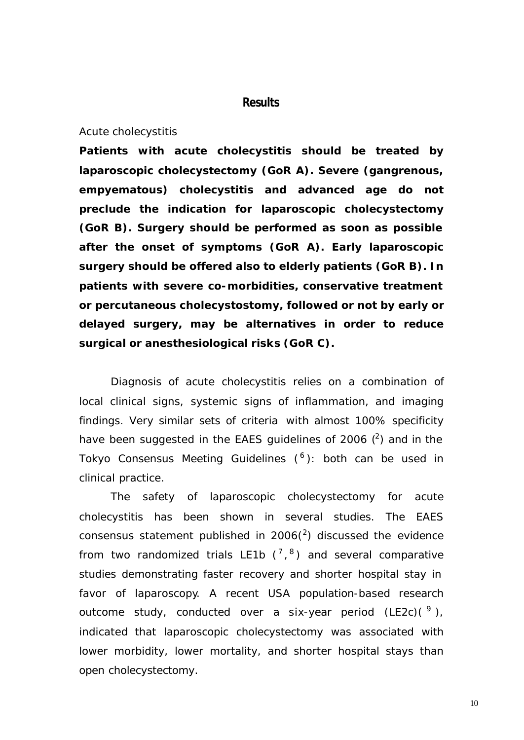## **Results**

#### *Acute cholecystitis*

**Patients with acute cholecystitis should be treated by laparoscopic cholecystectomy (GoR A). Severe (gangrenous, empyematous) cholecystitis and advanced age do not preclude the indication for laparoscopic cholecystectomy (GoR B). Surgery should be performed as soon as possible after the onset of symptoms (GoR A). Early laparoscopic surgery should be offered also to elderly patients (GoR B). In patients with severe co-morbidities, conservative treatment or percutaneous cholecystostomy, followed or not by early or delayed surgery, may be alternatives in order to reduce surgical or anesthesiological risks (GoR C).**

Diagnosis of acute cholecystitis relies on a combination of local clinical signs, systemic signs of inflammation, and imaging findings. Very similar sets of criteria with almost 100% specificity have been suggested in the EAES guidelines of 2006  $(^2)$  and in the Tokyo Consensus Meeting Guidelines (<sup>6</sup>): both can be used in clinical practice.

The safety of laparoscopic cholecystectomy for acute cholecystitis has been shown in several studies. The EAES consensus statement published in 2006( $^{2}$ ) discussed the evidence from two randomized trials LE1b  $(^{7},{}^{8})$  and several comparative studies demonstrating faster recovery and shorter hospital stay in favor of laparoscopy. A recent USA population-based research outcome study, conducted over a six-year period (LE2c)( $9$ ), indicated that laparoscopic cholecystectomy was associated with lower morbidity, lower mortality, and shorter hospital stays than open cholecystectomy.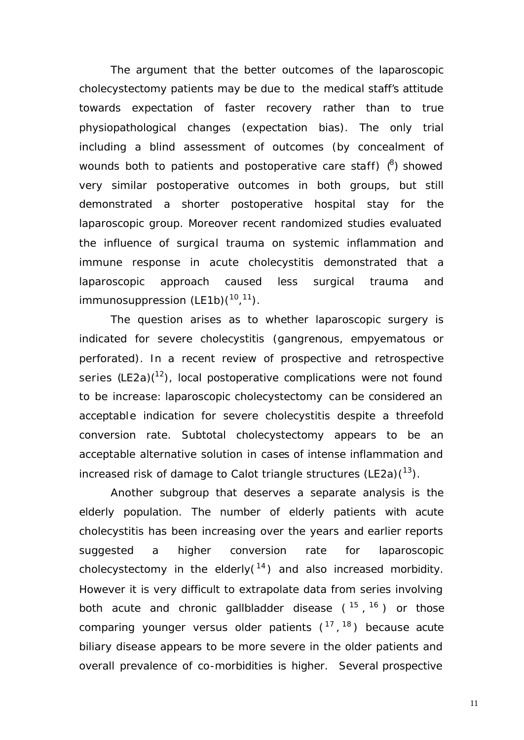The argument that the better outcomes of the laparoscopic cholecystectomy patients may be due to the medical staff's attitude towards expectation of faster recovery rather than to true physiopathological changes (expectation bias). The only trial including a blind assessment of outcomes (by concealment of wounds both to patients and postoperative care staff)  $(8)$  showed very similar postoperative outcomes in both groups, but still demonstrated a shorter postoperative hospital stay for the laparoscopic group. Moreover recent randomized studies evaluated the influence of surgical trauma on systemic inflammation and immune response in acute cholecystitis demonstrated that a laparoscopic approach caused less surgical trauma and immunosuppression  $(LE1b)(10,11)$ .

The question arises as to whether laparoscopic surgery is indicated for severe cholecystitis (gangrenous, empyematous or perforated). In a recent review of prospective and retrospective series  $(LE2a)^{(12)}$ , local postoperative complications were not found to be increase: laparoscopic cholecystectomy can be considered an acceptable indication for severe cholecystitis despite a threefold conversion rate. Subtotal cholecystectomy appears to be an acceptable alternative solution in cases of intense inflammation and increased risk of damage to Calot triangle structures (LE2a) $(^{13})$ .

Another subgroup that deserves a separate analysis is the elderly population. The number of elderly patients with acute cholecystitis has been increasing over the years and earlier reports suggested a higher conversion rate for laparoscopic cholecystectomy in the elderly( $14$ ) and also increased morbidity. However it is very difficult to extrapolate data from series involving both acute and chronic gallbladder disease (<sup>15</sup>,<sup>16</sup>) or those comparing younger versus older patients  $(^{17}, ^{18})$  because acute biliary disease appears to be more severe in the older patients and overall prevalence of co-morbidities is higher. Several prospective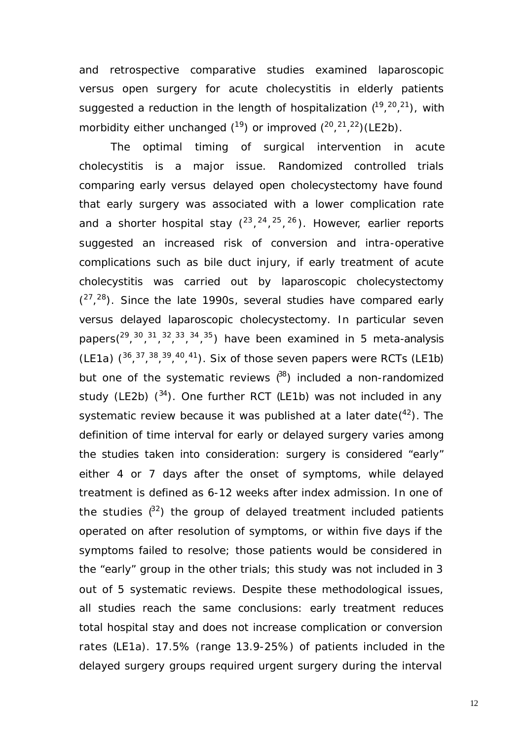and retrospective comparative studies examined laparoscopic versus open surgery for acute cholecystitis in elderly patients suggested a reduction in the length of hospitalization  $(^{19},^{20},^{21})$ , with morbidity either unchanged  $(^{19})$  or improved  $(^{20}$ ,  $^{21}$ ,  $^{22})$  (LE2b).

The optimal timing of surgical intervention in acute cholecystitis is a major issue. Randomized controlled trials comparing early versus delayed open cholecystectomy have found that early surgery was associated with a lower complication rate and a shorter hospital stay  $(^{23}, ^{24}, ^{25}, ^{26})$ . However, earlier reports suggested an increased risk of conversion and intra-operative complications such as bile duct injury, if early treatment of acute cholecystitis was carried out by laparoscopic cholecystectomy  $(27, 28)$ . Since the late 1990s, several studies have compared early versus delayed laparoscopic cholecystectomy. In particular seven papers( $29, 30, 31, 32, 33, 34, 35$ ) have been examined in 5 meta-analysis (LE1a)  $(36, 37, 38, 39, 40, 41)$ . Six of those seven papers were RCTs (LE1b) but one of the systematic reviews  $(88)$  included a non-randomized study (LE2b)  $(34)$ . One further RCT (LE1b) was not included in any systematic review because it was published at a later date $(^{42})$ . The definition of time interval for early or delayed surgery varies among the studies taken into consideration: surgery is considered "early" either 4 or 7 days after the onset of symptoms, while delayed treatment is defined as 6-12 weeks after index admission. In one of the studies  $^{82}$ ) the group of delayed treatment included patients operated on after resolution of symptoms, or within five days if the symptoms failed to resolve; those patients would be considered in the "early" group in the other trials; this study was not included in 3 out of 5 systematic reviews. Despite these methodological issues, all studies reach the same conclusions: early treatment reduces total hospital stay and does not increase complication or conversion rates (LE1a). 17.5% (range 13.9-25%) of patients included in the delayed surgery groups required urgent surgery during the interval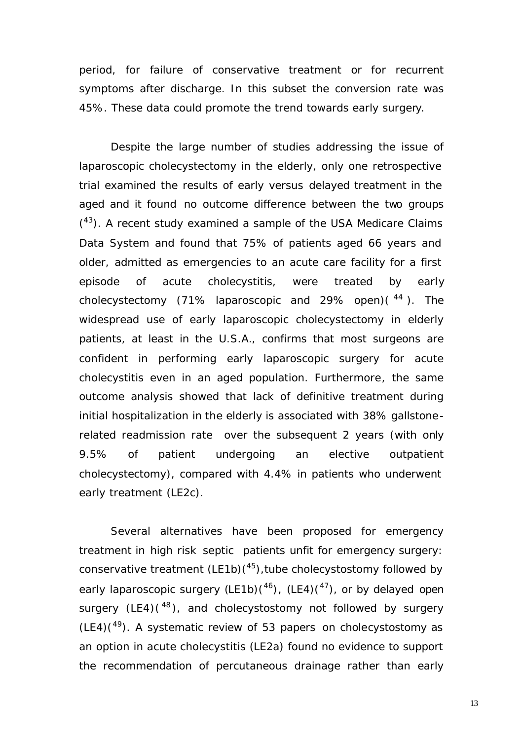period, for failure of conservative treatment or for recurrent symptoms after discharge. In this subset the conversion rate was 45%. These data could promote the trend towards early surgery.

Despite the large number of studies addressing the issue of laparoscopic cholecystectomy in the elderly, only one retrospective trial examined the results of early versus delayed treatment in the aged and it found no outcome difference between the two groups  $(43)$ . A recent study examined a sample of the USA Medicare Claims Data System and found that 75% of patients aged 66 years and older, admitted as emergencies to an acute care facility for a first episode of acute cholecystitis, were treated by early cholecystectomy (71% laparoscopic and 29% open) $(44)$ . The widespread use of early laparoscopic cholecystectomy in elderly patients, at least in the U.S.A., confirms that most surgeons are confident in performing early laparoscopic surgery for acute cholecystitis even in an aged population. Furthermore, the same outcome analysis showed that lack of definitive treatment during initial hospitalization in the elderly is associated with 38% gallstonerelated readmission rate over the subsequent 2 years (with only 9.5% of patient undergoing an elective outpatient cholecystectomy), compared with 4.4% in patients who underwent early treatment (LE2c).

Several alternatives have been proposed for emergency treatment in high risk septic patients unfit for emergency surgery: conservative treatment  $(LE1b)(45)$ , tube cholecystostomy followed by early laparoscopic surgery  $(LE1b)(46)$ ,  $(LE4)(47)$ , or by delayed open surgery  $(LE4)$ ( $^{48}$ ), and cholecystostomy not followed by surgery  $(LE4)(49)$ . A systematic review of 53 papers on cholecystostomy as an option in acute cholecystitis (LE2a) found no evidence to support the recommendation of percutaneous drainage rather than early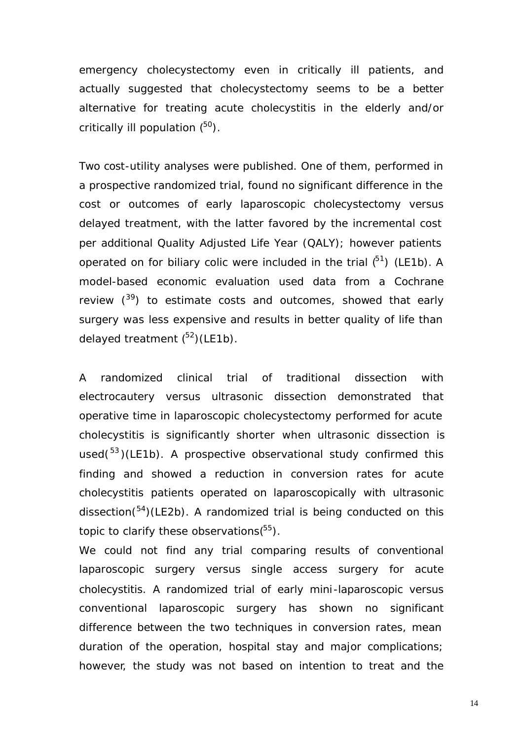emergency cholecystectomy even in critically ill patients, and actually suggested that cholecystectomy seems to be a better alternative for treating acute cholecystitis in the elderly and/or critically ill population  $(^{50})$ .

Two cost-utility analyses were published. One of them, performed in a prospective randomized trial, found no significant difference in the cost or outcomes of early laparoscopic cholecystectomy versus delayed treatment, with the latter favored by the incremental cost per additional Quality Adjusted Life Year (QALY); however patients operated on for biliary colic were included in the trial  $(^{51})$  (LE1b). A model-based economic evaluation used data from a Cochrane review  $(3^9)$  to estimate costs and outcomes, showed that early surgery was less expensive and results in better quality of life than delayed treatment  $(^{52})$ (LE1b).

A randomized clinical trial of traditional dissection with electrocautery versus ultrasonic dissection demonstrated that operative time in laparoscopic cholecystectomy performed for acute cholecystitis is significantly shorter when ultrasonic dissection is used( $53$ )(LE1b). A prospective observational study confirmed this finding and showed a reduction in conversion rates for acute cholecystitis patients operated on laparoscopically with ultrasonic dissection( $54$ )(LE2b). A randomized trial is being conducted on this topic to clarify these observations $(^{55})$ .

We could not find any trial comparing results of conventional laparoscopic surgery versus single access surgery for acute cholecystitis. A randomized trial of early mini -laparoscopic versus conventional laparoscopic surgery has shown no significant difference between the two techniques in conversion rates, mean duration of the operation, hospital stay and major complications; however, the study was not based on intention to treat and the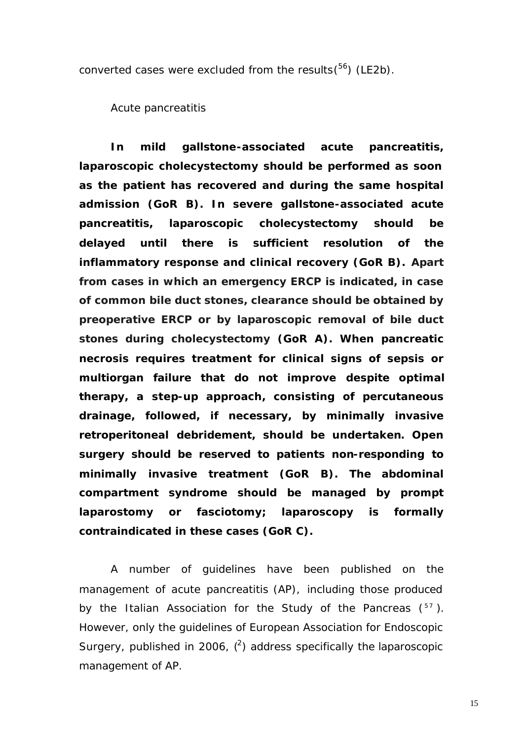converted cases were excluded from the results $(^{56})$  (LE2b).

*Acute pancreatitis* 

**In mild gallstone-associated acute pancreatitis, laparoscopic cholecystectomy should be performed as soon as the patient has recovered and during the same hospital admission (GoR B). In severe gallstone-associated acute pancreatitis, laparoscopic cholecystectomy should be delayed until there is sufficient resolution of the inflammatory response and clinical recovery (GoR B). Apart from cases in which an emergency ERCP is indicated, in case of common bile duct stones, clearance should be obtained by preoperative ERCP or by laparoscopic removal of bile duct stones during cholecystectomy (GoR A). When pancreatic necrosis requires treatment for clinical signs of sepsis or multiorgan failure that do not improve despite optimal therapy, a step-up approach, consisting of percutaneous drainage, followed, if necessary, by minimally invasive retroperitoneal debridement, should be undertaken. Open surgery should be reserved to patients non-responding to minimally invasive treatment (GoR B). The abdominal compartment syndrome should be managed by prompt laparostomy or fasciotomy; laparoscopy is formally contraindicated in these cases (GoR C).**

A number of guidelines have been published on the management of acute pancreatitis (AP), including those produced by the Italian Association for the Study of the Pancreas  $(^{57})$ . However, only the guidelines of European Association for Endoscopic Surgery, published in 2006,  $(2)$  address specifically the laparoscopic management of AP.

15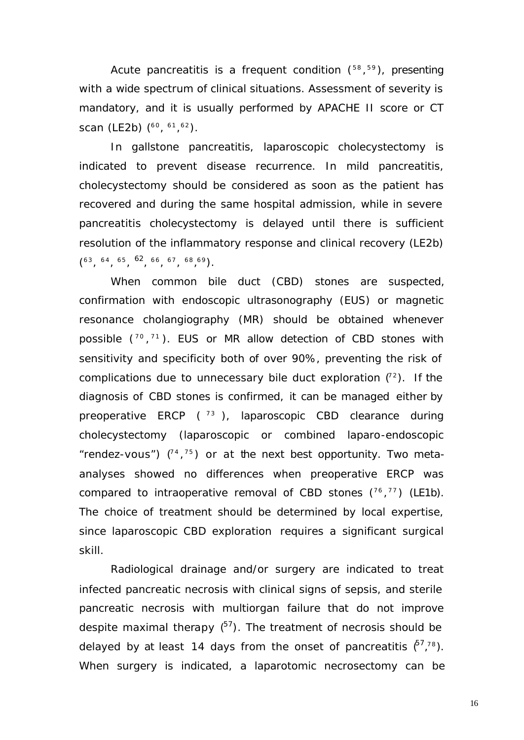Acute pancreatitis is a frequent condition  $(^{58},^{59})$ , presenting with a wide spectrum of clinical situations. Assessment of severity is mandatory, and it is usually performed by APACHE II score or CT scan (LE2b) (<sup>60</sup>, <sup>61</sup>, <sup>62</sup>).

In gallstone pancreatitis, laparoscopic cholecystectomy is indicated to prevent disease recurrence. In mild pancreatitis, cholecystectomy should be considered as soon as the patient has recovered and during the same hospital admission, while in severe pancreatitis cholecystectomy is delayed until there is sufficient resolution of the inflammatory response and clinical recovery (LE2b)  $(63, 64, 65, 62, 66, 67, 68, 69)$ .

When common bile duct (CBD) stones are suspected, confirmation with endoscopic ultrasonography (EUS) or magnetic resonance cholangiography (MR) should be obtained whenever possible  $(^{70}, ^{71})$ . EUS or MR allow detection of CBD stones with sensitivity and specificity both of over 90%, preventing the risk of complications due to unnecessary bile duct exploration  $(^{2})$ . If the diagnosis of CBD stones is confirmed, it can be managed either by preoperative ERCP  $(^{73}$ ), laparoscopic CBD clearance during cholecystectomy (laparoscopic or combined laparo-endoscopic "rendez-vous")  $(^{1}$ ,  $^{75}$ ) or at the next best opportunity. Two metaanalyses showed no differences when preoperative ERCP was compared to intraoperative removal of CBD stones  $(^{76}, ^{77})$  (LE1b). The choice of treatment should be determined by local expertise, since laparoscopic CBD exploration requires a significant surgical skill.

Radiological drainage and/or surgery are indicated to treat infected pancreatic necrosis with clinical signs of sepsis, and sterile pancreatic necrosis with multiorgan failure that do not improve despite maximal therapy  $(^{57})$ . The treatment of necrosis should be delayed by at least 14 days from the onset of pancreatitis  $\zeta^{7}$ ,  $\zeta^{8}$ ). When surgery is indicated, a laparotomic necrosectomy can be

16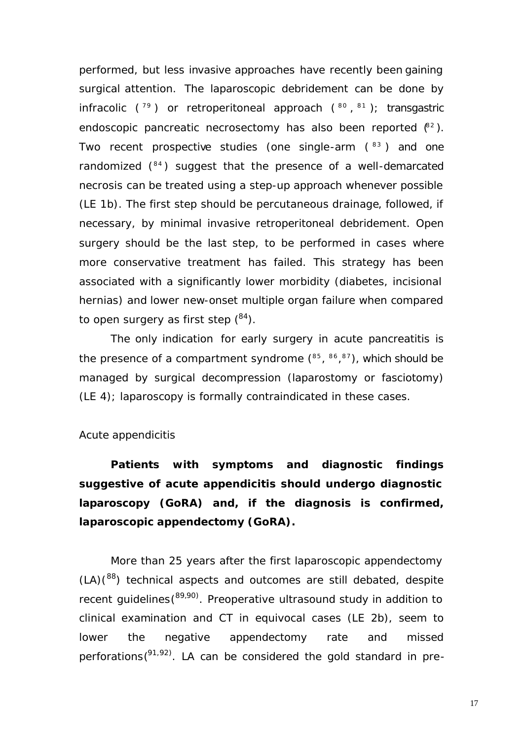performed, but less invasive approaches have recently been gaining surgical attention. The laparoscopic debridement can be done by infracolic ( $^{79}$ ) or retroperitoneal approach ( $^{80}$ ,  $^{81}$ ); transgastric endoscopic pancreatic necrosectomy has also been reported  $(^{82})$ . Two recent prospective studies (one single-arm  $(33)$  and one randomized (<sup>84</sup>) suggest that the presence of a well-demarcated necrosis can be treated using a step-up approach whenever possible (LE 1b). The first step should be percutaneous drainage, followed, if necessary, by minimal invasive retroperitoneal debridement. Open surgery should be the last step, to be performed in cases where more conservative treatment has failed. This strategy has been associated with a significantly lower morbidity (diabetes, incisional hernias) and lower new-onset multiple organ failure when compared to open surgery as first step  $(^{84})$ .

The only indication for early surgery in acute pancreatitis is the presence of a compartment syndrome  $(^{85}, ^{86}, ^{87})$ , which should be managed by surgical decompression (laparostomy or fasciotomy) (LE 4); laparoscopy is formally contraindicated in these cases.

### *Acute appendicitis*

**Patients with symptoms and diagnostic findings suggestive of acute appendicitis should undergo diagnostic laparoscopy (GoRA) and, if the diagnosis is confirmed, laparoscopic appendectomy (GoRA).**

More than 25 years after the first laparoscopic appendectomy  $(LA)(<sup>88</sup>)$  technical aspects and outcomes are still debated, despite recent guidelines(<sup>89,90)</sup>. Preoperative ultrasound study in addition to clinical examination and CT in equivocal cases (LE 2b), seem to lower the negative appendectomy rate and missed perforations  $(91, 92)$ . LA can be considered the gold standard in pre-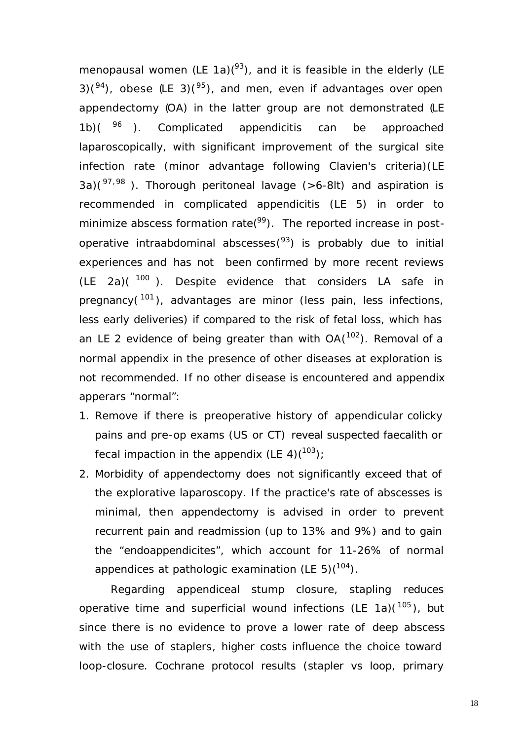menopausal women (LE 1a) $(^{93})$ , and it is feasible in the elderly (LE 3)( $94$ ), obese (LE 3)( $95$ ), and men, even if advantages over open appendectomy (OA) in the latter group are not demonstrated (LE 1b) $($   $96$  ). Complicated appendicitis can be approached laparoscopically, with significant improvement of the surgical site infection rate (minor advantage following Clavien's criteria)(LE 3a)( $97,98$ ). Thorough peritoneal lavage (>6-8lt) and aspiration is recommended in complicated appendicitis (LE 5) in order to minimize abscess formation rate( $99$ ). The reported increase in postoperative intraabdominal abscesses(<sup>93</sup>) is probably due to initial experiences and has not been confirmed by more recent reviews  $(LE 2a)(100)$ . Despite evidence that considers LA safe in pregnancy(<sup>101</sup>), advantages are minor (less pain, less infections, less early deliveries) if compared to the risk of fetal loss, which has an LE 2 evidence of being greater than with  $OA(^{102})$ . Removal of a normal appendix in the presence of other diseases at exploration is not recommended. If no other disease is encountered and appendix apperars "normal":

- 1. Remove if there is preoperative history of appendicular colicky pains and pre-op exams (US or CT) reveal suspected faecalith or fecal impaction in the appendix (LE 4)( $103$ );
- 2. Morbidity of appendectomy does not significantly exceed that of the explorative laparoscopy. If the practice's rate of abscesses is minimal, then appendectomy is advised in order to prevent recurrent pain and readmission (up to 13% and 9%) and to gain the "endoappendicites", which account for 11-26% of normal appendices at pathologic examination (LE 5) $(104)$ .

Regarding appendiceal stump closure, stapling reduces operative time and superficial wound infections (LE 1a)( $^{105}$ ), but since there is no evidence to prove a lower rate of deep abscess with the use of staplers, higher costs influence the choice toward loop-closure. Cochrane protocol results (stapler vs loop, primary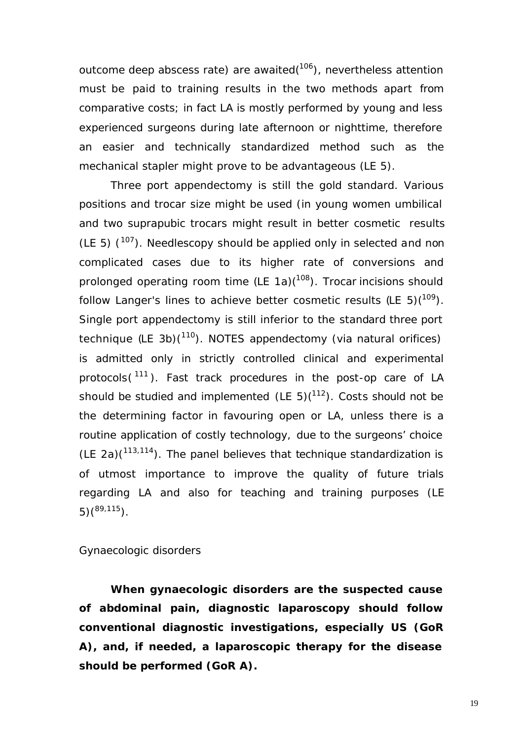outcome deep abscess rate) are awaited(<sup>106</sup>), nevertheless attention must be paid to training results in the two methods apart from comparative costs; in fact LA is mostly performed by young and less experienced surgeons during late afternoon or nighttime, therefore an easier and technically standardized method such as the mechanical stapler might prove to be advantageous (LE 5).

Three port appendectomy is still the gold standard. Various positions and trocar size might be used (in young women umbilical and two suprapubic trocars might result in better cosmetic results (LE 5)  $(107)$ . Needlescopy should be applied only in selected and non complicated cases due to its higher rate of conversions and prolonged operating room time  $(LE 1a)(108)$ . Trocar incisions should follow Langer's lines to achieve better cosmetic results (LE 5)( $109$ ). Single port appendectomy is still inferior to the standard three port technique (LE 3b)(<sup>110</sup>). NOTES appendectomy (via natural orifices) is admitted only in strictly controlled clinical and experimental protocols(<sup>111</sup>). Fast track procedures in the post-op care of LA should be studied and implemented (LE 5) $(112)$ . Costs should not be the determining factor in favouring open or LA, unless there is a routine application of costly technology, due to the surgeons' choice (LE 2a) $(113,114)$ . The panel believes that technique standardization is of utmost importance to improve the quality of future trials regarding LA and also for teaching and training purposes (LE  $5)$ (<sup>89,115</sup>).

### *Gynaecologic disorders*

**When gynaecologic disorders are the suspected cause of abdominal pain, diagnostic laparoscopy should follow conventional diagnostic investigations, especially US (GoR A), and, if needed, a laparoscopic therapy for the disease should be performed (GoR A).**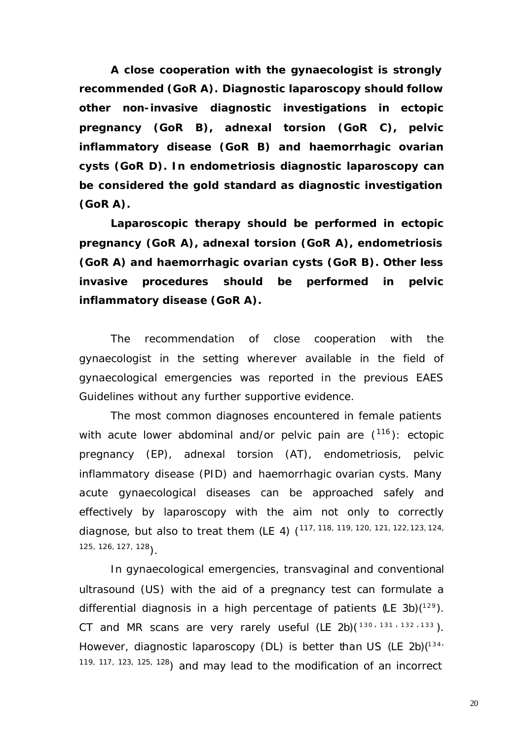**A close cooperation with the gynaecologist is strongly recommended (GoR A). Diagnostic laparoscopy should follow other non-invasive diagnostic investigations in ectopic pregnancy (GoR B), adnexal torsion (GoR C), pelvic inflammatory disease (GoR B) and haemorrhagic ovarian cysts (GoR D). In endometriosis diagnostic laparoscopy can be considered the gold standard as diagnostic investigation (GoR A).**

**Laparoscopic therapy should be performed in ectopic pregnancy (GoR A), adnexal torsion (GoR A), endometriosis (GoR A) and haemorrhagic ovarian cysts (GoR B). Other less invasive procedures should be performed in pelvic inflammatory disease (GoR A).**

The recommendation of close cooperation with the gynaecologist in the setting wherever available in the field of gynaecological emergencies was reported in the previous EAES Guidelines without any further supportive evidence.

The most common diagnoses encountered in female patients with acute lower abdominal and/or pelvic pain are  $(^{116})$ : ectopic pregnancy (EP), adnexal torsion (AT), endometriosis, pelvic inflammatory disease (PID) and haemorrhagic ovarian cysts. Many acute gynaecological diseases can be approached safely and effectively by laparoscopy with the aim not only to correctly diagnose, but also to treat them (LE 4) (<sup>117, 118, 119, 120, 121, 122, 123, 124,</sup> 125, 126, 127, 128).

In gynaecological emergencies, transvaginal and conventional ultrasound (US) with the aid of a pregnancy test can formulate a differential diagnosis in a high percentage of patients  $($ LE 3b $)$  $(^{129})$ . CT and MR scans are very rarely useful (LE  $2b$ )( $130, 131, 132, 133$ ). However, diagnostic laparoscopy (DL) is better than US (LE 2b) $(^{34}$ 119, 117, 123, 125, 128) and may lead to the modification of an incorrect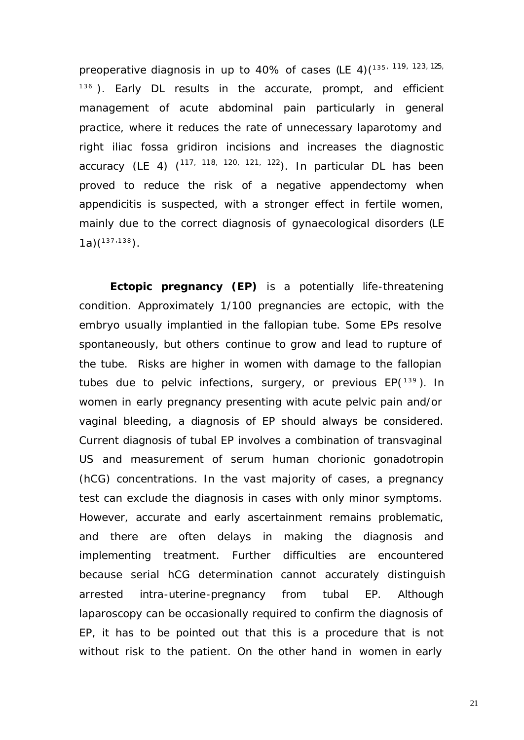preoperative diagnosis in up to 40% of cases (LE 4)(135, 119, 123, 125,  $136$ ). Early DL results in the accurate, prompt, and efficient management of acute abdominal pain particularly in general practice, where it reduces the rate of unnecessary laparotomy and right iliac fossa gridiron incisions and increases the diagnostic accuracy (LE 4) (<sup>117, 118, 120, 121, 122</sup>). In particular DL has been proved to reduce the risk of a negative appendectomy when appendicitis is suspected, with a stronger effect in fertile women, mainly due to the correct diagnosis of gynaecological disorders (LE  $1a)$ <sup> $(137,138)$ </sup>.

*Ectopic pregnancy (EP)* is a potentially life-threatening condition. Approximately 1/100 pregnancies are ectopic, with the embryo usually implantied in the fallopian tube. Some EPs resolve spontaneously, but others continue to grow and lead to rupture of the tube. Risks are higher in women with damage to the fallopian tubes due to pelvic infections, surgery, or previous  $EP(^{139})$ . In women in early pregnancy presenting with acute pelvic pain and/or vaginal bleeding, a diagnosis of EP should always be considered. Current diagnosis of tubal EP involves a combination of transvaginal US and measurement of serum human chorionic gonadotropin (hCG) concentrations. In the vast majority of cases, a pregnancy test can exclude the diagnosis in cases with only minor symptoms. However, accurate and early ascertainment remains problematic, and there are often delays in making the diagnosis and implementing treatment. Further difficulties are encountered because serial hCG determination cannot accurately distinguish arrested intra-uterine-pregnancy from tubal EP. Although laparoscopy can be occasionally required to confirm the diagnosis of EP, it has to be pointed out that this is a procedure that is not without risk to the patient. On the other hand in women in early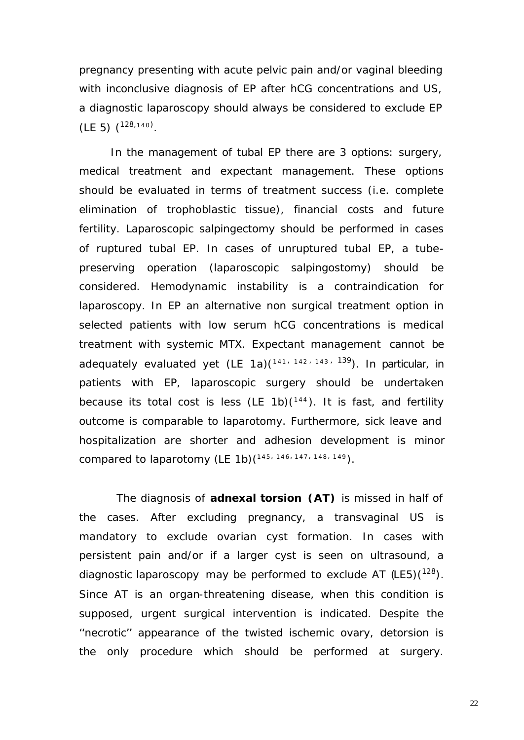pregnancy presenting with acute pelvic pain and/or vaginal bleeding with inconclusive diagnosis of EP after hCG concentrations and US, a diagnostic laparoscopy should always be considered to exclude EP  $(LE 5)$   $(128, 140)$ .

In the management of tubal EP there are 3 options: surgery, medical treatment and expectant management. These options should be evaluated in terms of treatment success (i.e. complete elimination of trophoblastic tissue), financial costs and future fertility. Laparoscopic salpingectomy should be performed in cases of ruptured tubal EP. In cases of unruptured tubal EP, a tubepreserving operation (laparoscopic salpingostomy) should be considered. Hemodynamic instability is a contraindication for laparoscopy. In EP an alternative non surgical treatment option in selected patients with low serum hCG concentrations is medical treatment with systemic MTX. Expectant management cannot be adequately evaluated yet (LE 1a)(<sup>141, 142, 143, 139</sup>). In particular, in patients with EP, laparoscopic surgery should be undertaken because its total cost is less (LE 1b) $(^{144})$ . It is fast, and fertility outcome is comparable to laparotomy. Furthermore, sick leave and hospitalization are shorter and adhesion development is minor compared to laparotomy (LE 1b) $(^{145, 146, 147, 148, 149})$ .

The diagnosis of *adnexal torsion (AT)* is missed in half of the cases. After excluding pregnancy, a transvaginal US is mandatory to exclude ovarian cyst formation. In cases with persistent pain and/or if a larger cyst is seen on ultrasound, a diagnostic laparoscopy may be performed to exclude AT  $(LE5)(128)$ . Since AT is an organ-threatening disease, when this condition is supposed, urgent surgical intervention is indicated. Despite the ''necrotic'' appearance of the twisted ischemic ovary, detorsion is the only procedure which should be performed at surgery.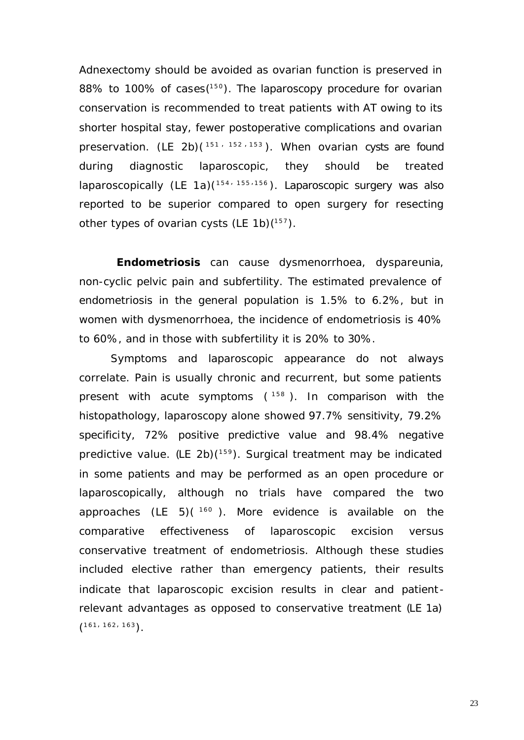Adnexectomy should be avoided as ovarian function is preserved in 88% to 100% of cases  $(^{150})$ . The laparoscopy procedure for ovarian conservation is recommended to treat patients with AT owing to its shorter hospital stay, fewer postoperative complications and ovarian preservation. (LE 2b)( $151 + 152 + 153$ ). When ovarian cysts are found during diagnostic laparoscopic, they should be treated laparoscopically (LE 1a)(<sup>154, 155,156</sup>). Laparoscopic surgery was also reported to be superior compared to open surgery for resecting other types of ovarian cysts (LE 1b) $(^{157})$ .

*Endometriosis* can cause dysmenorrhoea, dyspareunia, non-cyclic pelvic pain and subfertility. The estimated prevalence of endometriosis in the general population is 1.5% to 6.2%, but in women with dysmenorrhoea, the incidence of endometriosis is 40% to 60%, and in those with subfertility it is 20% to 30%.

Symptoms and laparoscopic appearance do not always correlate. Pain is usually chronic and recurrent, but some patients present with acute symptoms (<sup>158</sup>). In comparison with the histopathology, laparoscopy alone showed 97.7% sensitivity, 79.2% specificity, 72% positive predictive value and 98.4% negative predictive value. (LE 2b)(<sup>159</sup>). Surgical treatment may be indicated in some patients and may be performed as an open procedure or laparoscopically, although no trials have compared the two approaches (LE 5) $(160)$ . More evidence is available on the comparative effectiveness of laparoscopic excision versus conservative treatment of endometriosis. Although these studies included elective rather than emergency patients, their results indicate that laparoscopic excision results in clear and patient relevant advantages as opposed to conservative treatment (LE 1a)  $(161, 162, 163)$ .

23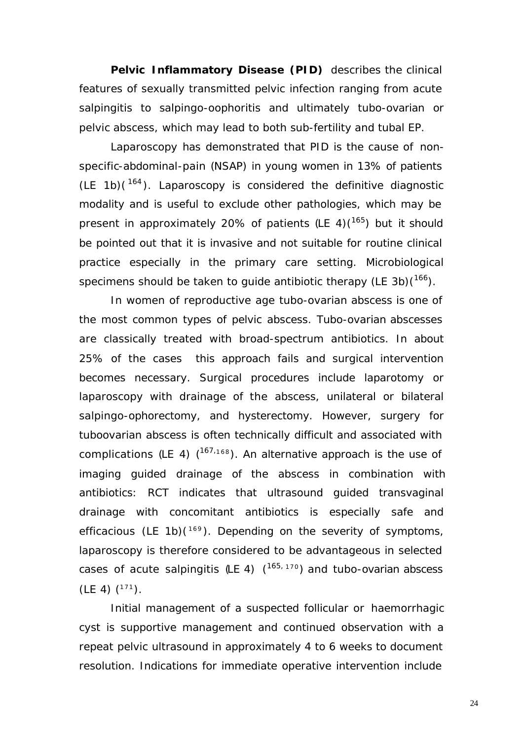**Pelvic Inflammatory Disease (PID)** describes the clinical features of sexually transmitted pelvic infection ranging from acute salpingitis to salpingo-oophoritis and ultimately tubo-ovarian or pelvic abscess, which may lead to both sub-fertility and tubal EP.

Laparoscopy has demonstrated that PID is the cause of nonspecific-abdominal-pain (NSAP) in young women in 13% of patients  $(LE 1b)(164)$ . Laparoscopy is considered the definitive diagnostic modality and is useful to exclude other pathologies, which may be present in approximately 20% of patients  $(LE 4)(165)$  but it should be pointed out that it is invasive and not suitable for routine clinical practice especially in the primary care setting. Microbiological specimens should be taken to guide antibiotic therapy (LE 3b) $(1^{66})$ .

In women of reproductive age tubo-ovarian abscess is one of the most common types of pelvic abscess. Tubo-ovarian abscesses are classically treated with broad-spectrum antibiotics. In about 25% of the cases this approach fails and surgical intervention becomes necessary. Surgical procedures include laparotomy or laparoscopy with drainage of the abscess, unilateral or bilateral salpingo-ophorectomy, and hysterectomy. However, surgery for tuboovarian abscess is often technically difficult and associated with complications (LE 4)  $(167,168)$ . An alternative approach is the use of imaging guided drainage of the abscess in combination with antibiotics: RCT indicates that ultrasound guided transvaginal drainage with concomitant antibiotics is especially safe and efficacious (LE 1b) $(^{169})$ . Depending on the severity of symptoms, laparoscopy is therefore considered to be advantageous in selected cases of acute salpingitis (LE 4) ( <sup>165</sup>*,* <sup>170</sup>) and tubo-ovarian abscess  $(LE 4)$   $(171)$ .

Initial management of a suspected follicular or haemorrhagic cyst is supportive management and continued observation with a repeat pelvic ultrasound in approximately 4 to 6 weeks to document resolution. Indications for immediate operative intervention include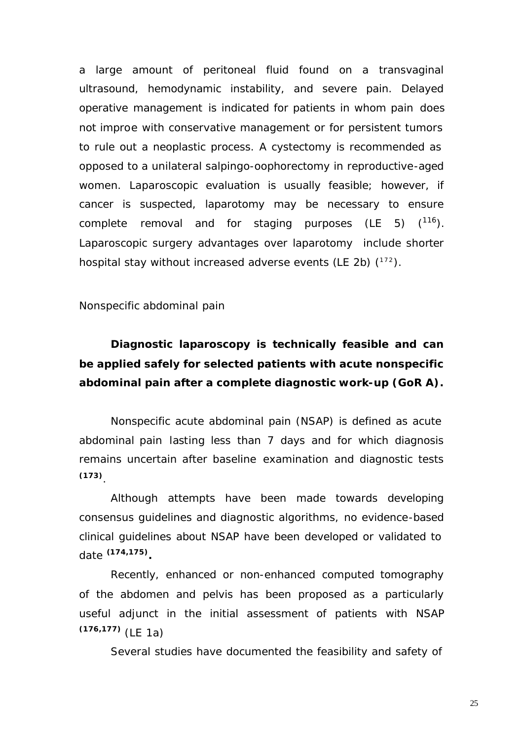a large amount of peritoneal fluid found on a transvaginal ultrasound, hemodynamic instability, and severe pain. Delayed operative management is indicated for patients in whom pain does not improe with conservative management or for persistent tumors to rule out a neoplastic process. A cystectomy is recommended as opposed to a unilateral salpingo-oophorectomy in reproductive-aged women. Laparoscopic evaluation is usually feasible; however, if cancer is suspected, laparotomy may be necessary to ensure complete removal and for staging purposes (LE 5)  $(116)$ . Laparoscopic surgery advantages over laparotomy include shorter hospital stay without increased adverse events (LE 2b)  $(172)$ .

### *Nonspecific abdominal pain*

# **Diagnostic laparoscopy is technically feasible and can be applied safely for selected patients with acute nonspecific abdominal pain after a complete diagnostic work-up (GoR A).**

Nonspecific acute abdominal pain (NSAP) is defined as acute abdominal pain lasting less than 7 days and for which diagnosis remains uncertain after baseline examination and diagnostic tests **(173)** .

Although attempts have been made towards developing consensus guidelines and diagnostic algorithms, no evidence-based clinical guidelines about NSAP have been developed or validated to date **(174,175) .**

Recently, enhanced or non-enhanced computed tomography of the abdomen and pelvis has been proposed as a particularly useful adjunct in the initial assessment of patients with NSAP **(176,177)** (LE 1a)

Several studies have documented the feasibility and safety of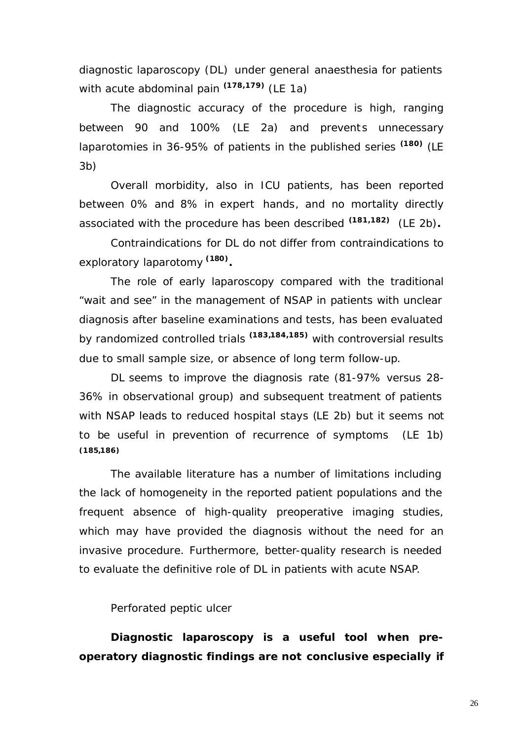diagnostic laparoscopy (DL) under general anaesthesia for patients with acute abdominal pain **(178,179)** (LE 1a)

The diagnostic accuracy of the procedure is high, ranging between 90 and 100% (LE 2a) and prevents unnecessary laparotomies in 36-95% of patients in the published series **(180)** (LE 3b)

Overall morbidity, also in ICU patients, has been reported between 0% and 8% in expert hands, and no mortality directly associated with the procedure has been described **(181,182)** (LE 2b)**.**

Contraindications for DL do not differ from contraindications to exploratory laparotomy **(180) .**

The role of early laparoscopy compared with the traditional "wait and see" in the management of NSAP in patients with unclear diagnosis after baseline examinations and tests, has been evaluated by randomized controlled trials **(183,184,185)** with controversial results due to small sample size, or absence of long term follow-up.

DL seems to improve the diagnosis rate (81-97% versus 28- 36% in observational group) and subsequent treatment of patients with NSAP leads to reduced hospital stays (LE 2b) but it seems not to be useful in prevention of recurrence of symptoms (LE 1b) **(185,186)**

The available literature has a number of limitations including the lack of homogeneity in the reported patient populations and the frequent absence of high-quality preoperative imaging studies, which may have provided the diagnosis without the need for an invasive procedure. Furthermore, better-quality research is needed to evaluate the definitive role of DL in patients with acute NSAP.

#### *Perforated peptic ulcer*

**Diagnostic laparoscopy is a useful tool when preoperatory diagnostic findings are not conclusive especially if**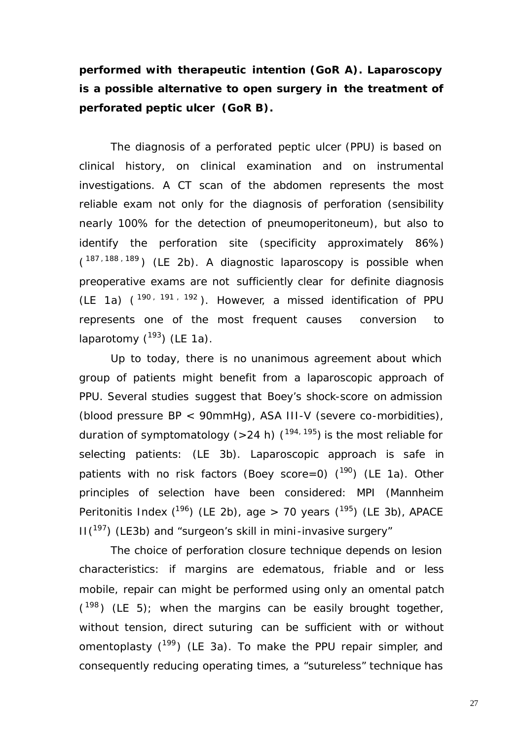**performed with therapeutic intention (GoR A). Laparoscopy is a possible alternative to open surgery in the treatment of perforated peptic ulcer (GoR B).** 

The diagnosis of a perforated peptic ulcer (PPU) is based on clinical history, on clinical examination and on instrumental investigations. A CT scan of the abdomen represents the most reliable exam not only for the diagnosis of perforation (sensibility nearly 100% for the detection of pneumoperitoneum), but also to identify the perforation site (specificity approximately 86%)  $(187, 188, 189)$  (LE 2b). A diagnostic laparoscopy is possible when preoperative exams are not sufficiently clear for definite diagnosis (LE 1a)  $(190, 191, 192)$ . However, a missed identification of PPU represents one of the most frequent causes conversion to laparotomy  $(^{193})$  (LE 1a).

Up to today, there is no unanimous agreement about which group of patients might benefit from a laparoscopic approach of PPU. Several studies suggest that Boey's shock-score on admission (blood pressure BP < 90mmHg), ASA III-V (severe co-morbidities), duration of symptomatology (>24 h)  $(194, 195)$  is the most reliable for selecting patients: (LE 3b). Laparoscopic approach is safe in patients with no risk factors (Boey score=0)  $(^{190})$  (LE 1a). Other principles of selection have been considered: MPI (Mannheim Peritonitis Index  $(^{196})$  (LE 2b), age > 70 years  $(^{195})$  (LE 3b), APACE  $II(^{197})$  (LE3b) and "surgeon's skill in mini-invasive surgery"

The choice of perforation closure technique depends on lesion characteristics: if margins are edematous, friable and or less mobile, repair can might be performed using only an omental patch  $(198)$  (LE 5); when the margins can be easily brought together, without tension, direct suturing can be sufficient with or without omentoplasty  $(^{199})$  (LE 3a). To make the PPU repair simpler, and consequently reducing operating times, a "sutureless" technique has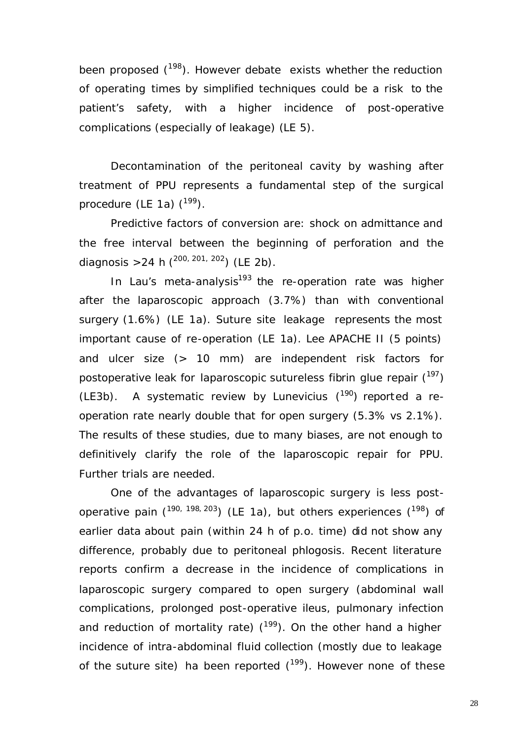been proposed  $(198)$ . However debate exists whether the reduction of operating times by simplified techniques could be a risk to the patient's safety, with a higher incidence of post-operative complications (especially of leakage) (LE 5).

Decontamination of the peritoneal cavity by washing after treatment of PPU represents a fundamental step of the surgical procedure (LE 1a)  $(^{199})$ .

Predictive factors of conversion are: shock on admittance and the free interval between the beginning of perforation and the diagnosis > 24 h ( $^{200, 201, 202}$ ) (LE 2b).

In Lau's meta-analysis<sup>193</sup> the re-operation rate was higher after the laparoscopic approach (3.7%) than with conventional surgery (1.6%) (LE 1a). Suture site leakage represents the most important cause of re-operation (LE 1a). Lee APACHE II (5 points) and ulcer size (> 10 mm) are independent risk factors for postoperative leak for laparoscopic sutureless fibrin glue repair  $(197)$ (LE3b). A systematic review by Lunevicius  $(^{190})$  reported a reoperation rate nearly double that for open surgery (5.3% vs 2.1%). The results of these studies, due to many biases, are not enough to definitively clarify the role of the laparoscopic repair for PPU. Further trials are needed.

One of the advantages of laparoscopic surgery is less postoperative pain  $(190, 198, 203)$  (LE 1a), but others experiences  $(198)$  of earlier data about pain (within 24 h of p.o. time) did not show any difference, probably due to peritoneal phlogosis. Recent literature reports confirm a decrease in the incidence of complications in laparoscopic surgery compared to open surgery (abdominal wall complications, prolonged post-operative ileus, pulmonary infection and reduction of mortality rate)  $(199)$ . On the other hand a higher incidence of intra-abdominal fluid collection (mostly due to leakage of the suture site) ha been reported  $(^{199})$ . However none of these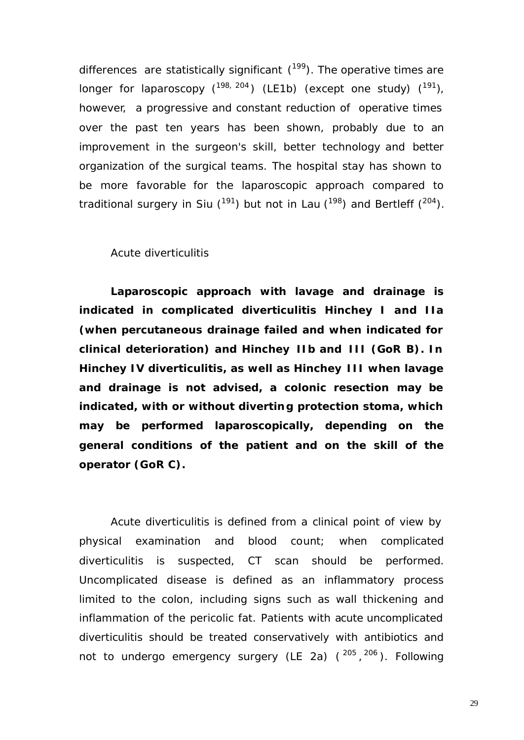differences are statistically significant  $(^{199})$ . The operative times are longer for laparoscopy  $(^{198, 204})$  (LE1b) (except one study)  $(^{191})$ , however, a progressive and constant reduction of operative times over the past ten years has been shown, probably due to an improvement in the surgeon's skill, better technology and better organization of the surgical teams. The hospital stay has shown to be more favorable for the laparoscopic approach compared to traditional surgery in Siu  $(^{191})$  but not in Lau  $(^{198})$  and Bertleff  $(^{204})$ .

#### *Acute diverticulitis*

**Laparoscopic approach with lavage and drainage is indicated in complicated diverticulitis Hinchey I and IIa (when percutaneous drainage failed and when indicated for clinical deterioration) and Hinchey IIb and III (GoR B). In Hinchey IV diverticulitis, as well as Hinchey III when lavage and drainage is not advised, a colonic resection may be indicated, with or without diverting protection stoma, which may be performed laparoscopically, depending on the general conditions of the patient and on the skill of the operator (GoR C).** 

Acute diverticulitis is defined from a clinical point of view by physical examination and blood count; when complicated diverticulitis is suspected, CT scan should be performed. Uncomplicated disease is defined as an inflammatory process limited to the colon, including signs such as wall thickening and inflammation of the pericolic fat. Patients with acute uncomplicated diverticulitis should be treated conservatively with antibiotics and not to undergo emergency surgery (LE 2a) (<sup>205</sup>,<sup>206</sup>). Following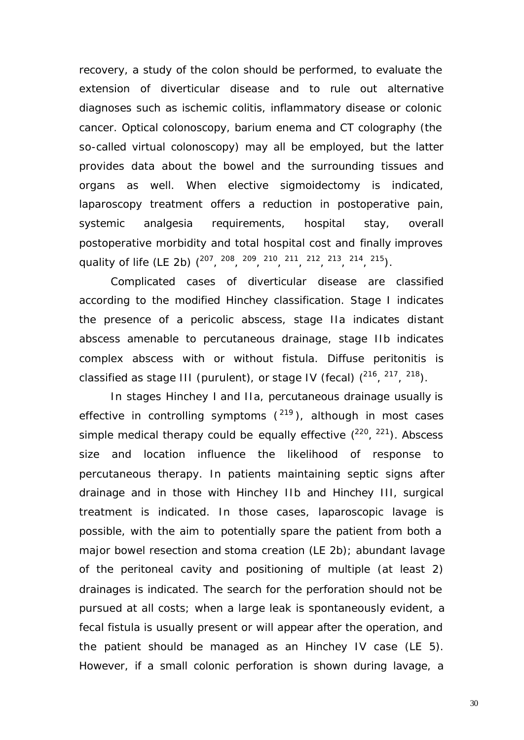recovery, a study of the colon should be performed, to evaluate the extension of diverticular disease and to rule out alternative diagnoses such as ischemic colitis, inflammatory disease or colonic cancer. Optical colonoscopy, barium enema and CT colography (the so-called virtual colonoscopy) may all be employed, but the latter provides data about the bowel and the surrounding tissues and organs as well. When elective sigmoidectomy is indicated, laparoscopy treatment offers a reduction in postoperative pain, systemic analgesia requirements, hospital stay, overall postoperative morbidity and total hospital cost and finally improves quality of life (LE 2b) (<sup>207</sup>, <sup>208</sup>, <sup>209</sup>, <sup>210</sup>, <sup>211</sup>, <sup>212</sup>, <sup>213</sup>, <sup>214</sup>, <sup>215</sup>).

Complicated cases of diverticular disease are classified according to the modified Hinchey classification. Stage I indicates the presence of a pericolic abscess, stage IIa indicates distant abscess amenable to percutaneous drainage, stage IIb indicates complex abscess with or without fistula. Diffuse peritonitis is classified as stage III (purulent), or stage IV (fecal)  $(^{216}, ^{217}, ^{218})$ .

In stages Hinchey I and IIa, percutaneous drainage usually is effective in controlling symptoms  $(^{219})$ , although in most cases simple medical therapy could be equally effective  $(^{220}$ ,  $^{221})$ . Abscess size and location influence the likelihood of response to percutaneous therapy. In patients maintaining septic signs after drainage and in those with Hinchey IIb and Hinchey III, surgical treatment is indicated. In those cases, laparoscopic lavage is possible, with the aim to potentially spare the patient from both a major bowel resection and stoma creation (LE 2b); abundant lavage of the peritoneal cavity and positioning of multiple (at least 2) drainages is indicated. The search for the perforation should not be pursued at all costs; when a large leak is spontaneously evident, a fecal fistula is usually present or will appear after the operation, and the patient should be managed as an Hinchey IV case (LE 5). However, if a small colonic perforation is shown during lavage, a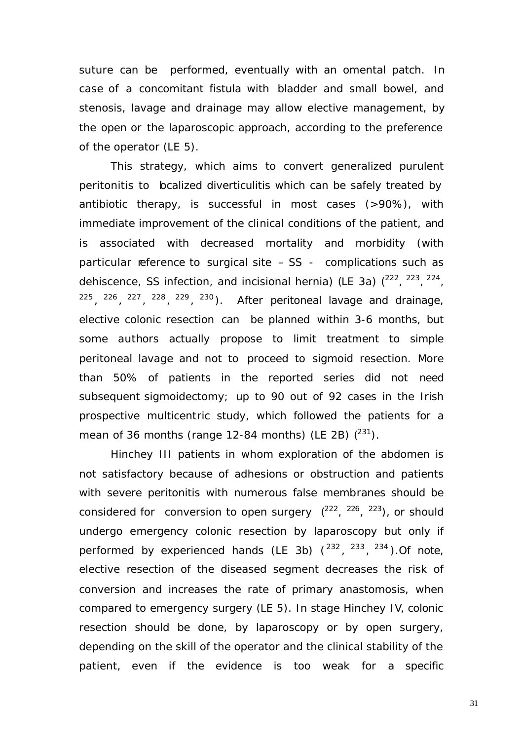suture can be performed, eventually with an omental patch. In case of a concomitant fistula with bladder and small bowel, and stenosis, lavage and drainage may allow elective management, by the open or the laparoscopic approach, according to the preference of the operator (LE 5).

This strategy, which aims to convert generalized purulent peritonitis to bcalized diverticulitis which can be safely treated by antibiotic therapy, is successful in most cases (>90%), with immediate improvement of the clinical conditions of the patient, and is associated with decreased mortality and morbidity (with particular reference to surgical site  $-$  SS - complications such as dehiscence, SS infection, and incisional hernia) (LE 3a)  $(^{222}$ ,  $^{223}$ ,  $^{224}$ ,  $225, 226, 227, 228, 229, 230$ . After peritoneal lavage and drainage, elective colonic resection can be planned within 3-6 months, but some authors actually propose to limit treatment to simple peritoneal lavage and not to proceed to sigmoid resection. More than 50% of patients in the reported series did not need subsequent sigmoidectomy; up to 90 out of 92 cases in the Irish prospective multicentric study, which followed the patients for a mean of 36 months (range 12-84 months) (LE 2B)  $(^{231})$ .

Hinchey III patients in whom exploration of the abdomen is not satisfactory because of adhesions or obstruction and patients with severe peritonitis with numerous false membranes should be considered for conversion to open surgery  $(^{222}, ^{226}, ^{223})$ , or should undergo emergency colonic resection by laparoscopy but only if performed by experienced hands (LE 3b)  $(^{232}, ^{233}, ^{234})$ . Of note, elective resection of the diseased segment decreases the risk of conversion and increases the rate of primary anastomosis, when compared to emergency surgery (LE 5). In stage Hinchey IV, colonic resection should be done, by laparoscopy or by open surgery, depending on the skill of the operator and the clinical stability of the patient, even if the evidence is too weak for a specific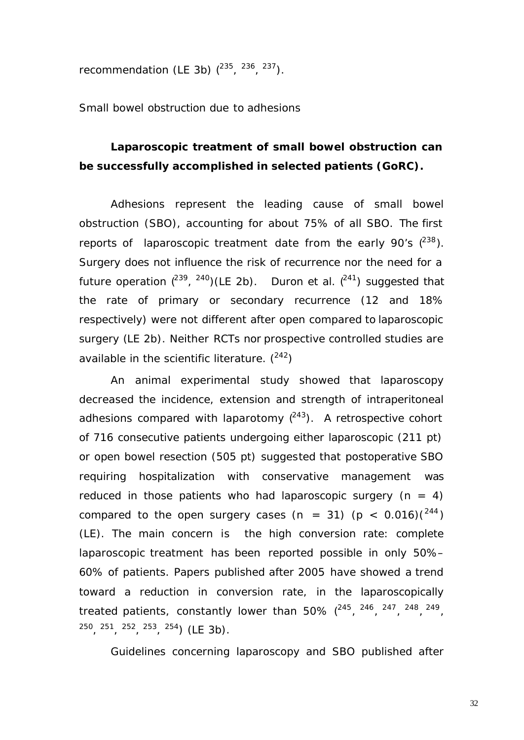recommendation (LE 3b)  $(^{235}, \ ^{236}, \ ^{237})$ .

*Small bowel obstruction due to adhesions*

## **Laparoscopic treatment of small bowel obstruction can be successfully accomplished in selected patients (GoRC).**

Adhesions represent the leading cause of small bowel obstruction (SBO), accounting for about 75% of all SBO. The first reports of laparoscopic treatment date from the early 90's  $(^{238})$ . Surgery does not influence the risk of recurrence nor the need for a future operation  $(^{239}$ ,  $^{240})$ (LE 2b). Duron et al.  $(^{241})$  suggested that the rate of primary or secondary recurrence (12 and 18% respectively) were not different after open compared to laparoscopic surgery (LE 2b). Neither RCTs nor prospective controlled studies are available in the scientific literature.  $(^{242})$ 

An animal experimental study showed that laparoscopy decreased the incidence, extension and strength of intraperitoneal adhesions compared with laparotomy  $(^{243})$ . A retrospective cohort of 716 consecutive patients undergoing either laparoscopic (211 pt) or open bowel resection (505 pt) suggested that postoperative SBO requiring hospitalization with conservative management was reduced in those patients who had laparoscopic surgery  $(n = 4)$ compared to the open surgery cases (n = 31) (p <  $0.016$ )( $^{244}$ ) (LE). The main concern is the high conversion rate: complete laparoscopic treatment has been reported possible in only 50%– 60% of patients. Papers published after 2005 have showed a trend toward a reduction in conversion rate, in the laparoscopically treated patients, constantly lower than  $50\%$   $(^{245}$ ,  $^{246}$ ,  $^{247}$ ,  $^{248}$ ,  $^{249}$ ,  $250, 251, 252, 253, 254$  (LE 3b).

Guidelines concerning laparoscopy and SBO published after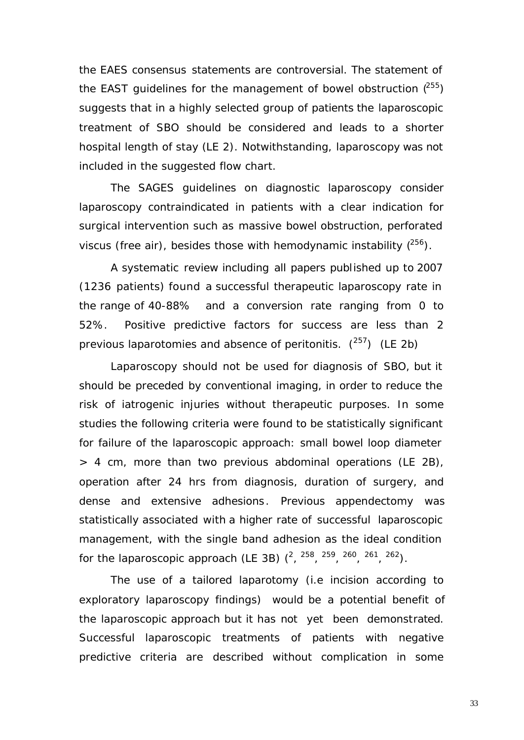the EAES consensus statements are controversial. The statement of the EAST guidelines for the management of bowel obstruction  $(^{255})$ suggests that in a highly selected group of patients the laparoscopic treatment of SBO should be considered and leads to a shorter hospital length of stay (LE 2). Notwithstanding, laparoscopy was not included in the suggested flow chart.

The SAGES guidelines on diagnostic laparoscopy consider laparoscopy contraindicated in patients with a clear indication for surgical intervention such as massive bowel obstruction, perforated viscus (free air), besides those with hemodynamic instability  $(^{256})$ .

A systematic review including all papers published up to 2007 (1236 patients) found a successful therapeutic laparoscopy rate in the range of 40-88% and a conversion rate ranging from 0 to 52%. Positive predictive factors for success are less than 2 previous laparotomies and absence of peritonitis.  $(^{257})$  (LE 2b)

Laparoscopy should not be used for diagnosis of SBO, but it should be preceded by conventional imaging, in order to reduce the risk of iatrogenic injuries without therapeutic purposes. In some studies the following criteria were found to be statistically significant for failure of the laparoscopic approach: small bowel loop diameter > 4 cm, more than two previous abdominal operations (LE 2B), operation after 24 hrs from diagnosis, duration of surgery, and dense and extensive adhesions. Previous appendectomy was statistically associated with a higher rate of successful laparoscopic management, with the single band adhesion as the ideal condition for the laparoscopic approach (LE 3B)  $(^2, ^{258}, ^{259}, ^{260}, ^{261}, ^{262})$ .

The use of a tailored laparotomy (i.e incision according to exploratory laparoscopy findings) would be a potential benefit of the laparoscopic approach but it has not yet been demonstrated. Successful laparoscopic treatments of patients with negative predictive criteria are described without complication in some

33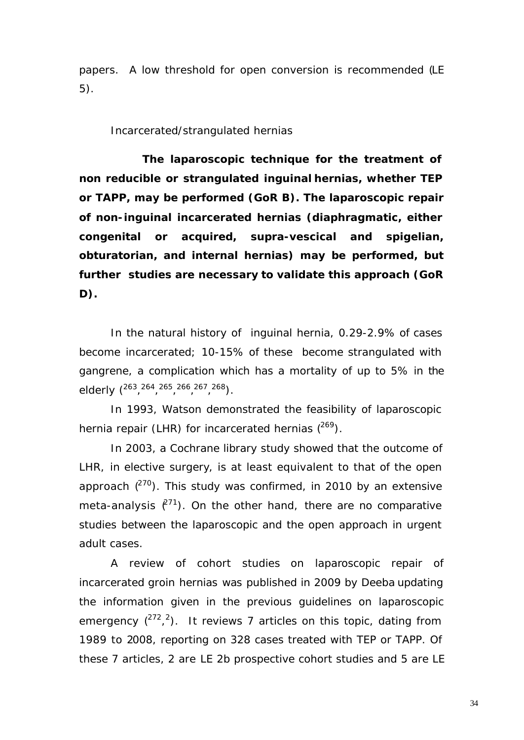papers. A low threshold for open conversion is recommended (LE 5).

#### *Incarcerated/strangulated hernias*

**The laparoscopic technique for the treatment of non reducible or strangulated inguinal hernias, whether TEP or TAPP, may be performed (GoR B). The laparoscopic repair of non-inguinal incarcerated hernias (diaphragmatic, either congenital or acquired, supra-vescical and spigelian, obturatorian, and internal hernias) may be performed, but further studies are necessary to validate this approach (GoR D).**

In the natural history of inguinal hernia, 0.29-2.9% of cases become incarcerated; 10-15% of these become strangulated with gangrene, a complication which has a mortality of up to 5% in the elderly (<sup>263, 264, 265, 266, 267, 268</sup>).

In 1993, Watson demonstrated the feasibility of laparoscopic hernia repair (LHR) for incarcerated hernias  $(^{269})$ .

In 2003, a Cochrane library study showed that the outcome of LHR, in elective surgery, is at least equivalent to that of the open approach  $(270)$ . This study was confirmed, in 2010 by an extensive meta-analysis  $\ell^{71}$ ). On the other hand, there are no comparative studies between the laparoscopic and the open approach in urgent adult cases.

A review of cohort studies on laparoscopic repair of incarcerated groin hernias was published in 2009 by Deeba updating the information given in the previous guidelines on laparoscopic emergency  $(^{272}, ^{2})$ . It reviews 7 articles on this topic, dating from 1989 to 2008, reporting on 328 cases treated with TEP or TAPP. Of these 7 articles, 2 are LE 2b prospective cohort studies and 5 are LE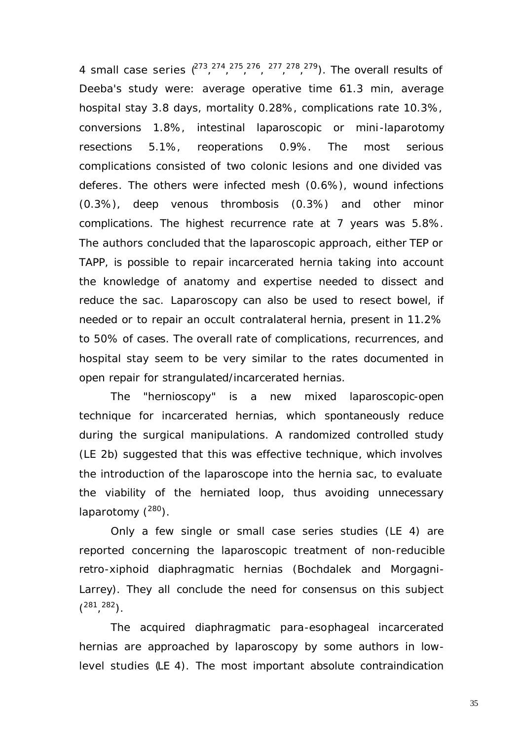4 small case series  $(^{273}$ ,  $^{274}$ ,  $^{275}$ ,  $^{276}$ ,  $^{277}$ ,  $^{278}$ ,  $^{279}$ ). The overall results of Deeba's study were: average operative time 61.3 min, average hospital stay 3.8 days, mortality 0.28%, complications rate 10.3%, conversions 1.8%, intestinal laparoscopic or mini -laparotomy resections 5.1%, reoperations 0.9%. The most serious complications consisted of two colonic lesions and one divided vas deferes. The others were infected mesh (0.6%), wound infections (0.3%), deep venous thrombosis (0.3%) and other minor complications. The highest recurrence rate at 7 years was 5.8%. The authors concluded that the laparoscopic approach, either TEP or TAPP, is possible to repair incarcerated hernia taking into account the knowledge of anatomy and expertise needed to dissect and reduce the sac. Laparoscopy can also be used to resect bowel, if needed or to repair an occult contralateral hernia, present in 11.2% to 50% of cases. The overall rate of complications, recurrences, and hospital stay seem to be very similar to the rates documented in open repair for strangulated/incarcerated hernias.

The "hernioscopy" is a new mixed laparoscopic-open technique for incarcerated hernias, which spontaneously reduce during the surgical manipulations. A randomized controlled study (LE 2b) suggested that this was effective technique, which involves the introduction of the laparoscope into the hernia sac, to evaluate the viability of the herniated loop, thus avoiding unnecessary laparotomy  $(^{280})$ .

Only a few single or small case series studies (LE 4) are reported concerning the laparoscopic treatment of non-reducible retro-xiphoid diaphragmatic hernias (Bochdalek and Morgagni-Larrey). They all conclude the need for consensus on this subject  $\binom{281, 282}{1}$ .

The acquired diaphragmatic para-esophageal incarcerated hernias are approached by laparoscopy by some authors in lowlevel studies (LE 4). The most important absolute contraindication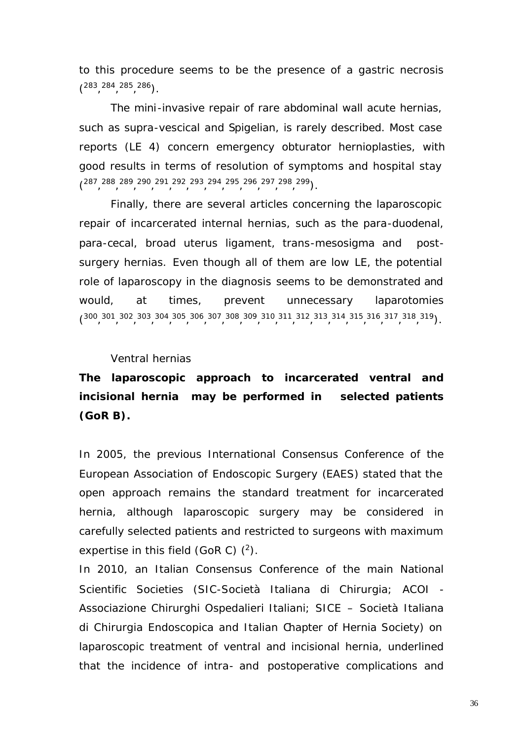to this procedure seems to be the presence of a gastric necrosis  $\binom{283, 284, 285, 286}{1}$ .

The mini-invasive repair of rare abdominal wall acute hernias, such as supra-vescical and Spigelian, is rarely described. Most case reports (LE 4) concern emergency obturator hernioplasties, with good results in terms of resolution of symptoms and hospital stay (287, 288, 289, 290, 291, 292, 293, 294, 295, 296, 297, 298, 299).

Finally, there are several articles concerning the laparoscopic repair of incarcerated internal hernias, such as the para-duodenal, para-cecal, broad uterus ligament, trans-mesosigma and postsurgery hernias. Even though all of them are low LE, the potential role of laparoscopy in the diagnosis seems to be demonstrated and would, at times, prevent unnecessary laparotomies  $\binom{300, 301, 302, 303, 304, 305, 306, 307, 308, 309, 310, 311, 312, 313, 314, 315, 316, 317, 318, 319)}$ 

#### *Ventral hernias*

# **The laparoscopic approach to incarcerated ventral and incisional hernia may be performed in selected patients (GoR B).**

In 2005, the previous International Consensus Conference of the European Association of Endoscopic Surgery (EAES) stated that the open approach remains the standard treatment for incarcerated hernia, although laparoscopic surgery may be considered in carefully selected patients and restricted to surgeons with maximum expertise in this field (GoR C)  $(^2)$ .

In 2010, an Italian Consensus Conference of the main National Scientific Societies (SIC-Società Italiana di Chirurgia; ACOI - Associazione Chirurghi Ospedalieri Italiani; SICE – Società Italiana di Chirurgia Endoscopica and Italian Chapter of Hernia Society) on laparoscopic treatment of ventral and incisional hernia, underlined that the incidence of intra- and postoperative complications and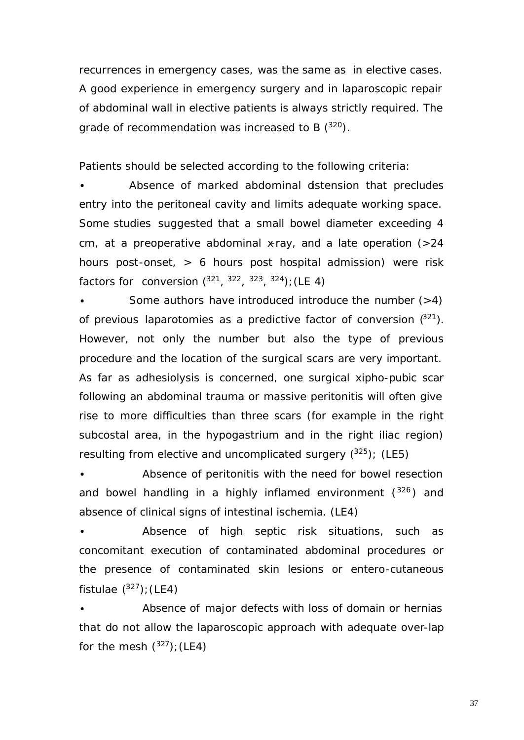recurrences in emergency cases, was the same as in elective cases. A good experience in emergency surgery and in laparoscopic repair of abdominal wall in elective patients is always strictly required. The grade of recommendation was increased to B  $(^{320})$ .

Patients should be selected according to the following criteria:

Absence of marked abdominal dstension that precludes entry into the peritoneal cavity and limits adequate working space. Some studies suggested that a small bowel diameter exceeding 4 cm, at a preoperative abdominal x-ray, and a late operation  $(>24)$ hours post-onset, > 6 hours post hospital admission) were risk factors for conversion  $(^{321}, ^{322}, ^{323}, ^{324})$ ; (LE 4)

**·** Some authors have introduced introduce the *number (>4) of previous laparotomies* as a predictive factor of conversion (<sup>321</sup>). However, not only the number but also the type of previous procedure and the location of the surgical scars are very important. As far as adhesiolysis is concerned, one surgical xipho-pubic scar following an abdominal trauma or massive peritonitis will often give rise to more difficulties than three scars (for example in the right subcostal area, in the hypogastrium and in the right iliac region) resulting from elective and uncomplicated surgery  $(^{325})$ ; (LE5)

**·** *Absence of peritonitis* with the need for bowel resection and bowel handling in a highly inflamed environment  $(326)$  and *absence of clinical signs of intestinal ischemia.* (LE4)

**·** *Absence of high septic risk situations, such as concomitant execution of contaminated abdominal procedures or the presence of contaminated skin lesions or entero-cutaneous fistulae* ( <sup>327</sup>)*;*(LE4)

**·** *Absence of major defects* with loss of domain or hernias that do not allow the laparoscopic approach with adequate over-lap for the mesh ( <sup>327</sup>)*;*(LE4)

37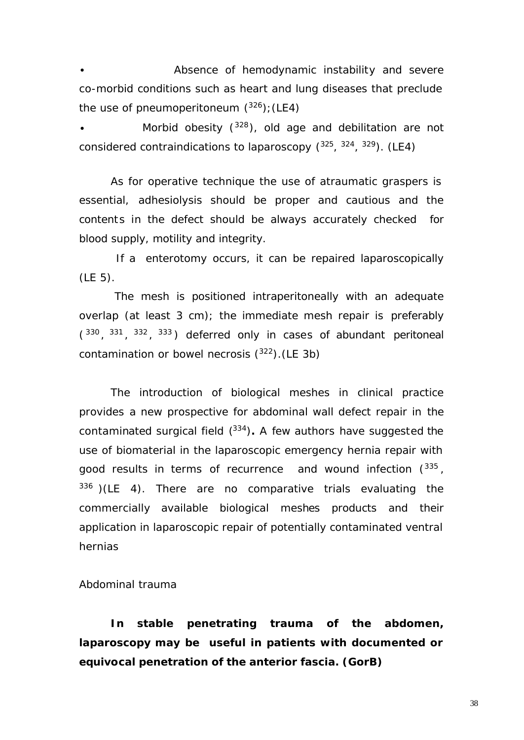**·** *Absence of hemodynamic instability and severe co-morbid conditions such as heart and lung diseases that preclude the use of pneumoperitoneum* ( <sup>326</sup>)*;*(LE4)

**·** *Morbid obesity* ( <sup>328</sup>)*, old age and debilitation* are not considered contraindications to laparoscopy (<sup>325</sup>, <sup>324</sup>, <sup>329</sup>). (LE4)

As for operative technique the use of atraumatic graspers is essential, adhesiolysis should be proper and cautious and the contents in the defect should be always accurately checked for blood supply, motility and integrity.

 If a enterotomy occurs, it can be repaired laparoscopically (LE 5).

 The mesh is positioned intraperitoneally with an adequate overlap (at least 3 cm); the immediate mesh repair is preferably  $(330, 331, 332, 333)$  deferred only in cases of abundant peritoneal contamination or bowel necrosis  $(^{322})$ . (LE 3b)

The introduction of biological meshes in clinical practice provides a new prospective for abdominal wall defect repair in the contaminated surgical field ( <sup>334</sup>)**.** A few authors have suggested the use of biomaterial in the laparoscopic emergency hernia repair with good results in terms of recurrence and wound infection  $(^{335}$ ,  $336$ )(LE 4). There are no comparative trials evaluating the commercially available biological meshes products and their application in laparoscopic repair of potentially contaminated ventral hernias

## *Abdominal trauma*

**In stable penetrating trauma of the abdomen, laparoscopy may be useful in patients with documented or equivocal penetration of the anterior fascia. (GorB)**

38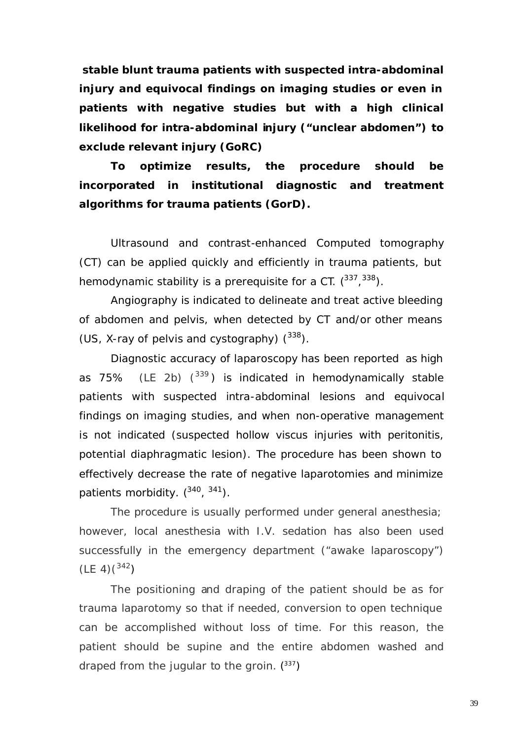**stable blunt trauma patients with suspected intra-abdominal injury and equivocal findings on imaging studies or even in patients with negative studies but with a high clinical likelihood for intra-abdominal injury ("unclear abdomen") to exclude relevant injury (GoRC)** 

**To optimize results, the procedure should be incorporated in institutional diagnostic and treatment algorithms for trauma patients (GorD).**

Ultrasound and contrast-enhanced Computed tomography (CT) can be applied quickly and efficiently in trauma patients, but hemodynamic stability is a prerequisite for a CT.  $(^{337}$ ,  $^{338})$ .

Angiography is indicated to delineate and treat active bleeding of abdomen and pelvis, when detected by CT and/or other means (US, X-ray of pelvis and cystography)  $(^{338})$ .

Diagnostic accuracy of laparoscopy has been reported as high as 75% (LE 2b)  $(339)$  is indicated in hemodynamically stable patients with suspected intra-abdominal lesions and equivocal findings on imaging studies, and when non-operative management is not indicated (suspected hollow viscus injuries with peritonitis, potential diaphragmatic lesion). The procedure has been shown to effectively decrease the rate of negative laparotomies and minimize patients morbidity. ( 340 , <sup>341</sup>)*.*

The procedure is usually performed under general anesthesia; however, local anesthesia with I.V. sedation has also been used successfully in the emergency department ("awake laparoscopy")  $(LE 4)(^{342})$ 

The positioning and draping of the patient should be as for trauma laparotomy so that if needed, conversion to open technique can be accomplished without loss of time. For this reason, the patient should be supine and the entire abdomen washed and draped from the jugular to the groin.  $(^{337})$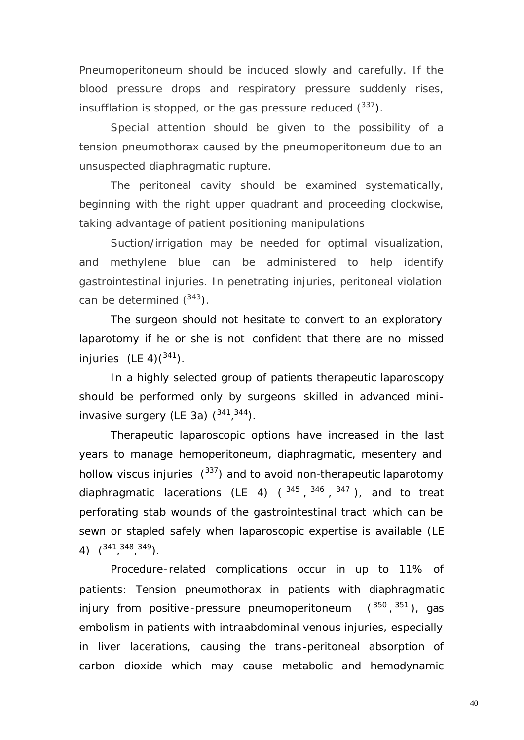Pneumoperitoneum should be induced slowly and carefully. If the blood pressure drops and respiratory pressure suddenly rises, insufflation is stopped, or the gas pressure reduced  $(^{337})$ .

Special attention should be given to the possibility of a tension pneumothorax caused by the pneumoperitoneum due to an unsuspected diaphragmatic rupture.

The peritoneal cavity should be examined systematically, beginning with the right upper quadrant and proceeding clockwise, taking advantage of patient positioning manipulations

Suction/irrigation may be needed for optimal visualization, and methylene blue can be administered to help identify gastrointestinal injuries. In penetrating injuries, peritoneal violation can be determined  $(^{343})$ .

The surgeon should not hesitate to convert to an exploratory laparotomy if he or she is not confident that there are no missed injuries (LE 4) $(341)$ .

In a highly selected group of patients therapeutic laparoscopy should be performed only by surgeons skilled in advanced mini invasive surgery (LE 3a)  $(341, 344)$ .

Therapeutic laparoscopic options have increased in the last years to manage hemoperitoneum, diaphragmatic, mesentery and hollow viscus injuries  $(337)$  and to avoid non-therapeutic laparotomy diaphragmatic lacerations (LE 4)  $($   $^{345}$   $,$   $^{346}$   $,$   $^{347}$   $)$ , and to treat perforating stab wounds of the gastrointestinal tract which can be sewn or stapled safely when laparoscopic expertise is available (LE 4)  $\binom{341,348,349}{1}$ .

Procedure-related complications occur in up to 11% of patients: Tension pneumothorax in patients with diaphragmatic injury from positive-pressure pneumoperitoneum <sup>350</sup>, <sup>351</sup>), gas embolism in patients with intraabdominal venous injuries, especially in liver lacerations, causing the trans-peritoneal absorption of carbon dioxide which may cause metabolic and hemodynamic

40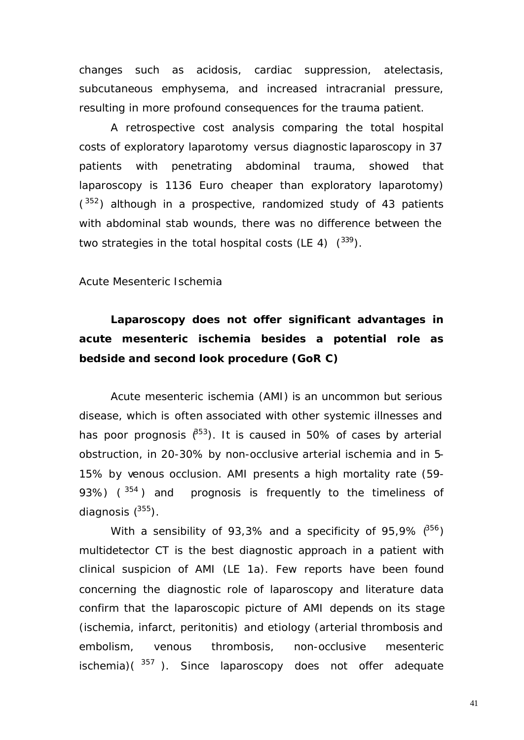changes such as acidosis, cardiac suppression, atelectasis, subcutaneous emphysema, and increased intracranial pressure, resulting in more profound consequences for the trauma patient.

A retrospective cost analysis comparing the total hospital costs of exploratory laparotomy versus diagnostic laparoscopy in 37 patients with penetrating abdominal trauma, showed that laparoscopy is 1136 Euro cheaper than exploratory laparotomy)  $(352)$  although in a prospective, randomized study of 43 patients with abdominal stab wounds, there was no difference between the two strategies in the total hospital costs (LE 4)  $(339)$ .

#### *Acute Mesenteric Ischemia*

# **Laparoscopy does not offer significant advantages in acute mesenteric ischemia besides a potential role as bedside and second look procedure (GoR C)**

Acute mesenteric ischemia (AMI) is an uncommon but serious disease, which is often associated with other systemic illnesses and has poor prognosis  $(^{853})$ . It is caused in 50% of cases by arterial obstruction, in 20-30% by non-occlusive arterial ischemia and in 5- 15% by venous occlusion. AMI presents a high mortality rate (59- 93%)  $(^{354})$  and prognosis is frequently to the timeliness of diagnosis  $(^{355})$ .

With a sensibility of 93,3% and a specificity of 95,9%  $(356)$ multidetector CT is the best diagnostic approach in a patient with clinical suspicion of AMI (LE 1a). Few reports have been found concerning the diagnostic role of laparoscopy and literature data confirm that the laparoscopic picture of AMI depends on its stage (ischemia, infarct, peritonitis) and etiology (arterial thrombosis and embolism, venous thrombosis, non-occlusive mesenteric ischemia) $(^{357}$ ). Since laparoscopy does not offer adequate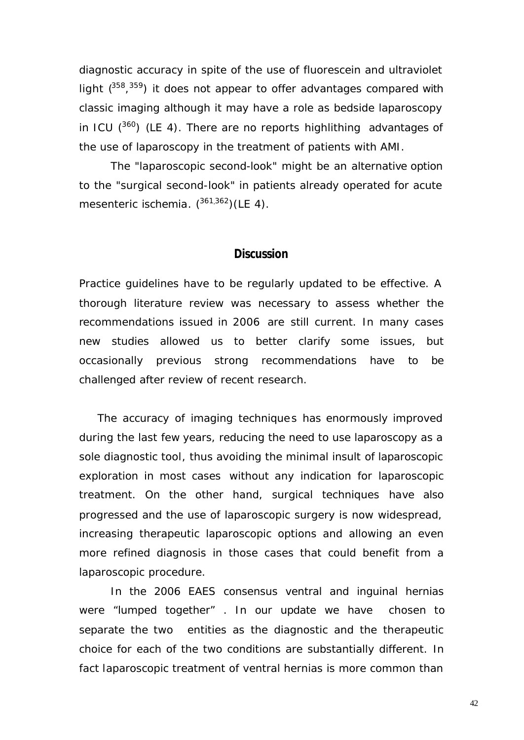diagnostic accuracy in spite of the use of fluorescein and ultraviolet light  $(^{358},^{359})$  it does not appear to offer advantages compared with classic imaging although it may have a role as bedside laparoscopy in ICU  $(360)$  (LE 4). There are no reports highlithing advantages of the use of laparoscopy in the treatment of patients with AMI.

The "laparoscopic second-look" might be an alternative option to the "surgical second-look" in patients already operated for acute mesenteric ischemia.  $(^{361,362})$ (LE 4).

## **Discussion**

Practice guidelines have to be regularly updated to be effective. A thorough literature review was necessary to assess whether the recommendations issued in 2006 are still current. In many cases new studies allowed us to better clarify some issues, but occasionally previous strong recommendations have to be challenged after review of recent research.

The accuracy of imaging techniques has enormously improved during the last few years, reducing the need to use laparoscopy as a sole diagnostic tool, thus avoiding the minimal insult of laparoscopic exploration in most cases without any indication for laparoscopic treatment. On the other hand, surgical techniques have also progressed and the use of laparoscopic surgery is now widespread, increasing therapeutic laparoscopic options and allowing an even more refined diagnosis in those cases that could benefit from a laparoscopic procedure.

In the 2006 EAES consensus ventral and inguinal hernias were "lumped together" . In our update we have chosen to separate the two entities as the diagnostic and the therapeutic choice for each of the two conditions are substantially different. In fact laparoscopic treatment of ventral hernias is more common than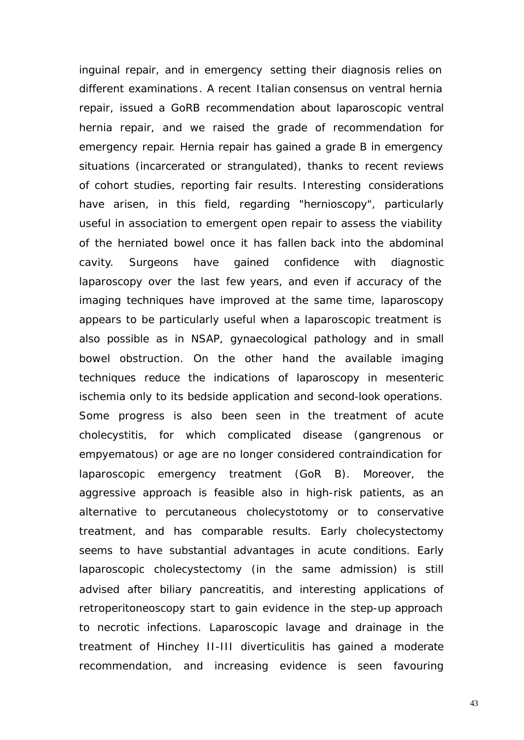inguinal repair, and in emergency setting their diagnosis relies on different examinations. A recent Italian consensus on ventral hernia repair, issued a GoRB recommendation about laparoscopic ventral hernia repair, and we raised the grade of recommendation for emergency repair. Hernia repair has gained a grade B in emergency situations (incarcerated or strangulated), thanks to recent reviews of cohort studies, reporting fair results. Interesting considerations have arisen, in this field, regarding "hernioscopy", particularly useful in association to emergent open repair to assess the viability of the herniated bowel once it has fallen back into the abdominal cavity. Surgeons have gained confidence with diagnostic laparoscopy over the last few years, and even if accuracy of the imaging techniques have improved at the same time, laparoscopy appears to be particularly useful when a laparoscopic treatment is also possible as in NSAP, gynaecological pathology and in small bowel obstruction. On the other hand the available imaging techniques reduce the indications of laparoscopy in mesenteric ischemia only to its bedside application and second-look operations. Some progress is also been seen in the treatment of acute cholecystitis, for which complicated disease (gangrenous or empyematous) or age are no longer considered contraindication for laparoscopic emergency treatment (GoR B). Moreover, the aggressive approach is feasible also in high-risk patients, as an alternative to percutaneous cholecystotomy or to conservative treatment, and has comparable results. Early cholecystectomy seems to have substantial advantages in acute conditions. Early laparoscopic cholecystectomy (in the same admission) is still advised after biliary pancreatitis, and interesting applications of retroperitoneoscopy start to gain evidence in the step-up approach to necrotic infections. Laparoscopic lavage and drainage in the treatment of Hinchey II-III diverticulitis has gained a moderate recommendation, and increasing evidence is seen favouring

43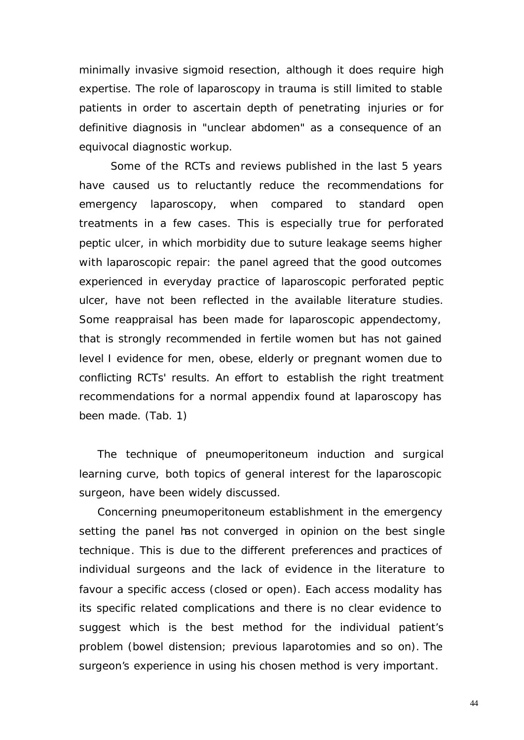minimally invasive sigmoid resection, although it does require high expertise. The role of laparoscopy in trauma is still limited to stable patients in order to ascertain depth of penetrating injuries or for definitive diagnosis in "unclear abdomen" as a consequence of an equivocal diagnostic workup.

Some of the RCTs and reviews published in the last 5 years have caused us to reluctantly reduce the recommendations for emergency laparoscopy, when compared to standard open treatments in a few cases. This is especially true for perforated peptic ulcer, in which morbidity due to suture leakage seems higher with laparoscopic repair: the panel agreed that the good outcomes experienced in everyday practice of laparoscopic perforated peptic ulcer, have not been reflected in the available literature studies. Some reappraisal has been made for laparoscopic appendectomy, that is strongly recommended in fertile women but has not gained level I evidence for men, obese, elderly or pregnant women due to conflicting RCTs' results. An effort to establish the right treatment recommendations for a normal appendix found at laparoscopy has been made. (Tab. 1)

The technique of pneumoperitoneum induction and surgical learning curve, both topics of general interest for the laparoscopic surgeon, have been widely discussed.

Concerning pneumoperitoneum establishment in the emergency setting the panel has not converged in opinion on the best single technique. This is due to the different preferences and practices of individual surgeons and the lack of evidence in the literature to favour a specific access (closed or open). Each access modality has its specific related complications and there is no clear evidence to suggest which is the best method for the individual patient's problem (bowel distension; previous laparotomies and so on). The surgeon's experience in using his chosen method is very important.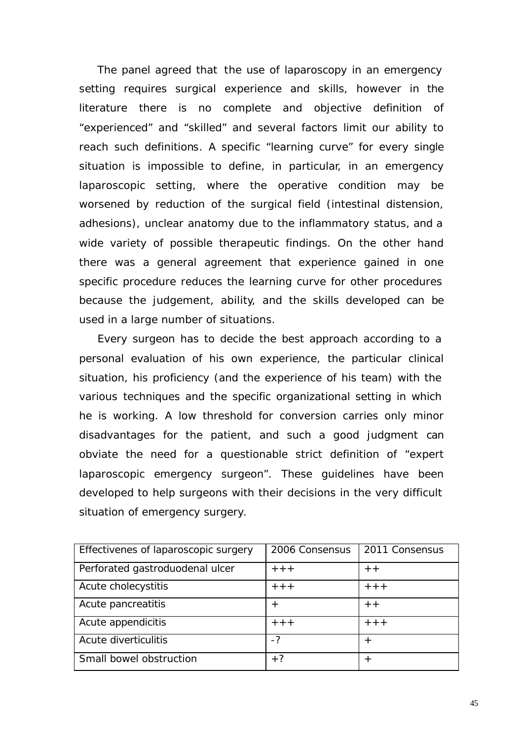The panel agreed that the use of laparoscopy in an emergency setting requires surgical experience and skills, however in the literature there is no complete and objective definition of "experienced" and "skilled" and several factors limit our ability to reach such definitions. A specific "learning curve" for every single situation is impossible to define, in particular, in an emergency laparoscopic setting, where the operative condition may be worsened by reduction of the surgical field (intestinal distension, adhesions), unclear anatomy due to the inflammatory status, and a wide variety of possible therapeutic findings. On the other hand there was a general agreement that experience gained in one specific procedure reduces the learning curve for other procedures because the judgement, ability, and the skills developed can be used in a large number of situations.

Every surgeon has to decide the best approach according to a personal evaluation of his own experience, the particular clinical situation, his proficiency (and the experience of his team) with the various techniques and the specific organizational setting in which he is working. A low threshold for conversion carries only minor disadvantages for the patient, and such a good judgment can obviate the need for a questionable strict definition of "expert laparoscopic emergency surgeon". These guidelines have been developed to help surgeons with their decisions in the very difficult situation of emergency surgery.

| Effectivenes of laparoscopic surgery | 2006 Consensus | 2011 Consensus |
|--------------------------------------|----------------|----------------|
| Perforated gastroduodenal ulcer      | $+ + +$        | $+ +$          |
| Acute cholecystitis                  | $+ + +$        | $++$           |
| Acute pancreatitis                   | $^+$           | $+ +$          |
| Acute appendicitis                   | $+ + +$        | $++ +$         |
| Acute diverticulitis                 | $-2$           | $^{+}$         |
| Small bowel obstruction              | $+?$           | $^{+}$         |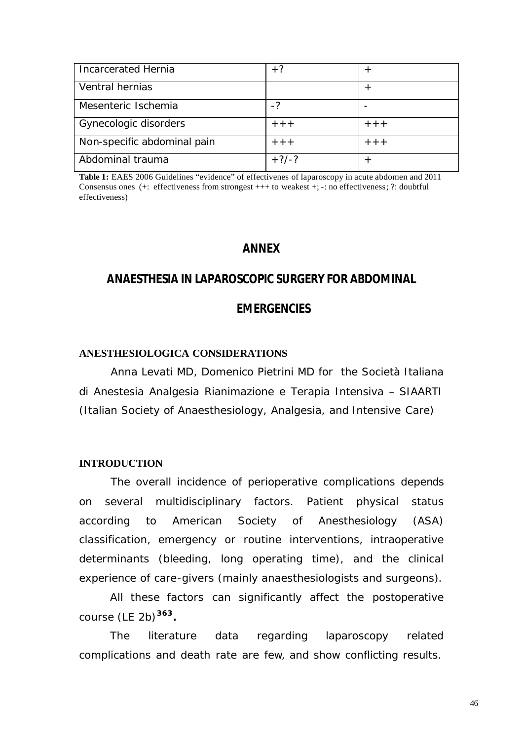| <b>Incarcerated Hernia</b>  | $+?$            |         |
|-----------------------------|-----------------|---------|
| Ventral hernias             |                 |         |
| Mesenteric Ischemia         | $-2$            |         |
| Gynecologic disorders       | $+++$           | $++$    |
| Non-specific abdominal pain | $+++$           | $+ + +$ |
| Abdominal trauma            | $+?\frac{7}{3}$ |         |

**Table 1:** EAES 2006 Guidelines "evidence" of effectivenes of laparoscopy in acute abdomen and 2011 Consensus ones (+: effectiveness from strongest +++ to weakest +; -: no effectiveness; ?: doubtful effectiveness)

# **ANNEX**

# **ANAESTHESIA IN LAPAROSCOPIC SURGERY FOR ABDOMINAL**

## **EMERGENCIES**

#### **ANESTHESIOLOGICA CONSIDERATIONS**

Anna Levati MD, Domenico Pietrini MD for the Società Italiana di Anestesia Analgesia Rianimazione e Terapia Intensiva – SIAARTI (Italian Society of Anaesthesiology, Analgesia, and Intensive Care)

#### **INTRODUCTION**

The overall incidence of perioperative complications depends on several multidisciplinary factors. Patient physical status according to American Society of Anesthesiology (ASA) classification, emergency or routine interventions, intraoperative determinants (bleeding, long operating time), and the clinical experience of care-givers (mainly anaesthesiologists and surgeons).

All these factors can significantly affect the postoperative course (LE 2b)**<sup>363</sup> .**

The literature data regarding laparoscopy related complications and death rate are few, and show conflicting results.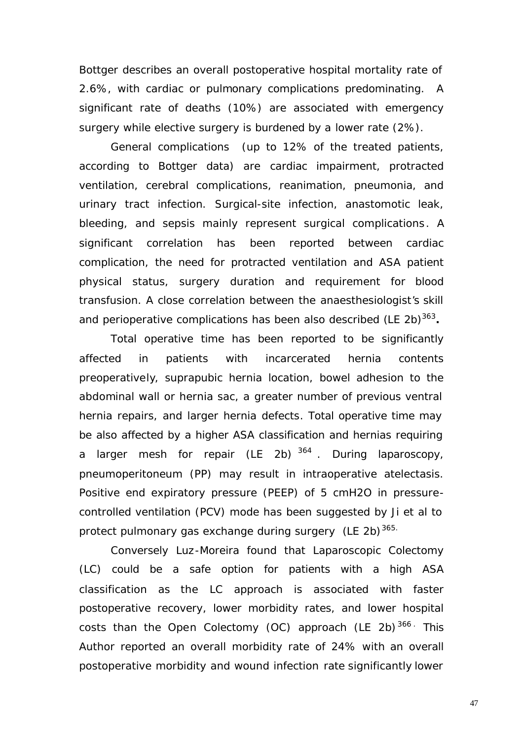Bottger describes an overall postoperative hospital mortality rate of 2.6%, with cardiac or pulmonary complications predominating. A significant rate of deaths (10%) are associated with emergency surgery while elective surgery is burdened by a lower rate (2%).

General complications (up to 12% of the treated patients, according to Bottger data) are cardiac impairment, protracted ventilation, cerebral complications, reanimation, pneumonia, and urinary tract infection. Surgical-site infection, anastomotic leak, bleeding, and sepsis mainly represent surgical complications. A significant correlation has been reported between cardiac complication, the need for protracted ventilation and ASA patient physical status, surgery duration and requirement for blood transfusion. A close correlation between the anaesthesiologist's skill and perioperative complications has been also described (LE 2b)<sup>363</sup>.

Total operative time has been reported to be significantly affected in patients with incarcerated hernia contents preoperatively, suprapubic hernia location, bowel adhesion to the abdominal wall or hernia sac, a greater number of previous ventral hernia repairs, and larger hernia defects. Total operative time may be also affected by a higher ASA classification and hernias requiring a larger mesh for repair (LE 2b) <sup>364</sup> . During laparoscopy, pneumoperitoneum (PP) may result in intraoperative atelectasis. Positive end expiratory pressure (PEEP) of 5 cmH2O in pressurecontrolled ventilation (PCV) mode has been suggested by Ji et al to protect pulmonary gas exchange during surgery (LE 2b)<sup>365.</sup>

Conversely Luz-Moreira found that Laparoscopic Colectomy (LC) could be a safe option for patients with a high ASA classification as the LC approach is associated with faster postoperative recovery, lower morbidity rates, and lower hospital costs than the Open Colectomy (OC) approach (LE 2b)<sup>366</sup> This Author reported an overall morbidity rate of 24% with an overall postoperative morbidity and wound infection rate significantly lower

47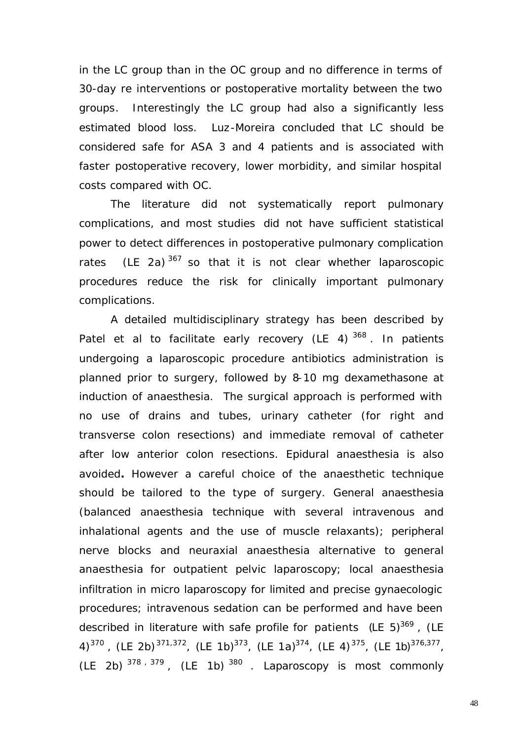in the LC group than in the OC group and no difference in terms of 30-day re interventions or postoperative mortality between the two groups. Interestingly the LC group had also a significantly less estimated blood loss. Luz-Moreira concluded that LC should be considered safe for ASA 3 and 4 patients and is associated with faster postoperative recovery, lower morbidity, and similar hospital costs compared with OC.

The literature did not systematically report pulmonary complications, and most studies did not have sufficient statistical power to detect differences in postoperative pulmonary complication rates (LE 2a)  $367$  so that it is not clear whether laparoscopic procedures reduce the risk for clinically important pulmonary complications.

A detailed multidisciplinary strategy has been described by Patel et al to facilitate early recovery (LE 4)<sup>368</sup>. In patients undergoing a laparoscopic procedure antibiotics administration is planned prior to surgery, followed by 8–10 mg dexamethasone at induction of anaesthesia. The surgical approach is performed with no use of drains and tubes, urinary catheter (for right and transverse colon resections) and immediate removal of catheter after low anterior colon resections. Epidural anaesthesia is also avoided**.** However a careful choice of the anaesthetic technique should be tailored to the type of surgery. General anaesthesia (balanced anaesthesia technique with several intravenous and inhalational agents and the use of muscle relaxants); peripheral nerve blocks and neuraxial anaesthesia alternative to general anaesthesia for outpatient pelvic laparoscopy; local anaesthesia infiltration in micro laparoscopy for limited and precise gynaecologic procedures; intravenous sedation can be performed and have been described in literature with safe profile for patients (LE 5)<sup>369</sup>, (LE 4)<sup>370</sup>, (LE 2b)<sup>371,372</sup>, (LE 1b)<sup>373</sup>, (LE 1a)<sup>374</sup>, (LE 4)<sup>375</sup>, (LE 1b)<sup>376,377</sup>,  $(LE 2b)$   $378, 379$ ,  $(LE 1b)$   $380$ . Laparoscopy is most commonly

48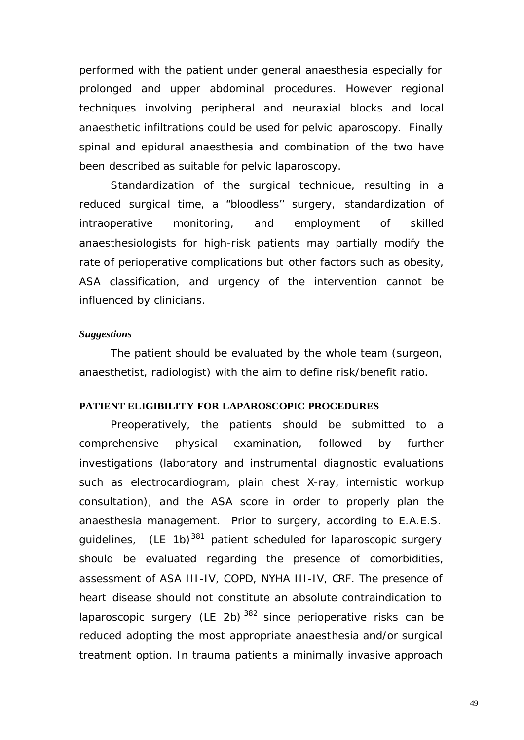performed with the patient under general anaesthesia especially for prolonged and upper abdominal procedures. However regional techniques involving peripheral and neuraxial blocks and local anaesthetic infiltrations could be used for pelvic laparoscopy. Finally spinal and epidural anaesthesia and combination of the two have been described as suitable for pelvic laparoscopy.

Standardization of the surgical technique, resulting in a reduced surgical time, a "bloodless'' surgery, standardization of intraoperative monitoring, and employment of skilled anaesthesiologists for high-risk patients may partially modify the rate of perioperative complications but other factors such as obesity, ASA classification, and urgency of the intervention cannot be influenced by clinicians.

#### *Suggestions*

The patient should be evaluated by the whole team (surgeon, anaesthetist, radiologist) with the aim to define risk/benefit ratio.

#### **PATIENT ELIGIBILITY FOR LAPAROSCOPIC PROCEDURES**

Preoperatively, the patients should be submitted to a comprehensive physical examination, followed by further investigations (laboratory and instrumental diagnostic evaluations such as electrocardiogram, plain chest X-ray, internistic workup consultation), and the ASA score in order to properly plan the anaesthesia management. Prior to surgery, according to E.A.E.S. quidelines,  $(LE 1b)^{381}$  patient scheduled for laparoscopic surgery should be evaluated regarding the presence of comorbidities, assessment of ASA III-IV, COPD, NYHA III-IV, CRF. The presence of heart disease should not constitute an absolute contraindication to laparoscopic surgery (LE 2b)  $382$  since perioperative risks can be reduced adopting the most appropriate anaesthesia and/or surgical treatment option. In trauma patients a minimally invasive approach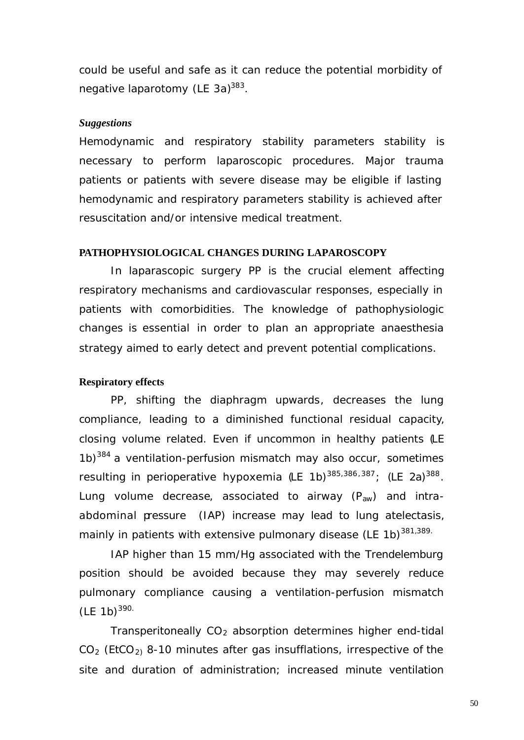could be useful and safe as it can reduce the potential morbidity of negative laparotomy (LE 3a)<sup>383</sup>.

#### *Suggestions*

Hemodynamic and respiratory stability parameters stability is necessary to perform laparoscopic procedures. Major trauma patients or patients with severe disease may be eligible if lasting hemodynamic and respiratory parameters stability is achieved after resuscitation and/or intensive medical treatment.

#### **PATHOPHYSIOLOGICAL CHANGES DURING LAPAROSCOPY**

In laparascopic surgery PP is the crucial element affecting respiratory mechanisms and cardiovascular responses, especially in patients with comorbidities. The knowledge of pathophysiologic changes is essential in order to plan an appropriate anaesthesia strategy aimed to early detect and prevent potential complications.

#### **Respiratory effects**

PP, shifting the diaphragm upwards, decreases the lung compliance, leading to a diminished functional residual capacity, closing volume related. Even if uncommon in healthy patients (LE  $1b)^{384}$  a ventilation-perfusion mismatch may also occur, sometimes resulting in perioperative hypoxemia (LE 1b)<sup>385,386,387</sup>; (LE 2a)<sup>388</sup>. Lung volume decrease, associated to airway  $(P_{aw})$  and intraabdominal pressure (IAP) increase may lead to lung atelectasis, mainly in patients with extensive pulmonary disease (LE 1b)<sup>381,389.</sup>

IAP higher than 15 mm/Hg associated with the Trendelemburg position should be avoided because they may severely reduce pulmonary compliance causing a ventilation-perfusion mismatch  $(LE 1b)^{390.}$ 

Transperitoneally  $CO<sub>2</sub>$  absorption determines higher end-tidal  $CO<sub>2</sub>$  (EtCO<sub>2)</sub> 8-10 minutes after gas insufflations, irrespective of the site and duration of administration; increased minute ventilation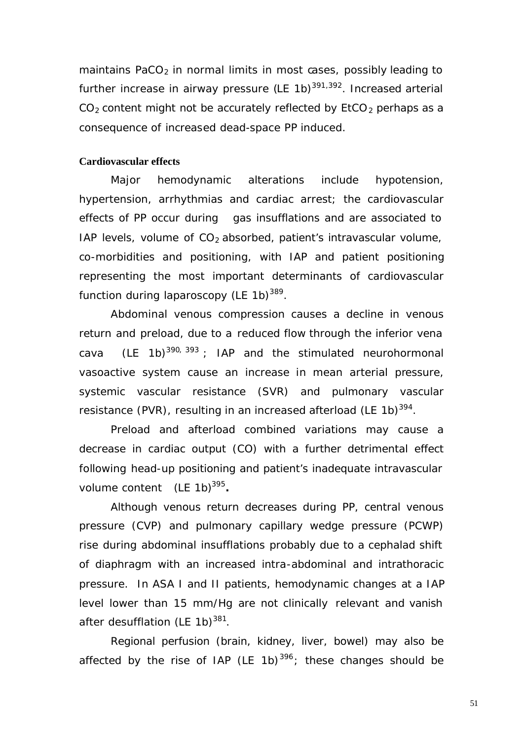maintains PaCO<sub>2</sub> in normal limits in most cases, possibly leading to further increase in airway pressure (LE 1b) $391,392$ . Increased arterial  $CO<sub>2</sub>$  content might not be accurately reflected by EtCO<sub>2</sub> perhaps as a consequence of increased dead-space PP induced.

## **Cardiovascular effects**

Major hemodynamic alterations include hypotension, hypertension, arrhythmias and cardiac arrest; the cardiovascular effects of PP occur during gas insufflations and are associated to IAP levels, volume of  $CO<sub>2</sub>$  absorbed, patient's intravascular volume, co-morbidities and positioning, with IAP and patient positioning representing the most important determinants of cardiovascular function during laparoscopy (LE 1b) $^{389}$ .

Abdominal venous compression causes a decline in venous return and preload, due to a reduced flow through the inferior vena cava (LE 1b)<sup>390, 393</sup>; IAP and the stimulated neurohormonal vasoactive system cause an increase in mean arterial pressure, systemic vascular resistance (SVR) and pulmonary vascular resistance (PVR), resulting in an increased afterload (LE 1b)<sup>394</sup>.

Preload and afterload combined variations may cause a decrease in cardiac output (CO) with a further detrimental effect following head-up positioning and patient's inadequate intravascular volume content (LE 1b)<sup>395</sup>.

Although venous return decreases during PP, central venous pressure (CVP) and pulmonary capillary wedge pressure (PCWP) rise during abdominal insufflations probably due to a cephalad shift of diaphragm with an increased intra-abdominal and intrathoracic pressure. In ASA I and II patients, hemodynamic changes at a IAP level lower than 15 mm/Hg are not clinically relevant and vanish after desufflation (LE 1b)<sup>381</sup>.

Regional perfusion (brain, kidney, liver, bowel) may also be affected by the rise of IAP (LE 1b)<sup>396</sup>; these changes should be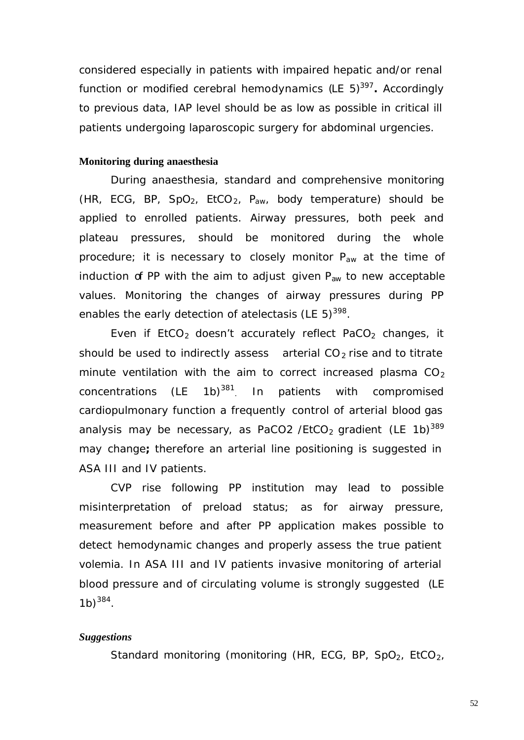considered especially in patients with impaired hepatic and/or renal function or modified cerebral hemodynamics (LE 5)<sup>397</sup>. Accordingly to previous data, IAP level should be as low as possible in critical ill patients undergoing laparoscopic surgery for abdominal urgencies.

## **Monitoring during anaesthesia**

During anaesthesia, standard and comprehensive monitoring (HR, ECG, BP, SpO<sub>2</sub>, EtCO<sub>2</sub>, P<sub>aw</sub>, body temperature) should be applied to enrolled patients. Airway pressures, both peek and plateau pressures, should be monitored during the whole procedure; it is necessary to closely monitor  $P_{aw}$  at the time of induction of PP with the aim to adjust given  $P_{aw}$  to new acceptable values. Monitoring the changes of airway pressures during PP enables the early detection of atelectasis (LE 5) $^{398}$ .

Even if  $ECO<sub>2</sub>$  doesn't accurately reflect PaCO<sub>2</sub> changes, it should be used to indirectly assess arterial  $CO<sub>2</sub>$  rise and to titrate minute ventilation with the aim to correct increased plasma  $CO<sub>2</sub>$ concentrations (LE 1b)<sup>381</sup> . In patients with compromised cardiopulmonary function a frequently control of arterial blood gas analysis may be necessary, as PaCO2 /EtCO<sub>2</sub> gradient (LE 1b)<sup>389</sup> may change**;** therefore an arterial line positioning is suggested in ASA III and IV patients.

CVP rise following PP institution may lead to possible misinterpretation of preload status; as for airway pressure, measurement before and after PP application makes possible to detect hemodynamic changes and properly assess the true patient volemia. In ASA III and IV patients invasive monitoring of arterial blood pressure and of circulating volume is strongly suggested (LE  $1b)^{384}$ .

#### *Suggestions*

Standard monitoring (monitoring (HR, ECG, BP, SpO<sub>2</sub>, EtCO<sub>2</sub>,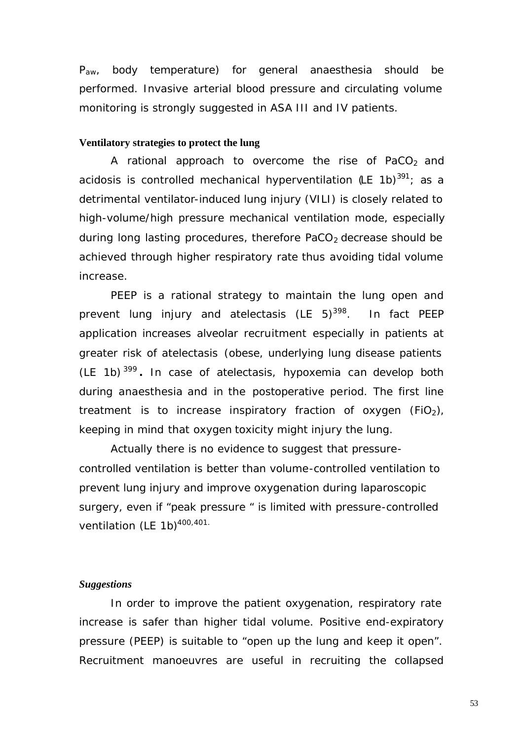P<sub>aw</sub>, body temperature) for general anaesthesia should be performed. Invasive arterial blood pressure and circulating volume monitoring is strongly suggested in ASA III and IV patients.

## **Ventilatory strategies to protect the lung**

A rational approach to overcome the rise of PaCO<sub>2</sub> and acidosis is controlled mechanical hyperventilation (LE 1b)<sup>391</sup>; as a detrimental ventilator-induced lung injury (VILI) is closely related to high-volume/high pressure mechanical ventilation mode, especially during long lasting procedures, therefore  $PaCO<sub>2</sub>$  decrease should be achieved through higher respiratory rate thus avoiding tidal volume increase.

PEEP is a rational strategy to maintain the lung open and prevent lung injury and atelectasis (LE  $5)^{398}$ . In fact PEEP application increases alveolar recruitment especially in patients at greater risk of atelectasis (obese, underlying lung disease patients (LE 1b) <sup>399</sup> **.** In case of atelectasis, hypoxemia can develop both during anaesthesia and in the postoperative period. The first line treatment is to increase inspiratory fraction of oxygen (FiO<sub>2</sub>), keeping in mind that oxygen toxicity might injury the lung.

Actually there is no evidence to suggest that pressurecontrolled ventilation is better than volume-controlled ventilation to prevent lung injury and improve oxygenation during laparoscopic surgery, even if "peak pressure " is limited with pressure-controlled ventilation (LE 1b)<sup>400,401.</sup>

#### *Suggestions*

In order to improve the patient oxygenation, respiratory rate increase is safer than higher tidal volume. Positive end-expiratory pressure (PEEP) is suitable to "open up the lung and keep it open". Recruitment manoeuvres are useful in recruiting the collapsed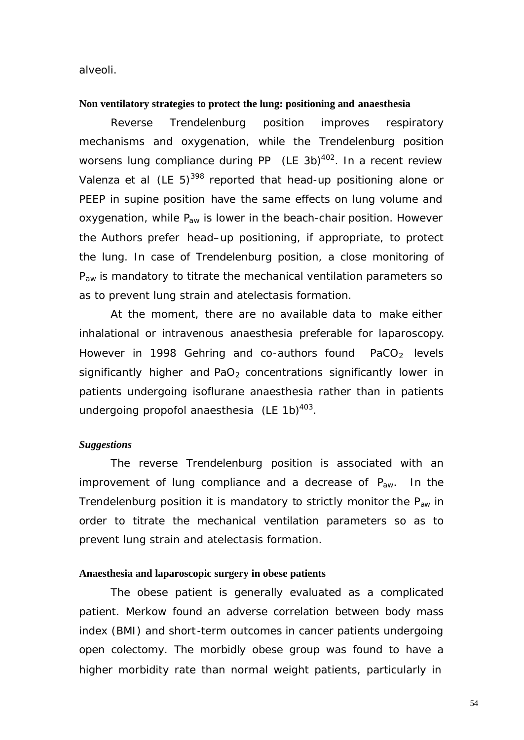alveoli.

#### **Non ventilatory strategies to protect the lung: positioning and anaesthesia**

Reverse Trendelenburg position improves respiratory mechanisms and oxygenation, while the Trendelenburg position worsens lung compliance during PP (LE 3b) $402$ . In a recent review Valenza et al  $(LE 5)^{398}$  reported that head-up positioning alone or PEEP in supine position have the same effects on lung volume and oxygenation, while  $P_{aw}$  is lower in the beach-chair position. However the Authors prefer head–up positioning, if appropriate, to protect the lung. In case of Trendelenburg position, a close monitoring of  $P_{aw}$  is mandatory to titrate the mechanical ventilation parameters so as to prevent lung strain and atelectasis formation.

At the moment, there are no available data to make either inhalational or intravenous anaesthesia preferable for laparoscopy. However in 1998 Gehring and co-authors found  $PaCO<sub>2</sub>$  levels significantly higher and  $PaO<sub>2</sub>$  concentrations significantly lower in patients undergoing isoflurane anaesthesia rather than in patients undergoing propofol anaesthesia (LE 1b) $403$ .

#### *Suggestions*

The reverse Trendelenburg position is associated with an improvement of lung compliance and a decrease of  $P_{aw}$ . In the Trendelenburg position it is mandatory to strictly monitor the  $P_{aw}$  in order to titrate the mechanical ventilation parameters so as to prevent lung strain and atelectasis formation.

## **Anaesthesia and laparoscopic surgery in obese patients**

The obese patient is generally evaluated as a complicated patient. Merkow found an adverse correlation between body mass index (BMI) and short -term outcomes in cancer patients undergoing open colectomy. The morbidly obese group was found to have a higher morbidity rate than normal weight patients, particularly in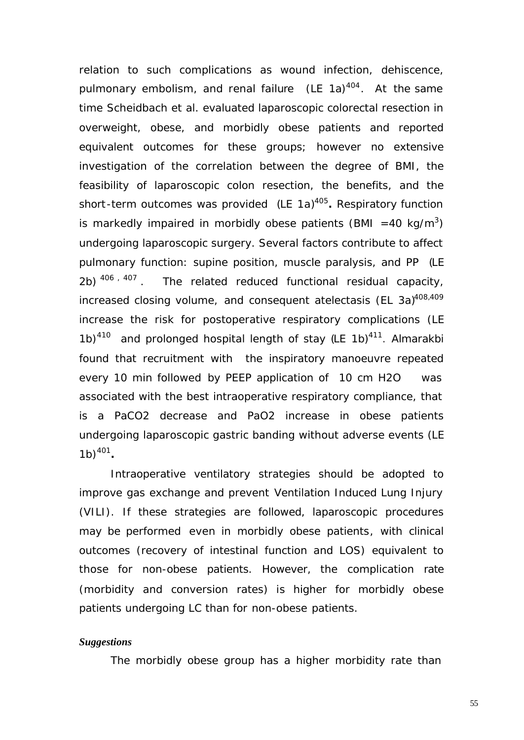relation to such complications as wound infection, dehiscence, pulmonary embolism, and renal failure (LE 1a)<sup>404</sup>. At the same time Scheidbach et al. evaluated laparoscopic colorectal resection in overweight, obese, and morbidly obese patients and reported equivalent outcomes for these groups; however no extensive investigation of the correlation between the degree of BMI, the feasibility of laparoscopic colon resection, the benefits, and the short-term outcomes was provided (LE 1a)<sup>405</sup>. Respiratory function is markedly impaired in morbidly obese patients (BMI =40 kg/m<sup>3</sup>) undergoing laparoscopic surgery. Several factors contribute to affect pulmonary function: supine position, muscle paralysis, and PP (LE  $2b)$   $406$ ,  $407$ The related reduced functional residual capacity, increased closing volume, and consequent atelectasis (EL 3a)<sup>408,409</sup> increase the risk for postoperative respiratory complications (LE 1b)<sup>410</sup> and prolonged hospital length of stay  $(LE 1b)^{411}$ . Almarakbi found that recruitment with the inspiratory manoeuvre repeated every 10 min followed by PEEP application of 10 cm H2O was associated with the best intraoperative respiratory compliance, that is a PaCO2 decrease and PaO2 increase in obese patients undergoing laparoscopic gastric banding without adverse events (LE  $1b)^{401}$ .

Intraoperative ventilatory strategies should be adopted to improve gas exchange and prevent Ventilation Induced Lung Injury (VILI). If these strategies are followed, laparoscopic procedures may be performed even in morbidly obese patients, with clinical outcomes (recovery of intestinal function and LOS) equivalent to those for non-obese patients. However, the complication rate (morbidity and conversion rates) is higher for morbidly obese patients undergoing LC than for non-obese patients.

#### *Suggestions*

The morbidly obese group has a higher morbidity rate than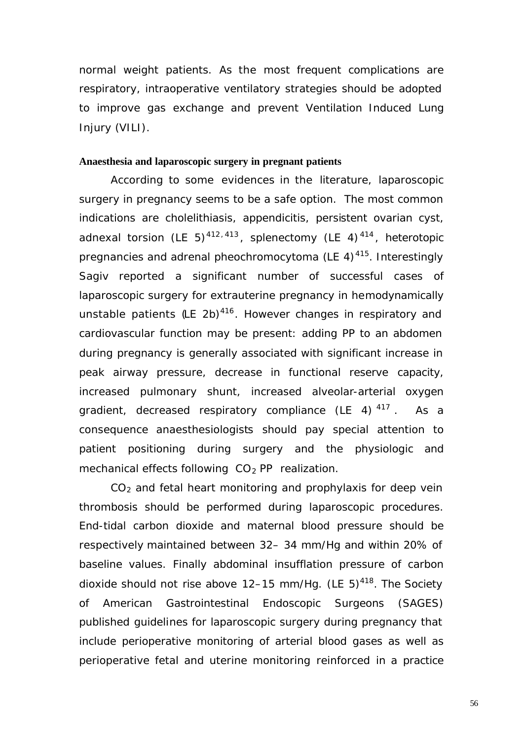normal weight patients. As the most frequent complications are respiratory, intraoperative ventilatory strategies should be adopted to improve gas exchange and prevent Ventilation Induced Lung Injury (VILI).

## **Anaesthesia and laparoscopic surgery in pregnant patients**

According to some evidences in the literature, laparoscopic surgery in pregnancy seems to be a safe option. The most common indications are cholelithiasis, appendicitis, persistent ovarian cyst, adnexal torsion (LE 5)<sup>412,413</sup>, splenectomy (LE 4)<sup>414</sup>, heterotopic pregnancies and adrenal pheochromocytoma (LE 4)<sup>415</sup>. Interestingly Sagiv reported a significant number of successful cases of laparoscopic surgery for extrauterine pregnancy in hemodynamically unstable patients (LE 2b)<sup>416</sup>. However changes in respiratory and cardiovascular function may be present: adding PP to an abdomen during pregnancy is generally associated with significant increase in peak airway pressure, decrease in functional reserve capacity, increased pulmonary shunt, increased alveolar-arterial oxygen gradient, decreased respiratory compliance (LE 4)  $417$ . As a consequence anaesthesiologists should pay special attention to patient positioning during surgery and the physiologic and mechanical effects following  $CO<sub>2</sub>$  PP realization.

 $CO<sub>2</sub>$  and fetal heart monitoring and prophylaxis for deep vein thrombosis should be performed during laparoscopic procedures. End-tidal carbon dioxide and maternal blood pressure should be respectively maintained between 32– 34 mm/Hg and within 20% of baseline values. Finally abdominal insufflation pressure of carbon dioxide should not rise above  $12-15$  mm/Hg. (LE  $5)^{418}$ . The Society of American Gastrointestinal Endoscopic Surgeons (SAGES) published guidelines for laparoscopic surgery during pregnancy that include perioperative monitoring of arterial blood gases as well as perioperative fetal and uterine monitoring reinforced in a practice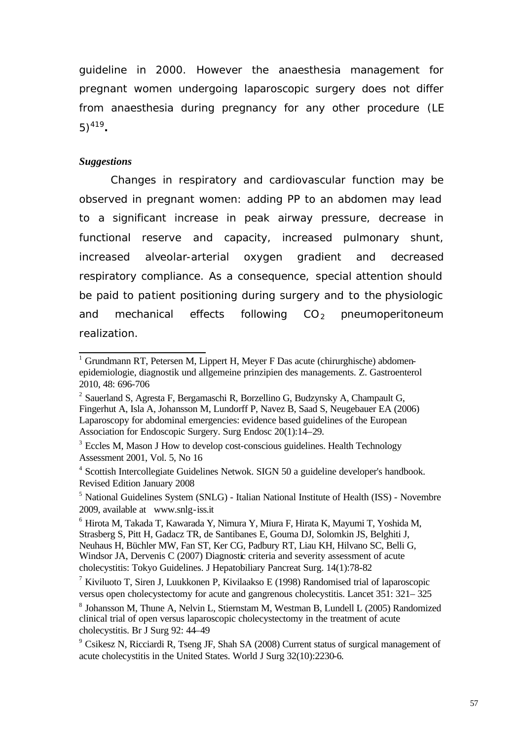guideline in 2000. However the anaesthesia management for pregnant women undergoing laparoscopic surgery does not differ from anaesthesia during pregnancy for any other procedure (LE 5)<sup>419</sup> **.**

#### *Suggestions*

Changes in respiratory and cardiovascular function may be observed in pregnant women: adding PP to an abdomen may lead to a significant increase in peak airway pressure, decrease in functional reserve and capacity, increased pulmonary shunt, increased alveolar-arterial oxygen gradient and decreased respiratory compliance. As a consequence, special attention should be paid to patient positioning during surgery and to the physiologic and mechanical effects following  $CO<sub>2</sub>$  pneumoperitoneum realization.

<sup>&</sup>lt;sup>1</sup> Grundmann RT, Petersen M, Lippert H, Meyer F Das acute (chirurghische) abdomenepidemiologie, diagnostik und allgemeine prinzipien des managements. Z. Gastroenterol 2010, 48: 696-706

<sup>&</sup>lt;sup>2</sup> Sauerland S, Agresta F, Bergamaschi R, Borzellino G, Budzynsky A, Champault G, Fingerhut A, Isla A, Johansson M, Lundorff P, Navez B, Saad S, Neugebauer EA (2006) Laparoscopy for abdominal emergencies: evidence based guidelines of the European Association for Endoscopic Surgery. Surg Endosc 20(1):14–29.

<sup>&</sup>lt;sup>3</sup> Eccles M, Mason J How to develop cost-conscious guidelines. Health Technology Assessment 2001, Vol. 5, No 16

<sup>&</sup>lt;sup>4</sup> Scottish Intercollegiate Guidelines Netwok. SIGN 50 a guideline developer's handbook. Revised Edition January 2008

<sup>&</sup>lt;sup>5</sup> National Guidelines System (SNLG) - Italian National Institute of Health (ISS) - Novembre 2009, available at www.snlg-iss.it

<sup>6</sup> Hirota M, Takada T, Kawarada Y, Nimura Y, Miura F, Hirata K, Mayumi T, Yoshida M, Strasberg S, Pitt H, Gadacz TR, de Santibanes E, Gouma DJ, Solomkin JS, Belghiti J, Neuhaus H, Büchler MW, Fan ST, Ker CG, Padbury RT, Liau KH, Hilvano SC, Belli G, Windsor JA, Dervenis C (2007) Diagnostic criteria and severity assessment of acute cholecystitis: Tokyo Guidelines. J Hepatobiliary Pancreat Surg. 14(1):78-82

 $^7$  Kiviluoto T, Siren J, Luukkonen P, Kivilaakso E (1998) Randomised trial of laparoscopic versus open cholecystectomy for acute and gangrenous cholecystitis. Lancet 351: 321– 325

<sup>&</sup>lt;sup>8</sup> Johansson M, Thune A, Nelvin L, Stiernstam M, Westman B, Lundell L (2005) Randomized clinical trial of open versus laparoscopic cholecystectomy in the treatment of acute cholecystitis. Br J Surg 92: 44–49

<sup>&</sup>lt;sup>9</sup> Csikesz N, Ricciardi R, Tseng JF, Shah SA (2008) Current status of surgical management of acute cholecystitis in the United States. World J Surg 32(10):2230-6.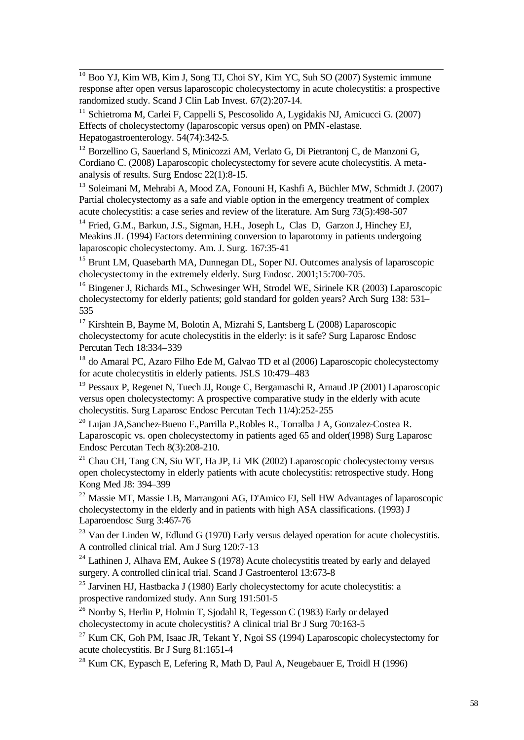l <sup>10</sup> Boo YJ, Kim WB, Kim J, Song TJ, Choi SY, Kim YC, Suh SO (2007) Systemic immune response after open versus laparoscopic cholecystectomy in acute cholecystitis: a prospective randomized study. Scand J Clin Lab Invest. 67(2):207-14.

<sup>11</sup> Schietroma M, Carlei F, Cappelli S, Pescosolido A, Lygidakis NJ, Amicucci G. (2007) Effects of cholecystectomy (laparoscopic versus open) on PMN-elastase. Hepatogastroenterology. 54(74):342-5.

<sup>12</sup> Borzellino G, Sauerland S, Minicozzi AM, Verlato G, Di Pietrantonj C, de Manzoni G, Cordiano C. (2008) Laparoscopic cholecystectomy for severe acute cholecystitis. A metaanalysis of results. Surg Endosc 22(1):8-15.

<sup>13</sup> Soleimani M, Mehrabi A, Mood ZA, Fonouni H, Kashfi A, Büchler MW, Schmidt J. (2007) Partial cholecystectomy as a safe and viable option in the emergency treatment of complex acute cholecystitis: a case series and review of the literature. Am Surg 73(5):498-507

<sup>14</sup> Fried, G.M., Barkun, J.S., Sigman, H.H., Joseph L, Clas D, Garzon J, Hinchey EJ, Meakins JL (1994) Factors determining conversion to laparotomy in patients undergoing laparoscopic cholecystectomy. Am. J. Surg. 167:35-41

<sup>15</sup> Brunt LM, Quasebarth MA, Dunnegan DL, Soper NJ. Outcomes analysis of laparoscopic cholecystectomy in the extremely elderly. Surg Endosc. 2001;15:700-705.

<sup>16</sup> Bingener J, Richards ML, Schwesinger WH, Strodel WE, Sirinele KR (2003) Laparoscopic cholecystectomy for elderly patients; gold standard for golden years? Arch Surg 138: 531– 535

<sup>17</sup> Kirshtein B, Bayme M, Bolotin A, Mizrahi S, Lantsberg L (2008) Laparoscopic cholecystectomy for acute cholecystitis in the elderly: is it safe? Surg Laparosc Endosc Percutan Tech 18:334–339

<sup>18</sup> do Amaral PC, Azaro Filho Ede M, Galvao TD et al (2006) Laparoscopic cholecystectomy for acute cholecystitis in elderly patients. JSLS 10:479–483

<sup>19</sup> Pessaux P, Regenet N, Tuech JJ, Rouge C, Bergamaschi R, Arnaud JP (2001) Laparoscopic versus open cholecystectomy: A prospective comparative study in the elderly with acute cholecystitis. Surg Laparosc Endosc Percutan Tech 11/4):252-255

<sup>20</sup> Lujan JA,Sanchez-Bueno F.,Parrilla P.,Robles R., Torralba J A, Gonzalez-Costea R. Laparoscopic vs. open cholecystectomy in patients aged 65 and older(1998) Surg Laparosc Endosc Percutan Tech 8(3):208-210.

 $21$  Chau CH, Tang CN, Siu WT, Ha JP, Li MK (2002) Laparoscopic cholecystectomy versus open cholecystectomy in elderly patients with acute cholecystitis: retrospective study. Hong Kong Med J8: 394–399

<sup>22</sup> Massie MT, Massie LB, Marrangoni AG, D'Amico FJ, Sell HW Advantages of laparoscopic cholecystectomy in the elderly and in patients with high ASA classifications. (1993) J Laparoendosc Surg 3:467-76

 $^{23}$  Van der Linden W, Edlund G (1970) Early versus delayed operation for acute cholecystitis. A controlled clinical trial. Am J Surg 120:7-13

 $24$  Lathinen J, Alhava EM, Aukee S (1978) Acute cholecystitis treated by early and delayed surgery. A controlled clinical trial. Scand J Gastroenterol 13:673-8

<sup>25</sup> Jarvinen HJ, Hastbacka J (1980) Early cholecystectomy for acute cholecystitis: a prospective randomized study. Ann Surg 191:501-5

<sup>26</sup> Norrby S, Herlin P, Holmin T, Sjodahl R, Tegesson C (1983) Early or delayed cholecystectomy in acute cholecystitis? A clinical trial Br J Surg 70:163-5

<sup>27</sup> Kum CK, Goh PM, Isaac JR, Tekant Y, Ngoi SS (1994) Laparoscopic cholecystectomy for acute cholecystitis. Br J Surg 81:1651-4

<sup>28</sup> Kum CK, Eypasch E, Lefering R, Math D, Paul A, Neugebauer E, Troidl H (1996)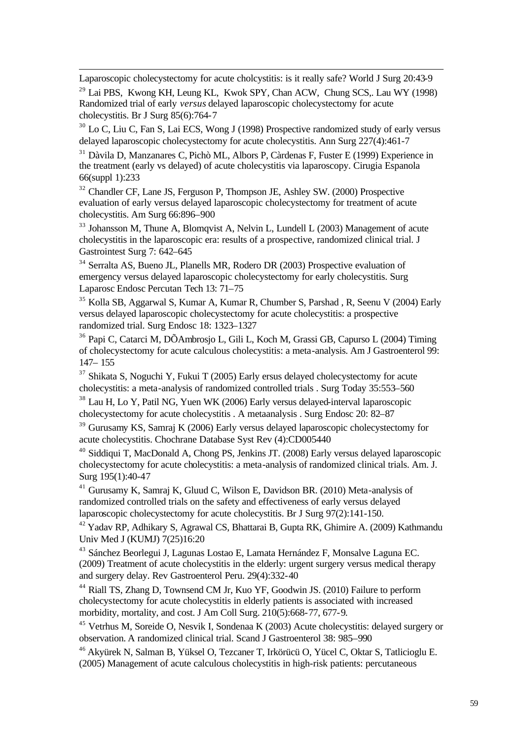Laparoscopic cholecystectomy for acute cholcystitis: is it really safe? World J Surg 20:43-9

l

 $^{29}$  Lai PBS, Kwong KH, Leung KL, Kwok SPY, Chan ACW, Chung SCS, Lau WY (1998) Randomized trial of early *versus* delayed laparoscopic cholecystectomy for acute cholecystitis. Br J Surg 85(6):764-7

<sup>30</sup> Lo C, Liu C, Fan S, Lai ECS, Wong J (1998) Prospective randomized study of early versus delayed laparoscopic cholecystectomy for acute cholecystitis. Ann Surg 227(4):461-7

<sup>31</sup> Dàvila D, Manzanares C, Pichò ML, Albors P, Càrdenas F, Fuster E (1999) Experience in the treatment (early vs delayed) of acute cholecystitis via laparoscopy. Cirugia Espanola 66(suppl 1):233

 $32$  Chandler CF, Lane JS, Ferguson P, Thompson JE, Ashley SW. (2000) Prospective evaluation of early versus delayed laparoscopic cholecystectomy for treatment of acute cholecystitis. Am Surg 66:896–900

<sup>33</sup> Johansson M, Thune A, Blomqvist A, Nelvin L, Lundell L (2003) Management of acute cholecystitis in the laparoscopic era: results of a prospective, randomized clinical trial. J Gastrointest Surg 7: 642–645

<sup>34</sup> Serralta AS, Bueno JL, Planells MR, Rodero DR (2003) Prospective evaluation of emergency versus delayed laparoscopic cholecystectomy for early cholecystitis. Surg Laparosc Endosc Percutan Tech 13: 71–75

<sup>35</sup> Kolla SB, Aggarwal S, Kumar A, Kumar R, Chumber S, Parshad , R, Seenu V (2004) Early versus delayed laparoscopic cholecystectomy for acute cholecystitis: a prospective randomized trial. Surg Endosc 18: 1323–1327

<sup>36</sup> Papi C, Catarci M, DÕAmbrosjo L, Gili L, Koch M, Grassi GB, Capurso L (2004) Timing of cholecystectomy for acute calculous cholecystitis: a meta-analysis. Am J Gastroenterol 99: 147– 155

 $37$  Shikata S, Noguchi Y, Fukui T (2005) Early ersus delayed cholecystectomy for acute cholecystitis: a meta-analysis of randomized controlled trials . Surg Today 35:553–560

<sup>38</sup> Lau H, Lo Y, Patil NG, Yuen WK (2006) Early versus delayed-interval laparoscopic cholecystectomy for acute cholecystitis . A metaanalysis . Surg Endosc 20: 82–87

<sup>39</sup> Gurusamy KS, Samraj K (2006) Early versus delayed laparoscopic cholecystectomy for acute cholecystitis. Chochrane Database Syst Rev (4):CD005440

<sup>40</sup> Siddiqui T, MacDonald A, Chong PS, Jenkins JT. (2008) Early versus delayed laparoscopic cholecystectomy for acute cholecystitis: a meta-analysis of randomized clinical trials. Am. J. Surg 195(1):40-47

<sup>41</sup> Gurusamy K, Samraj K, Gluud C, Wilson E, Davidson BR. (2010) Meta-analysis of randomized controlled trials on the safety and effectiveness of early versus delayed laparoscopic cholecystectomy for acute cholecystitis. Br J Surg 97(2):141-150.

<sup>42</sup> Yadav RP, Adhikary S, Agrawal CS, Bhattarai B, Gupta RK, Ghimire A. (2009) Kathmandu Univ Med J (KUMJ) 7(25)16:20

<sup>43</sup> Sánchez Beorlegui J, Lagunas Lostao E, Lamata Hernández F, Monsalve Laguna EC. (2009) Treatment of acute cholecystitis in the elderly: urgent surgery versus medical therapy and surgery delay. Rev Gastroenterol Peru. 29(4):332-40

<sup>44</sup> Riall TS, Zhang D, Townsend CM Jr, Kuo YF, Goodwin JS. (2010) Failure to perform cholecystectomy for acute cholecystitis in elderly patients is associated with increased morbidity, mortality, and cost. J Am Coll Surg. 210(5):668-77, 677-9.

<sup>45</sup> Vetrhus M, Soreide O, Nesvik I, Sondenaa K (2003) Acute cholecystitis: delayed surgery or observation. A randomized clinical trial. Scand J Gastroenterol 38: 985–990

<sup>46</sup> Akyürek N, Salman B, Yüksel O, Tezcaner T, Irkörücü O, Yücel C, Oktar S, Tatlicioglu E. (2005) Management of acute calculous cholecystitis in high-risk patients: percutaneous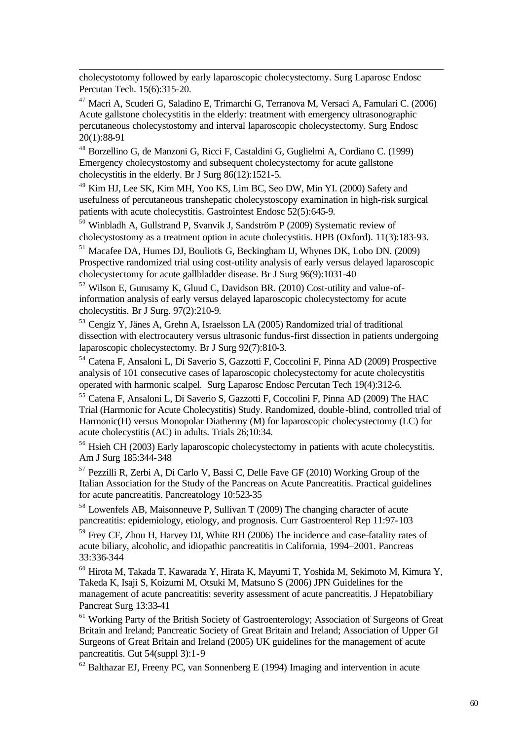cholecystotomy followed by early laparoscopic cholecystectomy. Surg Laparosc Endosc Percutan Tech. 15(6):315-20.

l

<sup>47</sup> Macrì A, Scuderi G, Saladino E, Trimarchi G, Terranova M, Versaci A, Famulari C. (2006) Acute gallstone cholecystitis in the elderly: treatment with emergency ultrasonographic percutaneous cholecystostomy and interval laparoscopic cholecystectomy. Surg Endosc 20(1):88-91

<sup>48</sup> Borzellino G, de Manzoni G, Ricci F, Castaldini G, Guglielmi A, Cordiano C. (1999) Emergency cholecystostomy and subsequent cholecystectomy for acute gallstone cholecystitis in the elderly. Br J Surg 86(12):1521-5.

<sup>49</sup> Kim HJ, Lee SK, Kim MH, Yoo KS, Lim BC, Seo DW, Min YI. (2000) Safety and usefulness of percutaneous transhepatic cholecystoscopy examination in high-risk surgical patients with acute cholecystitis. Gastrointest Endosc 52(5):645-9.

<sup>50</sup> Winbladh A, Gullstrand P, Svanvik J, Sandström P (2009) Systematic review of cholecystostomy as a treatment option in acute cholecystitis. HPB (Oxford). 11(3):183-93.

<sup>51</sup> Macafee DA, Humes DJ, Bouliotis G, Beckingham IJ, Whynes DK, Lobo DN. (2009) Prospective randomized trial using cost-utility analysis of early versus delayed laparoscopic cholecystectomy for acute gallbladder disease. Br J Surg 96(9):1031-40

<sup>52</sup> Wilson E, Gurusamy K, Gluud C, Davidson BR. (2010) Cost-utility and value-ofinformation analysis of early versus delayed laparoscopic cholecystectomy for acute cholecystitis. Br J Surg. 97(2):210-9.

<sup>53</sup> Cengiz Y, Jänes A, Grehn A, Israelsson LA (2005) Randomized trial of traditional dissection with electrocautery versus ultrasonic fundus-first dissection in patients undergoing laparoscopic cholecystectomy. Br J Surg 92(7):810-3.

<sup>54</sup> Catena F, Ansaloni L, Di Saverio S, Gazzotti F, Coccolini F, Pinna AD (2009) Prospective analysis of 101 consecutive cases of laparoscopic cholecystectomy for acute cholecystitis operated with harmonic scalpel. Surg Laparosc Endosc Percutan Tech 19(4):312-6.

<sup>55</sup> Catena F, Ansaloni L, Di Saverio S, Gazzotti F, Coccolini F, Pinna AD (2009) The HAC Trial (Harmonic for Acute Cholecystitis) Study. Randomized, double -blind, controlled trial of Harmonic(H) versus Monopolar Diathermy (M) for laparoscopic cholecystectomy (LC) for acute cholecystitis (AC) in adults. Trials 26;10:34.

<sup>56</sup> Hsieh CH (2003) Early laparoscopic cholecystectomy in patients with acute cholecystitis. Am J Surg 185:344-348

<sup>57</sup> Pezzilli R, Zerbi A, Di Carlo V, Bassi C, Delle Fave GF (2010) Working Group of the Italian Association for the Study of the Pancreas on Acute Pancreatitis. Practical guidelines for acute pancreatitis. Pancreatology 10:523-35

<sup>58</sup> Lowenfels AB, Maisonneuve P, Sullivan T (2009) The changing character of acute pancreatitis: epidemiology, etiology, and prognosis. Curr Gastroenterol Rep 11:97-103

<sup>59</sup> Frey CF, Zhou H, Harvey DJ, White RH (2006) The incidence and case-fatality rates of acute biliary, alcoholic, and idiopathic pancreatitis in California, 1994–2001. Pancreas 33:336-344

<sup>60</sup> Hirota M, Takada T, Kawarada Y, Hirata K, Mayumi T, Yoshida M, Sekimoto M, Kimura Y, Takeda K, Isaji S, Koizumi M, Otsuki M, Matsuno S (2006) JPN Guidelines for the management of acute pancreatitis: severity assessment of acute pancreatitis. J Hepatobiliary Pancreat Surg 13:33-41

<sup>61</sup> Working Party of the British Society of Gastroenterology; Association of Surgeons of Great Britain and Ireland; Pancreatic Society of Great Britain and Ireland; Association of Upper GI Surgeons of Great Britain and Ireland (2005) UK guidelines for the management of acute pancreatitis. Gut 54(suppl 3):1-9

 $62$  Balthazar EJ, Freeny PC, van Sonnenberg E (1994) Imaging and intervention in acute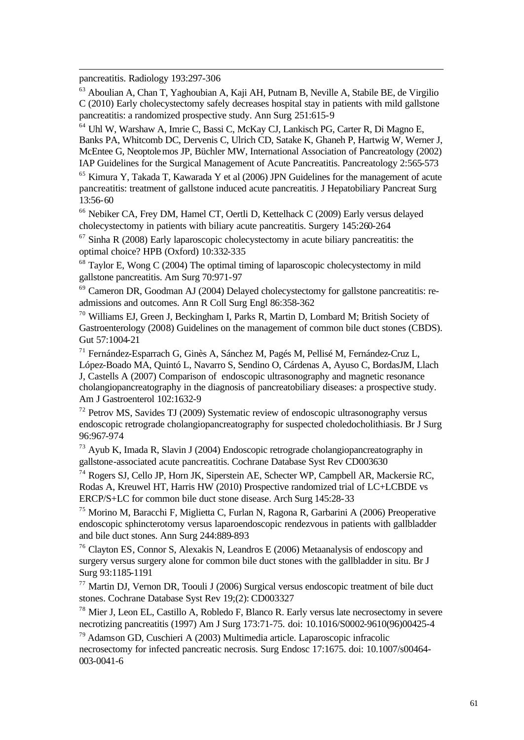pancreatitis. Radiology 193:297-306

l

<sup>63</sup> Aboulian A, Chan T, Yaghoubian A, Kaji AH, Putnam B, Neville A, Stabile BE, de Virgilio C (2010) Early cholecystectomy safely decreases hospital stay in patients with mild gallstone pancreatitis: a randomized prospective study. Ann Surg 251:615-9

<sup>64</sup> Uhl W, Warshaw A, Imrie C, Bassi C, McKay CJ, Lankisch PG, Carter R, Di Magno E, Banks PA, Whitcomb DC, Dervenis C, Ulrich CD, Satake K, Ghaneh P, Hartwig W, Werner J, McEntee G, Neoptolemos JP, Büchler MW, International Association of Pancreatology (2002) IAP Guidelines for the Surgical Management of Acute Pancreatitis. Pancreatology 2:565-573

<sup>65</sup> Kimura Y, Takada T, Kawarada Y et al (2006) JPN Guidelines for the management of acute pancreatitis: treatment of gallstone induced acute pancreatitis. J Hepatobiliary Pancreat Surg 13:56-60

<sup>66</sup> Nebiker CA, Frey DM, Hamel CT, Oertli D, Kettelhack C (2009) Early versus delayed cholecystectomy in patients with biliary acute pancreatitis. Surgery 145:260-264

<sup>67</sup> Sinha R (2008) Early laparoscopic cholecystectomy in acute biliary pancreatitis: the optimal choice? HPB (Oxford) 10:332-335

 $68$  Taylor E, Wong C (2004) The optimal timing of laparoscopic cholecystectomy in mild gallstone pancreatitis. Am Surg 70:971-97

 $69$  Cameron DR, Goodman AJ (2004) Delayed cholecystectomy for gallstone pancreatitis: readmissions and outcomes. Ann R Coll Surg Engl 86:358-362

<sup>70</sup> Williams EJ, Green J, Beckingham I, Parks R, Martin D, Lombard M; British Society of Gastroenterology (2008) Guidelines on the management of common bile duct stones (CBDS). Gut 57:1004-21

<sup>71</sup> Fernández-Esparrach G, Ginès A, Sánchez M, Pagés M, Pellisé M, Fernández-Cruz L, López-Boado MA, Quintó L, Navarro S, Sendino O, Cárdenas A, Ayuso C, BordasJM, Llach J, Castells A (2007) Comparison of endoscopic ultrasonography and magnetic resonance cholangiopancreatography in the diagnosis of pancreatobiliary diseases: a prospective study. Am J Gastroenterol 102:1632-9

 $72$  Petrov MS, Savides TJ (2009) Systematic review of endoscopic ultrasonography versus endoscopic retrograde cholangiopancreatography for suspected choledocholithiasis. Br J Surg 96:967-974

<sup>73</sup> Ayub K, Imada R, Slavin J (2004) Endoscopic retrograde cholangiopancreatography in gallstone-associated acute pancreatitis. Cochrane Database Syst Rev CD003630

<sup>74</sup> Rogers SJ, Cello JP, Horn JK, Siperstein AE, Schecter WP, Campbell AR, Mackersie RC, Rodas A, Kreuwel HT, Harris HW (2010) Prospective randomized trial of LC+LCBDE vs ERCP/S+LC for common bile duct stone disease. Arch Surg 145:28-33

<sup>75</sup> Morino M, Baracchi F, Miglietta C, Furlan N, Ragona R, Garbarini A (2006) Preoperative endoscopic sphincterotomy versus laparoendoscopic rendezvous in patients with gallbladder and bile duct stones. Ann Surg 244:889-893

<sup>76</sup> Clayton ES, Connor S, Alexakis N, Leandros E (2006) Metaanalysis of endoscopy and surgery versus surgery alone for common bile duct stones with the gallbladder in situ. Br J Surg 93:1185-1191

<sup>77</sup> Martin DJ, Vernon DR, Toouli J (2006) Surgical versus endoscopic treatment of bile duct stones. Cochrane Database Syst Rev 19;(2): CD003327

<sup>78</sup> Mier J, Leon EL, Castillo A, Robledo F, Blanco R. Early versus late necrosectomy in severe necrotizing pancreatitis (1997) Am J Surg 173:71-75. doi: 10.1016/S0002-9610(96)00425-4

<sup>79</sup> Adamson GD, Cuschieri A (2003) Multimedia article. Laparoscopic infracolic necrosectomy for infected pancreatic necrosis. Surg Endosc 17:1675. doi: 10.1007/s00464- 003-0041-6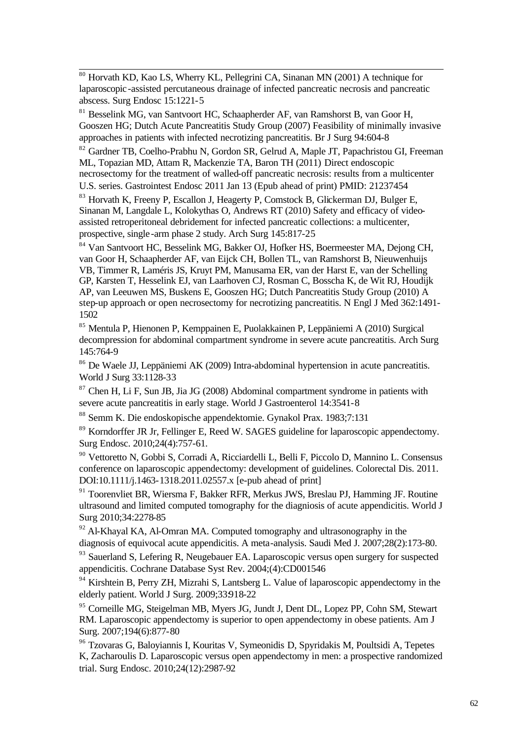l <sup>80</sup> Horvath KD, Kao LS, Wherry KL, Pellegrini CA, Sinanan MN (2001) A technique for laparoscopic-assisted percutaneous drainage of infected pancreatic necrosis and pancreatic abscess. Surg Endosc 15:1221-5

<sup>81</sup> Besselink MG, van Santvoort HC, Schaapherder AF, van Ramshorst B, van Goor H, Gooszen HG; Dutch Acute Pancreatitis Study Group (2007) Feasibility of minimally invasive approaches in patients with infected necrotizing pancreatitis. Br J Surg 94:604-8

<sup>82</sup> Gardner TB, Coelho-Prabhu N, Gordon SR, Gelrud A, Maple JT, Papachristou GI, Freeman ML, Topazian MD, Attam R, Mackenzie TA, Baron TH (2011) Direct endoscopic necrosectomy for the treatment of walled-off pancreatic necrosis: results from a multicenter U.S. series. Gastrointest Endosc 2011 Jan 13 (Epub ahead of print) PMID: 21237454

<sup>83</sup> Horvath K, Freeny P, Escallon J, Heagerty P, Comstock B, Glickerman DJ, Bulger E, Sinanan M, Langdale L, Kolokythas O, Andrews RT (2010) Safety and efficacy of videoassisted retroperitoneal debridement for infected pancreatic collections: a multicenter, prospective, single -arm phase 2 study. Arch Surg 145:817-25

<sup>84</sup> Van Santvoort HC, Besselink MG, Bakker OJ, Hofker HS, Boermeester MA, Dejong CH, van Goor H, Schaapherder AF, van Eijck CH, Bollen TL, van Ramshorst B, Nieuwenhuijs VB, Timmer R, Laméris JS, Kruyt PM, Manusama ER, van der Harst E, van der Schelling GP, Karsten T, Hesselink EJ, van Laarhoven CJ, Rosman C, Bosscha K, de Wit RJ, Houdijk AP, van Leeuwen MS, Buskens E, Gooszen HG; Dutch Pancreatitis Study Group (2010) A step-up approach or open necrosectomy for necrotizing pancreatitis. N Engl J Med 362:1491- 1502

<sup>85</sup> Mentula P, Hienonen P, Kemppainen E, Puolakkainen P, Leppäniemi A (2010) Surgical decompression for abdominal compartment syndrome in severe acute pancreatitis. Arch Surg 145:764-9

<sup>86</sup> De Waele JJ, Leppäniemi AK (2009) Intra-abdominal hypertension in acute pancreatitis. World J Surg 33:1128-33

 $87$  Chen H, Li F, Sun JB, Jia JG (2008) Abdominal compartment syndrome in patients with severe acute pancreatitis in early stage. World J Gastroenterol 14:3541-8

<sup>88</sup> Semm K. Die endoskopische appendektomie. Gynakol Prax. 1983;7:131

<sup>89</sup> Korndorffer JR Jr, Fellinger E, Reed W. SAGES guideline for laparoscopic appendectomy. Surg Endosc. 2010;24(4):757-61.

<sup>90</sup> Vettoretto N, Gobbi S, Corradi A, Ricciardelli L, Belli F, Piccolo D, Mannino L. Consensus conference on laparoscopic appendectomy: development of guidelines. Colorectal Dis. 2011. DOI:10.1111/j.1463-1318.2011.02557.x [e-pub ahead of print]

<sup>91</sup> Toorenvliet BR, Wiersma F, Bakker RFR, Merkus JWS, Breslau PJ, Hamming JF. Routine ultrasound and limited computed tomography for the diagniosis of acute appendicitis. World J Surg 2010;34:2278-85

 $92$  Al-Khayal KA, Al-Omran MA. Computed tomography and ultrasonography in the diagnosis of equivocal acute appendicitis. A meta-analysis. Saudi Med J. 2007;28(2):173-80.

<sup>93</sup> Sauerland S, Lefering R, Neugebauer EA. Laparoscopic versus open surgery for suspected appendicitis. Cochrane Database Syst Rev. 2004;(4):CD001546

 $94$  Kirshtein B, Perry ZH, Mizrahi S, Lantsberg L. Value of laparoscopic appendectomy in the elderly patient. World J Surg. 2009;33918-22

<sup>95</sup> Corneille MG, Steigelman MB, Myers JG, Jundt J, Dent DL, Lopez PP, Cohn SM, Stewart RM. Laparoscopic appendectomy is superior to open appendectomy in obese patients. Am J Surg. 2007;194(6):877-80

<sup>96</sup> Tzovaras G, Baloyiannis I, Kouritas V, Symeonidis D, Spyridakis M, Poultsidi A, Tepetes K, Zacharoulis D. Laparoscopic versus open appendectomy in men: a prospective randomized trial. Surg Endosc. 2010;24(12):2987-92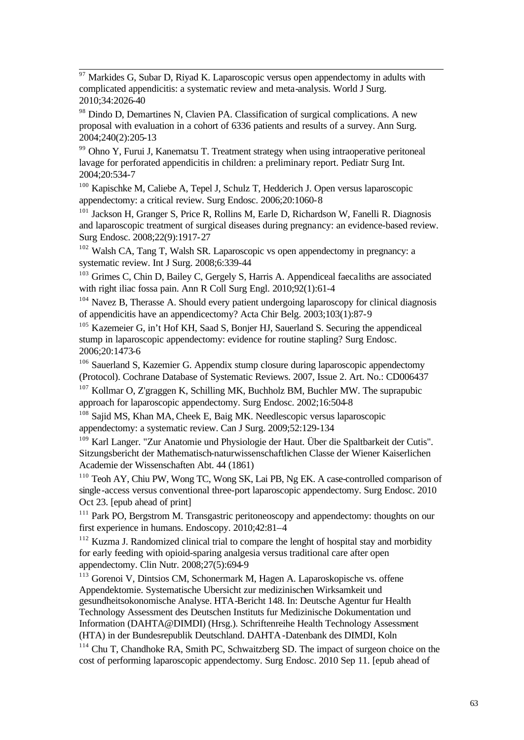$\overline{97}$ Markides G, Subar D, Riyad K. Laparoscopic versus open appendectomy in adults with complicated appendicitis: a systematic review and meta-analysis. World J Surg. 2010;34:2026-40

<sup>98</sup> Dindo D, Demartines N, Clavien PA. Classification of surgical complications. A new proposal with evaluation in a cohort of 6336 patients and results of a survey. Ann Surg. 2004;240(2):205-13

<sup>99</sup> Ohno Y, Furui J, Kanematsu T. Treatment strategy when using intraoperative peritoneal lavage for perforated appendicitis in children: a preliminary report. Pediatr Surg Int. 2004;20:534-7

<sup>100</sup> Kapischke M, Caliebe A, Tepel J, Schulz T, Hedderich J. Open versus laparoscopic appendectomy: a critical review. Surg Endosc. 2006;20:1060-8

<sup>101</sup> Jackson H, Granger S, Price R, Rollins M, Earle D, Richardson W, Fanelli R. Diagnosis and laparoscopic treatment of surgical diseases during pregnancy: an evidence-based review. Surg Endosc. 2008;22(9):1917-27

 $102$  Walsh CA, Tang T, Walsh SR. Laparoscopic vs open appendectomy in pregnancy: a systematic review. Int J Surg. 2008;6:339-44

<sup>103</sup> Grimes C, Chin D, Bailey C, Gergely S, Harris A. Appendiceal faecaliths are associated with right iliac fossa pain. Ann R Coll Surg Engl. 2010;92(1):61-4

 $104$  Navez B, Therasse A. Should every patient undergoing laparoscopy for clinical diagnosis of appendicitis have an appendicectomy? Acta Chir Belg. 2003;103(1):87-9

<sup>105</sup> Kazemeier G, in't Hof KH, Saad S, Bonjer HJ, Sauerland S. Securing the appendiceal stump in laparoscopic appendectomy: evidence for routine stapling? Surg Endosc. 2006;20:1473-6

<sup>106</sup> Sauerland S, Kazemier G. Appendix stump closure during laparoscopic appendectomy (Protocol). Cochrane Database of Systematic Reviews. 2007, Issue 2. Art. No.: CD006437

<sup>107</sup> Kollmar O, Z'graggen K, Schilling MK, Buchholz BM, Buchler MW. The suprapubic approach for laparoscopic appendectomy. Surg Endosc. 2002;16:504-8

<sup>108</sup> Sajid MS, Khan MA, Cheek E, Baig MK. Needlescopic versus laparoscopic appendectomy: a systematic review. Can J Surg. 2009;52:129-134

<sup>109</sup> Karl Langer. "Zur Anatomie und Physiologie der Haut. Über die Spaltbarkeit der Cutis". Sitzungsbericht der Mathematisch-naturwissenschaftlichen Classe der Wiener Kaiserlichen Academie der Wissenschaften Abt. 44 (1861)

<sup>110</sup> Teoh AY, Chiu PW, Wong TC, Wong SK, Lai PB, Ng EK. A case-controlled comparison of single-access versus conventional three-port laparoscopic appendectomy. Surg Endosc. 2010 Oct 23. [epub ahead of print]

<sup>111</sup> Park PO, Bergstrom M. Transgastric peritoneoscopy and appendectomy: thoughts on our first experience in humans. Endoscopy. 2010;42:81–4

<sup>112</sup> Kuzma J. Randomized clinical trial to compare the lenght of hospital stay and morbidity for early feeding with opioid-sparing analgesia versus traditional care after open appendectomy. Clin Nutr. 2008;27(5):694-9

<sup>113</sup> Gorenoi V, Dintsios CM, Schonermark M, Hagen A. Laparoskopische vs. offene Appendektomie. Systematische Ubersicht zur medizinischen Wirksamkeit und gesundheitsokonomische Analyse. HTA-Bericht 148. In: Deutsche Agentur fur Health Technology Assessment des Deutschen Instituts fur Medizinische Dokumentation und Information (DAHTA@DIMDI) (Hrsg.). Schriftenreihe Health Technology Assessment (HTA) in der Bundesrepublik Deutschland. DAHTA-Datenbank des DIMDI, Koln

<sup>114</sup> Chu T, Chandhoke RA, Smith PC, Schwaitzberg SD. The impact of surgeon choice on the cost of performing laparoscopic appendectomy. Surg Endosc. 2010 Sep 11. [epub ahead of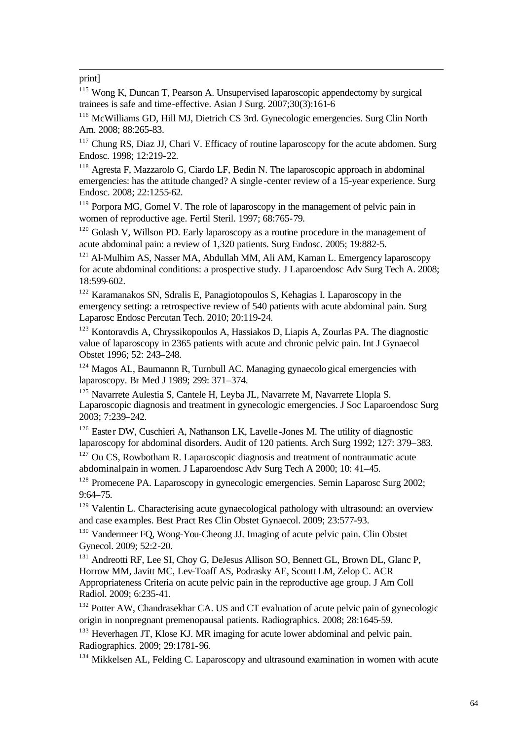#### print]

l

<sup>115</sup> Wong K, Duncan T, Pearson A. Unsupervised laparoscopic appendectomy by surgical trainees is safe and time-effective. Asian J Surg. 2007;30(3):161-6

<sup>116</sup> McWilliams GD, Hill MJ, Dietrich CS 3rd. Gynecologic emergencies. Surg Clin North Am. 2008; 88:265-83.

<sup>117</sup> Chung RS, Diaz JJ, Chari V. Efficacy of routine laparoscopy for the acute abdomen. Surg Endosc. 1998; 12:219-22.

<sup>118</sup> Agresta F, Mazzarolo G, Ciardo LF, Bedin N. The laparoscopic approach in abdominal emergencies: has the attitude changed? A single -center review of a 15-year experience. Surg Endosc. 2008; 22:1255-62.

<sup>119</sup> Porpora MG, Gomel V. The role of laparoscopy in the management of pelvic pain in women of reproductive age. Fertil Steril. 1997; 68:765-79.

<sup>120</sup> Golash V, Willson PD. Early laparoscopy as a routine procedure in the management of acute abdominal pain: a review of 1,320 patients. Surg Endosc. 2005; 19:882-5.

 $121$  Al-Mulhim AS, Nasser MA, Abdullah MM, Ali AM, Kaman L. Emergency laparoscopy for acute abdominal conditions: a prospective study. J Laparoendosc Adv Surg Tech A. 2008; 18:599-602.

<sup>122</sup> Karamanakos SN, Sdralis E, Panagiotopoulos S, Kehagias I. Laparoscopy in the emergency setting: a retrospective review of 540 patients with acute abdominal pain. Surg Laparosc Endosc Percutan Tech. 2010; 20:119-24.

<sup>123</sup> Kontoravdis A, Chryssikopoulos A, Hassiakos D, Liapis A, Zourlas PA. The diagnostic value of laparoscopy in 2365 patients with acute and chronic pelvic pain. Int J Gynaecol Obstet 1996; 52: 243–248.

 $124$  Magos AL, Baumannn R, Turnbull AC. Managing gynaecological emergencies with laparoscopy. Br Med J 1989; 299: 371–374.

<sup>125</sup> Navarrete Aulestia S, Cantele H, Leyba JL, Navarrete M, Navarrete Llopla S. Laparoscopic diagnosis and treatment in gynecologic emergencies. J Soc Laparoendosc Surg 2003; 7:239–242.

<sup>126</sup> Easter DW, Cuschieri A, Nathanson LK, Lavelle-Jones M. The utility of diagnostic laparoscopy for abdominal disorders. Audit of 120 patients. Arch Surg 1992; 127: 379–383.

 $127$  Ou CS, Rowbotham R. Laparoscopic diagnosis and treatment of nontraumatic acute abdominal pain in women. J Laparoendosc Adv Surg Tech A 2000; 10: 41–45.

<sup>128</sup> Promecene PA. Laparoscopy in gynecologic emergencies. Semin Laparosc Surg 2002; 9:64–75.

<sup>129</sup> Valentin L. Characterising acute gynaecological pathology with ultrasound: an overview and case examples. Best Pract Res Clin Obstet Gynaecol. 2009; 23:577-93.

<sup>130</sup> Vandermeer FO, Wong-You-Cheong JJ. Imaging of acute pelvic pain. Clin Obstet Gynecol. 2009; 52:2-20.

<sup>131</sup> Andreotti RF, Lee SI, Choy G, DeJesus Allison SO, Bennett GL, Brown DL, Glanc P, Horrow MM, Javitt MC, Lev-Toaff AS, Podrasky AE, Scoutt LM, Zelop C. ACR Appropriateness Criteria on acute pelvic pain in the reproductive age group. J Am Coll Radiol. 2009; 6:235-41.

<sup>132</sup> Potter AW, Chandrasekhar CA. US and CT evaluation of acute pelvic pain of gynecologic origin in nonpregnant premenopausal patients. Radiographics. 2008; 28:1645-59.

<sup>133</sup> Heverhagen JT, Klose KJ. MR imaging for acute lower abdominal and pelvic pain. Radiographics. 2009; 29:1781-96.

<sup>134</sup> Mikkelsen AL, Felding C. Laparoscopy and ultrasound examination in women with acute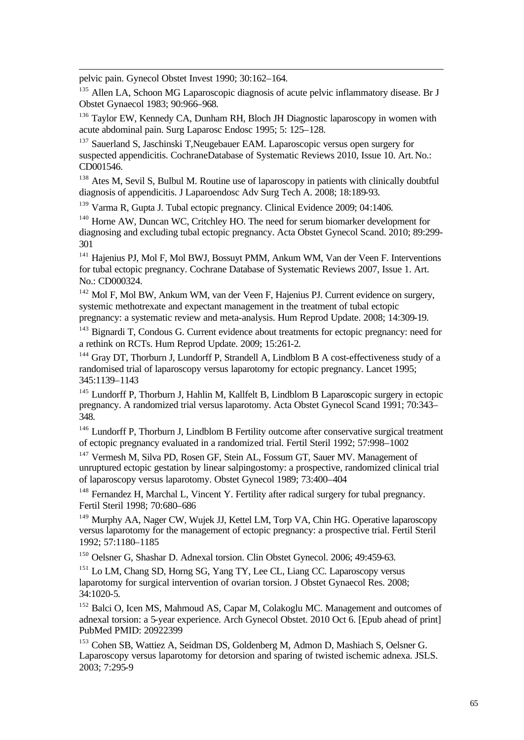pelvic pain. Gynecol Obstet Invest 1990; 30:162–164.

l

<sup>135</sup> Allen LA, Schoon MG Laparoscopic diagnosis of acute pelvic inflammatory disease. Br J Obstet Gynaecol 1983; 90:966–968.

<sup>136</sup> Taylor EW, Kennedy CA, Dunham RH, Bloch JH Diagnostic laparoscopy in women with acute abdominal pain. Surg Laparosc Endosc 1995; 5: 125–128.

<sup>137</sup> Sauerland S, Jaschinski T,Neugebauer EAM. Laparoscopic versus open surgery for suspected appendicitis. CochraneDatabase of Systematic Reviews 2010, Issue 10. Art. No.: CD001546.

<sup>138</sup> Ates M, Sevil S, Bulbul M. Routine use of laparoscopy in patients with clinically doubtful diagnosis of appendicitis. J Laparoendosc Adv Surg Tech A. 2008; 18:189-93.

<sup>139</sup> Varma R, Gupta J. Tubal ectopic pregnancy. Clinical Evidence 2009; 04:1406.

<sup>140</sup> Horne AW, Duncan WC, Critchley HO. The need for serum biomarker development for diagnosing and excluding tubal ectopic pregnancy. Acta Obstet Gynecol Scand. 2010; 89:299- 301

<sup>141</sup> Hajenius PJ, Mol F, Mol BWJ, Bossuyt PMM, Ankum WM, Van der Veen F. Interventions for tubal ectopic pregnancy. Cochrane Database of Systematic Reviews 2007, Issue 1. Art. No.: CD000324.

<sup>142</sup> Mol F, Mol BW, Ankum WM, van der Veen F, Hajenius PJ. Current evidence on surgery, systemic methotrexate and expectant management in the treatment of tubal ectopic pregnancy: a systematic review and meta-analysis. Hum Reprod Update. 2008; 14:309-19.

<sup>143</sup> Bignardi T, Condous G. Current evidence about treatments for ectopic pregnancy: need for a rethink on RCTs. Hum Reprod Update. 2009; 15:261-2.

<sup>144</sup> Gray DT, Thorburn J, Lundorff P, Strandell A, Lindblom B A cost-effectiveness study of a randomised trial of laparoscopy versus laparotomy for ectopic pregnancy. Lancet 1995; 345:1139–1143

<sup>145</sup> Lundorff P, Thorburn J, Hahlin M, Kallfelt B, Lindblom B Laparoscopic surgery in ectopic pregnancy. A randomized trial versus laparotomy. Acta Obstet Gynecol Scand 1991; 70:343– 348.

<sup>146</sup> Lundorff P, Thorburn J, Lindblom B Fertility outcome after conservative surgical treatment of ectopic pregnancy evaluated in a randomized trial. Fertil Steril 1992; 57:998–1002

<sup>147</sup> Vermesh M, Silva PD, Rosen GF, Stein AL, Fossum GT, Sauer MV. Management of unruptured ectopic gestation by linear salpingostomy: a prospective, randomized clinical trial of laparoscopy versus laparotomy. Obstet Gynecol 1989; 73:400–404

<sup>148</sup> Fernandez H, Marchal L, Vincent Y. Fertility after radical surgery for tubal pregnancy. Fertil Steril 1998; 70:680–686

<sup>149</sup> Murphy AA, Nager CW, Wujek JJ, Kettel LM, Torp VA, Chin HG. Operative laparoscopy versus laparotomy for the management of ectopic pregnancy: a prospective trial. Fertil Steril 1992; 57:1180–1185

<sup>150</sup> Oelsner G, Shashar D. Adnexal torsion. Clin Obstet Gynecol. 2006; 49:459-63.

<sup>151</sup> Lo LM, Chang SD, Horng SG, Yang TY, Lee CL, Liang CC. Laparoscopy versus laparotomy for surgical intervention of ovarian torsion. J Obstet Gynaecol Res. 2008;  $34:1020-5.$ 

<sup>152</sup> Balci O, Icen MS, Mahmoud AS, Capar M, Colakoglu MC. Management and outcomes of adnexal torsion: a 5-year experience. Arch Gynecol Obstet. 2010 Oct 6. [Epub ahead of print] PubMed PMID: 20922399

<sup>153</sup> Cohen SB, Wattiez A, Seidman DS, Goldenberg M, Admon D, Mashiach S, Oelsner G. Laparoscopy versus laparotomy for detorsion and sparing of twisted ischemic adnexa. JSLS. 2003; 7:295-9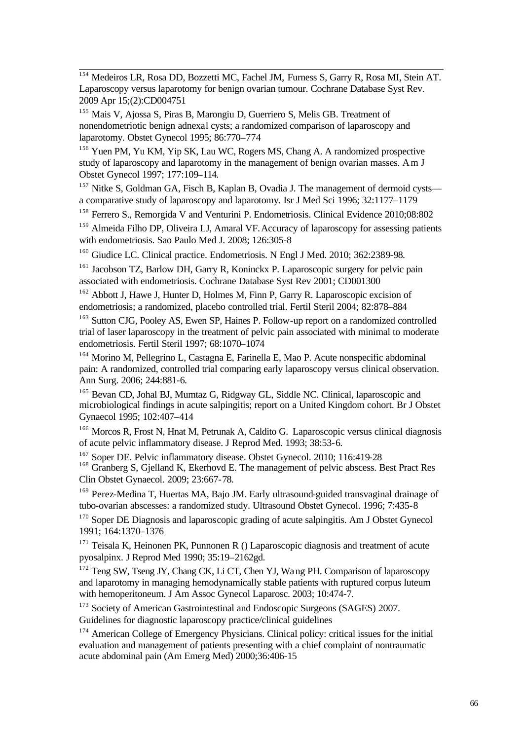l <sup>154</sup> Medeiros LR, Rosa DD, Bozzetti MC, Fachel JM, Furness S, Garry R, Rosa MI, Stein AT. Laparoscopy versus laparotomy for benign ovarian tumour. Cochrane Database Syst Rev. 2009 Apr 15;(2):CD004751

<sup>155</sup> Mais V, Ajossa S, Piras B, Marongiu D, Guerriero S, Melis GB. Treatment of nonendometriotic benign adnexal cysts; a randomized comparison of laparoscopy and laparotomy. Obstet Gynecol 1995; 86:770–774

<sup>156</sup> Yuen PM, Yu KM, Yip SK, Lau WC, Rogers MS, Chang A. A randomized prospective study of laparoscopy and laparotomy in the management of benign ovarian masses. Am J Obstet Gynecol 1997; 177:109–114.

<sup>157</sup> Nitke S, Goldman GA, Fisch B, Kaplan B, Ovadia J. The management of dermoid cysts a comparative study of laparoscopy and laparotomy. Isr J Med Sci 1996; 32:1177–1179

<sup>158</sup> Ferrero S., Remorgida V and Venturini P. Endometriosis. Clinical Evidence 2010;08:802

<sup>159</sup> Almeida Filho DP, Oliveira LJ, Amaral VF. Accuracy of laparoscopy for assessing patients with endometriosis. Sao Paulo Med J. 2008; 126:305-8

<sup>160</sup> Giudice LC. Clinical practice. Endometriosis. N Engl J Med. 2010; 362:2389-98.

<sup>161</sup> Jacobson TZ, Barlow DH, Garry R, Koninckx P. Laparoscopic surgery for pelvic pain associated with endometriosis. Cochrane Database Syst Rev 2001; CD001300

<sup>162</sup> Abbott J, Hawe J, Hunter D, Holmes M, Finn P, Garry R. Laparoscopic excision of endometriosis; a randomized, placebo controlled trial. Fertil Steril 2004; 82:878–884

<sup>163</sup> Sutton CJG, Pooley AS, Ewen SP, Haines P. Follow-up report on a randomized controlled trial of laser laparoscopy in the treatment of pelvic pain associated with minimal to moderate endometriosis. Fertil Steril 1997; 68:1070–1074

<sup>164</sup> Morino M, Pellegrino L, Castagna E, Farinella E, Mao P. Acute nonspecific abdominal pain: A randomized, controlled trial comparing early laparoscopy versus clinical observation. Ann Surg. 2006; 244:881-6.

<sup>165</sup> Bevan CD, Johal BJ, Mumtaz G, Ridgway GL, Siddle NC. Clinical, laparoscopic and microbiological findings in acute salpingitis; report on a United Kingdom cohort. Br J Obstet Gynaecol 1995; 102:407–414

<sup>166</sup> Morcos R, Frost N, Hnat M, Petrunak A, Caldito G. Laparoscopic versus clinical diagnosis of acute pelvic inflammatory disease. J Reprod Med. 1993; 38:53-6.

<sup>167</sup> Soper DE. Pelvic inflammatory disease. Obstet Gynecol. 2010; 116:419-28 <sup>168</sup> Granberg S, Gjelland K, Ekerhovd E. The management of pelvic abscess. Best Pract Res Clin Obstet Gynaecol. 2009; 23:667-78.

<sup>169</sup> Perez-Medina T, Huertas MA, Bajo JM. Early ultrasound-guided transvaginal drainage of tubo-ovarian abscesses: a randomized study. Ultrasound Obstet Gynecol. 1996; 7:435-8

<sup>170</sup> Soper DE Diagnosis and laparoscopic grading of acute salpingitis. Am J Obstet Gynecol 1991; 164:1370–1376

<sup>171</sup> Teisala K, Heinonen PK, Punnonen R () Laparoscopic diagnosis and treatment of acute pyosalpinx. J Reprod Med 1990; 35:19–2162gd.

<sup>172</sup> Teng SW, Tseng JY, Chang CK, Li CT, Chen YJ, Wang PH. Comparison of laparoscopy and laparotomy in managing hemodynamically stable patients with ruptured corpus luteum with hemoperitoneum. J Am Assoc Gynecol Laparosc. 2003; 10:474-7.

<sup>173</sup> Society of American Gastrointestinal and Endoscopic Surgeons (SAGES) 2007. Guidelines for diagnostic laparoscopy practice/clinical guidelines

<sup>174</sup> American College of Emergency Physicians. Clinical policy: critical issues for the initial evaluation and management of patients presenting with a chief complaint of nontraumatic acute abdominal pain (Am Emerg Med) 2000;36:406-15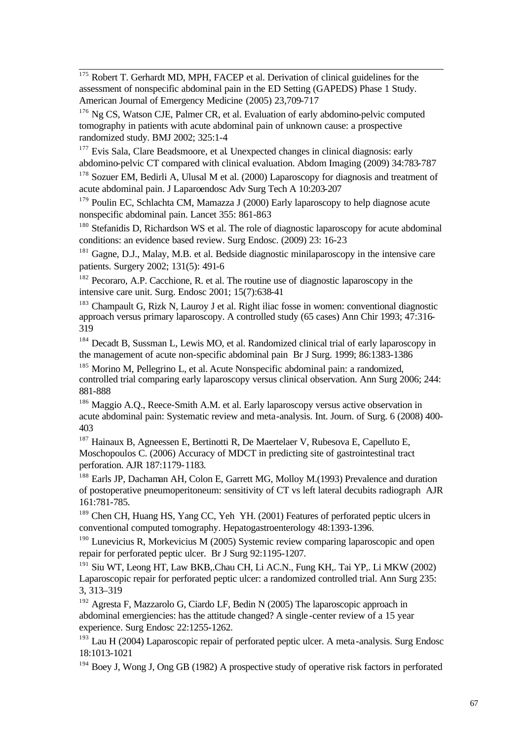l Robert T. Gerhardt MD, MPH, FACEP et al. Derivation of clinical guidelines for the assessment of nonspecific abdominal pain in the ED Setting (GAPEDS) Phase 1 Study. American Journal of Emergency Medicine (2005) 23,709-717

<sup>176</sup> Ng CS, Watson CJE, Palmer CR, et al. Evaluation of early abdomino-pelvic computed tomography in patients with acute abdominal pain of unknown cause: a prospective randomized study. BMJ 2002; 325:1-4

<sup>177</sup> Evis Sala, Clare Beadsmoore, et al. Unexpected changes in clinical diagnosis: early abdomino-pelvic CT compared with clinical evaluation. Abdom Imaging (2009) 34:783-787

<sup>178</sup> Sozuer EM, Bedirli A, Ulusal M et al. (2000) Laparoscopy for diagnosis and treatment of acute abdominal pain. J Laparoendosc Adv Surg Tech A 10:203-207

<sup>179</sup> Poulin EC, Schlachta CM, Mamazza J (2000) Early laparoscopy to help diagnose acute nonspecific abdominal pain. Lancet 355: 861-863

<sup>180</sup> Stefanidis D, Richardson WS et al. The role of diagnostic laparoscopy for acute abdominal conditions: an evidence based review. Surg Endosc. (2009) 23: 16-23

<sup>181</sup> Gagne, D.J., Malay, M.B. et al. Bedside diagnostic minilaparoscopy in the intensive care patients. Surgery 2002; 131(5): 491-6

<sup>182</sup> Pecoraro, A.P. Cacchione, R. et al. The routine use of diagnostic laparoscopy in the intensive care unit. Surg. Endosc 2001; 15(7):638-41

<sup>183</sup> Champault G, Rizk N, Lauroy J et al. Right iliac fosse in women: conventional diagnostic approach versus primary laparoscopy. A controlled study (65 cases) Ann Chir 1993; 47:316- 319

<sup>184</sup> Decadt B, Sussman L, Lewis MO, et al. Randomized clinical trial of early laparoscopy in the management of acute non-specific abdominal pain Br J Surg. 1999; 86:1383-1386

<sup>185</sup> Morino M, Pellegrino L, et al. Acute Nonspecific abdominal pain: a randomized, controlled trial comparing early laparoscopy versus clinical observation. Ann Surg 2006; 244: 881-888

<sup>186</sup> Maggio A.Q., Reece-Smith A.M. et al. Early laparoscopy versus active observation in acute abdominal pain: Systematic review and meta-analysis. Int. Journ. of Surg. 6 (2008) 400- 403

<sup>187</sup> Hainaux B, Agneessen E, Bertinotti R, De Maertelaer V, Rubesova E, Capelluto E, Moschopoulos C. (2006) Accuracy of MDCT in predicting site of gastrointestinal tract perforation. AJR 187:1179-1183.

<sup>188</sup> Earls JP, Dachaman AH, Colon E, Garrett MG, Molloy M.(1993) Prevalence and duration of postoperative pneumoperitoneum: sensitivity of CT vs left lateral decubits radiograph AJR 161:781-785.

<sup>189</sup> Chen CH, Huang HS, Yang CC, Yeh YH. (2001) Features of perforated peptic ulcers in conventional computed tomography. Hepatogastroenterology 48:1393-1396.

<sup>190</sup> Lunevicius R, Morkevicius M (2005) Systemic review comparing laparoscopic and open repair for perforated peptic ulcer. Br J Surg 92:1195-1207.

<sup>191</sup> Siu WT, Leong HT, Law BKB, Chau CH, Li AC.N., Fung KH,. Tai YP,. Li MKW (2002) Laparoscopic repair for perforated peptic ulcer: a randomized controlled trial. Ann Surg 235: 3, 313–319

<sup>192</sup> Agresta F, Mazzarolo G, Ciardo LF, Bedin N (2005) The laparoscopic approach in abdominal emergiencies: has the attitude changed? A single -center review of a 15 year experience. Surg Endosc 22:1255-1262.

 $193$  Lau H (2004) Laparoscopic repair of perforated peptic ulcer. A meta-analysis. Surg Endosc 18:1013-1021

<sup>194</sup> Boev J. Wong J. Ong GB (1982) A prospective study of operative risk factors in perforated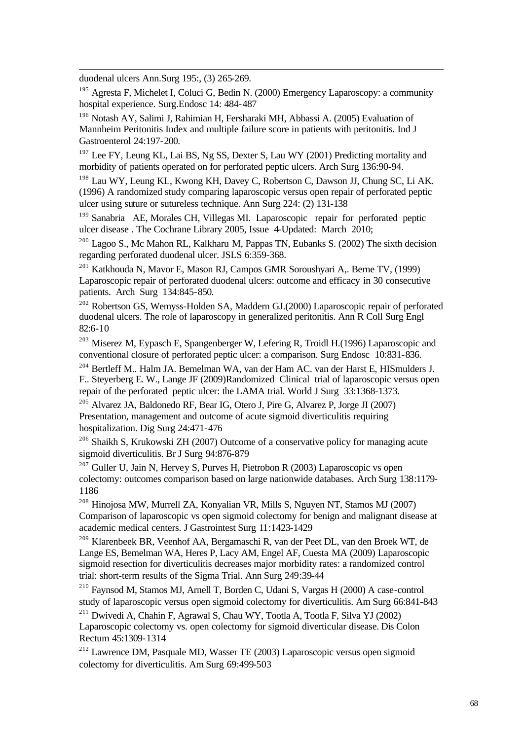duodenal ulcers Ann.Surg 195:, (3) 265-269.

l

<sup>195</sup> Agresta F, Michelet I, Coluci G, Bedin N. (2000) Emergency Laparoscopy: a community hospital experience. Surg.Endosc 14: 484-487

<sup>196</sup> Notash AY, Salimi J, Rahimian H, Fersharaki MH, Abbassi A. (2005) Evaluation of Mannheim Peritonitis Index and multiple failure score in patients with peritonitis. Ind J Gastroenterol 24:197-200.

<sup>197</sup> Lee FY, Leung KL, Lai BS, Ng SS, Dexter S, Lau WY (2001) Predicting mortality and morbidity of patients operated on for perforated peptic ulcers. Arch Surg 136:90-94.

<sup>198</sup> Lau WY, Leung KL, Kwong KH, Davey C, Robertson C, Dawson JJ, Chung SC, Li AK. (1996) A randomized study comparing laparoscopic versus open repair of perforated peptic ulcer using suture or sutureless technique. Ann Surg 224: (2) 131-138

<sup>199</sup> Sanabria AE, Morales CH, Villegas MI. Laparoscopic repair for perforated peptic ulcer disease . The Cochrane Library 2005, Issue 4-Updated: March 2010;

<sup>200</sup> Lagoo S., Mc Mahon RL, Kalkharu M, Pappas TN, Eubanks S. (2002) The sixth decision regarding perforated duodenal ulcer. JSLS 6:359-368.

<sup>201</sup> Katkhouda N, Mavor E, Mason RJ, Campos GMR Soroushyari A,. Berne TV, (1999) Laparoscopic repair of perforated duodenal ulcers: outcome and efficacy in 30 consecutive patients. Arch Surg 134:845-850.

<sup>202</sup> Robertson GS, Wemyss-Holden SA, Maddern GJ.(2000) Laparoscopic repair of perforated duodenal ulcers. The role of laparoscopy in generalized peritonitis. Ann R Coll Surg Engl 82:6-10

<sup>203</sup> Miserez M, Eypasch E, Spangenberger W, Lefering R, Troidl H.(1996) Laparoscopic and conventional closure of perforated peptic ulcer: a comparison. Surg Endosc 10:831-836.

<sup>204</sup> Bertleff M.. Halm JA. Bemelman WA, van der Ham AC. van der Harst E, HISmulders J. F.. Steyerberg E. W., Lange JF (2009)Randomized Clinical trial of laparoscopic versus open repair of the perforated peptic ulcer: the LAMA trial. World J Surg 33:1368-1373.

<sup>205</sup> Alvarez JA, Baldonedo RF, Bear IG, Otero J, Pire G, Alvarez P, Jorge JI (2007) Presentation, management and outcome of acute sigmoid diverticulitis requiring hospitalization. Dig Surg 24:471-476

<sup>206</sup> Shaikh S, Krukowski ZH (2007) Outcome of a conservative policy for managing acute sigmoid diverticulitis. Br J Surg 94:876-879

 $207$  Guller U, Jain N, Hervey S, Purves H, Pietrobon R (2003) Laparoscopic vs open colectomy: outcomes comparison based on large nationwide databases. Arch Surg 138:1179- 1186

<sup>208</sup> Hinojosa MW, Murrell ZA, Konyalian VR, Mills S, Nguyen NT, Stamos MJ (2007) Comparison of laparoscopic vs open sigmoid colectomy for benign and malignant disease at academic medical centers. J Gastrointest Surg 11:1423-1429

<sup>209</sup> Klarenbeek BR, Veenhof AA, Bergamaschi R, van der Peet DL, van den Broek WT, de Lange ES, Bemelman WA, Heres P, Lacy AM, Engel AF, Cuesta MA (2009) Laparoscopic sigmoid resection for diverticulitis decreases major morbidity rates: a randomized control trial: short-term results of the Sigma Trial. Ann Surg 249:39-44

<sup>210</sup> Faynsod M, Stamos MJ, Arnell T, Borden C, Udani S, Vargas H (2000) A case-control study of laparoscopic versus open sigmoid colectomy for diverticulitis. Am Surg 66:841-843

<sup>211</sup> Dwivedi A, Chahin F, Agrawal S, Chau WY, Tootla A, Tootla F, Silva YJ (2002) Laparoscopic colectomy vs. open colectomy for sigmoid diverticular disease. Dis Colon Rectum 45:1309-1314

<sup>212</sup> Lawrence DM, Pasquale MD, Wasser TE (2003) Laparoscopic versus open sigmoid colectomy for diverticulitis. Am Surg 69:499-503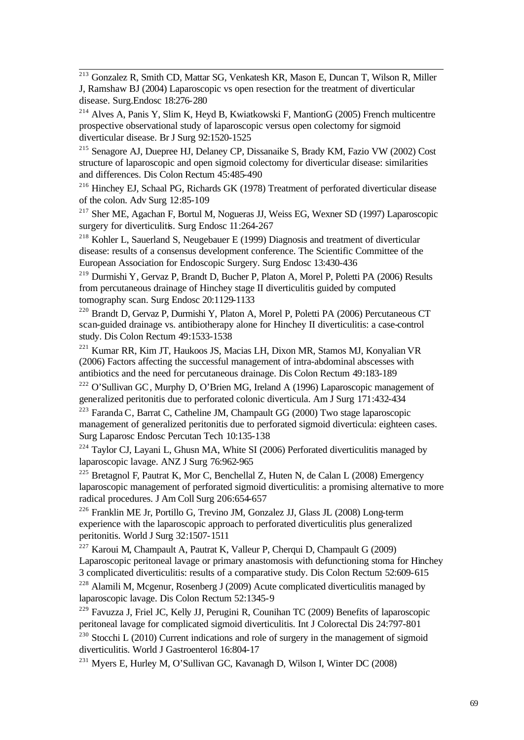l <sup>213</sup> Gonzalez R, Smith CD, Mattar SG, Venkatesh KR, Mason E, Duncan T, Wilson R, Miller J, Ramshaw BJ (2004) Laparoscopic vs open resection for the treatment of diverticular disease. Surg.Endosc 18:276-280

<sup>214</sup> Alves A, Panis Y, Slim K, Heyd B, Kwiatkowski F, MantionG (2005) French multicentre prospective observational study of laparoscopic versus open colectomy for sigmoid diverticular disease. Br J Surg 92:1520-1525

<sup>215</sup> Senagore AJ, Duepree HJ, Delaney CP, Dissanaike S, Brady KM, Fazio VW (2002) Cost structure of laparoscopic and open sigmoid colectomy for diverticular disease: similarities and differences. Dis Colon Rectum 45:485-490

<sup>216</sup> Hinchey EJ, Schaal PG, Richards GK (1978) Treatment of perforated diverticular disease of the colon. Adv Surg 12:85-109

<sup>217</sup> Sher ME, Agachan F, Bortul M, Nogueras JJ, Weiss EG, Wexner SD (1997) Laparoscopic surgery for diverticulitis. Surg Endosc 11:264-267

<sup>218</sup> Kohler L, Sauerland S, Neugebauer E (1999) Diagnosis and treatment of diverticular disease: results of a consensus development conference. The Scientific Committee of the European Association for Endoscopic Surgery. Surg Endosc 13:430-436

<sup>219</sup> Durmishi Y, Gervaz P, Brandt D, Bucher P, Platon A, Morel P, Poletti PA (2006) Results from percutaneous drainage of Hinchey stage II diverticulitis guided by computed tomography scan. Surg Endosc 20:1129-1133

<sup>220</sup> Brandt D, Gervaz P, Durmishi Y, Platon A, Morel P, Poletti PA (2006) Percutaneous CT scan-guided drainage vs. antibiotherapy alone for Hinchey II diverticulitis: a case-control study. Dis Colon Rectum 49:1533-1538

<sup>221</sup> Kumar RR, Kim JT, Haukoos JS, Macias LH, Dixon MR, Stamos MJ, Konyalian VR (2006) Factors affecting the successful management of intra-abdominal abscesses with antibiotics and the need for percutaneous drainage. Dis Colon Rectum 49:183-189

<sup>222</sup> O'Sullivan GC, Murphy D, O'Brien MG, Ireland A (1996) Laparoscopic management of generalized peritonitis due to perforated colonic diverticula. Am J Surg 171:432-434

 $^{223}$  Faranda C, Barrat C, Catheline JM, Champault GG (2000) Two stage laparoscopic management of generalized peritonitis due to perforated sigmoid diverticula: eighteen cases. Surg Laparosc Endosc Percutan Tech 10:135-138

 $224$  Taylor CJ, Layani L, Ghusn MA, White SI (2006) Perforated diverticulitis managed by laparoscopic lavage. ANZ J Surg 76:962-965

<sup>225</sup> Bretagnol F, Pautrat K, Mor C, Benchellal Z, Huten N, de Calan L (2008) Emergency laparoscopic management of perforated sigmoid diverticulitis: a promising alternative to more radical procedures. J Am Coll Surg 206:654-657

<sup>226</sup> Franklin ME Jr, Portillo G, Trevino JM, Gonzalez JJ, Glass JL (2008) Long-term experience with the laparoscopic approach to perforated diverticulitis plus generalized peritonitis. World J Surg 32:1507-1511

 $227$  Karoui M, Champault A, Pautrat K, Valleur P, Cherqui D, Champault G (2009) Laparoscopic peritoneal lavage or primary anastomosis with defunctioning stoma for Hinchey 3 complicated diverticulitis: results of a comparative study. Dis Colon Rectum 52:609-615

 $228$  Alamili M, Mcgenur, Rosenberg J (2009) Acute complicated diverticulitis managed by laparoscopic lavage. Dis Colon Rectum 52:1345-9

<sup>229</sup> Favuzza J, Friel JC, Kelly JJ, Perugini R, Counihan TC (2009) Benefits of laparoscopic peritoneal lavage for complicated sigmoid diverticulitis. Int J Colorectal Dis 24:797-801

 $230$  Stocchi L (2010) Current indications and role of surgery in the management of sigmoid diverticulitis. World J Gastroenterol 16:804-17

<sup>231</sup> Myers E, Hurley M, O'Sullivan GC, Kavanagh D, Wilson I, Winter DC (2008)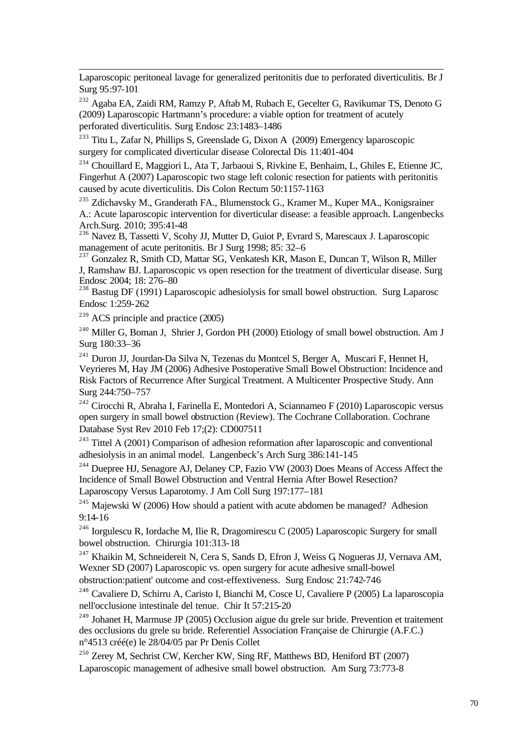Laparoscopic peritoneal lavage for generalized peritonitis due to perforated diverticulitis. Br J Surg 95:97-101

<sup>232</sup> Agaba EA, Zaidi RM, Ramzy P, Aftab M, Rubach E, Gecelter G, Ravikumar TS, Denoto G (2009) Laparoscopic Hartmann's procedure: a viable option for treatment of acutely perforated diverticulitis. Surg Endosc 23:1483–1486

<sup>233</sup> Titu L, Zafar N, Phillips S, Greenslade G, Dixon A (2009) Emergency laparoscopic surgery for complicated diverticular disease Colorectal Dis 11:401-404

<sup>234</sup> Chouillard E, Maggiori L, Ata T, Jarbaoui S, Rivkine E, Benhaim, L, Ghiles E, Etienne JC, Fingerhut A (2007) Laparoscopic two stage left colonic resection for patients with peritonitis caused by acute diverticulitis. Dis Colon Rectum 50:1157-1163

<sup>235</sup> Zdichavsky M., Granderath FA., Blumenstock G., Kramer M., Kuper MA., Konigsrainer A.: Acute laparoscopic intervention for diverticular disease: a feasible approach. Langenbecks Arch.Surg. 2010; 395:41-48

<sup>236</sup> Navez B, Tassetti V, Scohy JJ, Mutter D, Guiot P, Evrard S, Marescaux J. Laparoscopic management of acute peritonitis. Br J Surg 1998; 85: 32–6

<sup>237</sup> Gonzalez R, Smith CD, Mattar SG, Venkatesh KR, Mason E, Duncan T, Wilson R, Miller J, Ramshaw BJ. Laparoscopic vs open resection for the treatment of diverticular disease. Surg Endosc 2004; 18: 276–80

<sup>238</sup> Bastug DF (1991) Laparoscopic adhesiolysis for small bowel obstruction. Surg Laparosc Endosc 1:259-262

 $239$  ACS principle and practice (2005)

l

<sup>240</sup> Miller G, Boman J, Shrier J, Gordon PH (2000) Etiology of small bowel obstruction. Am J Surg 180:33–36

<sup>241</sup> Duron JJ, Jourdan-Da Silva N, Tezenas du Montcel S, Berger A, Muscari F, Hennet H, Veyrieres M, Hay JM (2006) Adhesive Postoperative Small Bowel Obstruction: Incidence and Risk Factors of Recurrence After Surgical Treatment. A Multicenter Prospective Study. Ann Surg 244:750–757

<sup>242</sup> Cirocchi R, Abraha I, Farinella E, Montedori A, Sciannameo F (2010) Laparoscopic versus open surgery in small bowel obstruction (Review). The Cochrane Collaboration. Cochrane Database Syst Rev 2010 Feb 17;(2): CD007511

<sup>243</sup> Tittel A (2001) Comparison of adhesion reformation after laparoscopic and conventional adhesiolysis in an animal model. Langenbeck's Arch Surg 386:141-145

<sup>244</sup> Duepree HJ, Senagore AJ, Delaney CP, Fazio VW (2003) Does Means of Access Affect the Incidence of Small Bowel Obstruction and Ventral Hernia After Bowel Resection? Laparoscopy Versus Laparotomy. J Am Coll Surg 197:177–181

<sup>245</sup> Majewski W (2006) How should a patient with acute abdomen be managed? Adhesion 9:14-16

<sup>246</sup> Iorgulescu R, Iordache M, Ilie R, Dragomirescu C (2005) Laparoscopic Surgery for small bowel obstruction. Chirurgia 101:313-18

<sup>247</sup> Khaikin M, Schneidereit N, Cera S, Sands D, Efron J, Weiss G Nogueras JJ, Vernava AM, Wexner SD (2007) Laparoscopic vs. open surgery for acute adhesive small-bowel obstruction:patient' outcome and cost-effextiveness. Surg Endosc 21:742-746

<sup>248</sup> Cavaliere D, Schirru A, Caristo I, Bianchi M, Cosce U, Cavaliere P (2005) La laparoscopia nell'occlusione intestinale del tenue. Chir It 57:215-20

<sup>249</sup> Johanet H, Marmuse JP (2005) Occlusion aigue du grele sur bride. Prevention et traitement des occlusions du grele su bride. Referentiel Association Française de Chirurgie (A.F.C.) n°4513 créé(e) le 28/04/05 par Pr Denis Collet

<sup>250</sup> Zerey M, Sechrist CW, Kercher KW, Sing RF, Matthews BD, Heniford BT (2007) Laparoscopic management of adhesive small bowel obstruction. Am Surg 73:773-8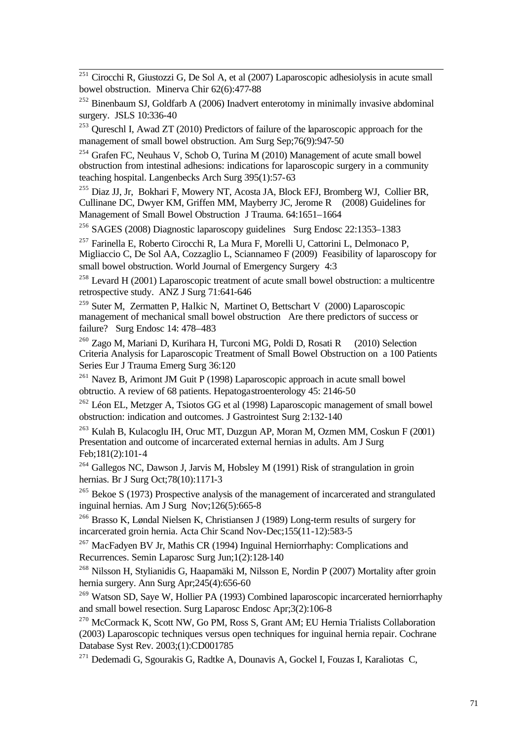$^{251}$  Cirocchi R, Giustozzi G, De Sol A, et al (2007) Laparoscopic adhesiolysis in acute small bowel obstruction. Minerva Chir 62(6):477-88

l

 $^{252}$  Binenbaum SJ, Goldfarb A (2006) Inadvert enterotomy in minimally invasive abdominal surgery. JSLS 10:336-40

<sup>253</sup> Qureschl I, Awad ZT (2010) Predictors of failure of the laparoscopic approach for the management of small bowel obstruction. Am Surg Sep;76(9):947-50

<sup>254</sup> Grafen FC, Neuhaus V, Schob O, Turina M (2010) Management of acute small bowel obstruction from intestinal adhesions: indications for laparoscopic surgery in a community teaching hospital. Langenbecks Arch Surg 395(1):57-63

<sup>255</sup> Diaz JJ, Jr, Bokhari F, Mowery NT, Acosta JA, Block EFJ, Bromberg WJ, Collier BR, Cullinane DC, Dwyer KM, Griffen MM, Mayberry JC, Jerome R (2008) Guidelines for Management of Small Bowel Obstruction J Trauma. 64:1651–1664

<sup>256</sup> SAGES (2008) Diagnostic laparoscopy guidelines Surg Endosc 22:1353–1383

<sup>257</sup> Farinella E, Roberto Cirocchi R, La Mura F, Morelli U, Cattorini L, Delmonaco P, Migliaccio C, De Sol AA, Cozzaglio L, Sciannameo F (2009) Feasibility of laparoscopy for small bowel obstruction. World Journal of Emergency Surgery 4:3

<sup>258</sup> Levard H (2001) Laparoscopic treatment of acute small bowel obstruction: a multicentre retrospective study. ANZ J Surg 71:641-646

<sup>259</sup> Suter M, Zermatten P, Halkic N, Martinet O, Bettschart V (2000) Laparoscopic management of mechanical small bowel obstruction Are there predictors of success or failure? Surg Endosc 14: 478–483

<sup>260</sup> Zago M, Mariani D, Kurihara H, Turconi MG, Poldi D, Rosati R (2010) Selection Criteria Analysis for Laparoscopic Treatment of Small Bowel Obstruction on a 100 Patients Series Eur J Trauma Emerg Surg 36:120

 $261$  Navez B, Arimont JM Guit P (1998) Laparoscopic approach in acute small bowel obtructio. A review of 68 patients. Hepatogastroenterology 45: 2146-50

<sup>262</sup> Léon EL, Metzger A, Tsiotos GG et al (1998) Laparoscopic management of small bowel obstruction: indication and outcomes. J Gastrointest Surg 2:132-140

<sup>263</sup> Kulah B, Kulacoglu IH, Oruc MT, Duzgun AP, Moran M, Ozmen MM, Coskun F (2001) Presentation and outcome of incarcerated external hernias in adults. Am J Surg Feb;181(2):101-4

<sup>264</sup> Gallegos NC, Dawson J, Jarvis M, Hobsley M (1991) Risk of strangulation in groin hernias. Br J Surg Oct;78(10):1171-3

<sup>265</sup> Bekoe S (1973) Prospective analysis of the management of incarcerated and strangulated inguinal hernias. Am J Surg Nov;126(5):665-8

<sup>266</sup> Brasso K, Løndal Nielsen K, Christiansen J (1989) Long-term results of surgery for incarcerated groin hernia. Acta Chir Scand Nov-Dec;155(11-12):583-5

<sup>267</sup> MacFadyen BV Jr, Mathis CR (1994) Inguinal Herniorrhaphy: Complications and Recurrences. Semin Laparosc Surg Jun;1(2):128-140

<sup>268</sup> Nilsson H, Stylianidis G, Haapamäki M, Nilsson E, Nordin P (2007) Mortality after groin hernia surgery. Ann Surg Apr;245(4):656-60

<sup>269</sup> Watson SD, Saye W, Hollier PA (1993) Combined laparoscopic incarcerated herniorrhaphy and small bowel resection. Surg Laparosc Endosc Apr;3(2):106-8

<sup>270</sup> McCormack K, Scott NW, Go PM, Ross S, Grant AM; EU Hernia Trialists Collaboration (2003) Laparoscopic techniques versus open techniques for inguinal hernia repair. Cochrane Database Syst Rev. 2003;(1):CD001785

<sup>271</sup> Dedemadi G, Sgourakis G, Radtke A, Dounavis A, Gockel I, Fouzas I, Karaliotas C,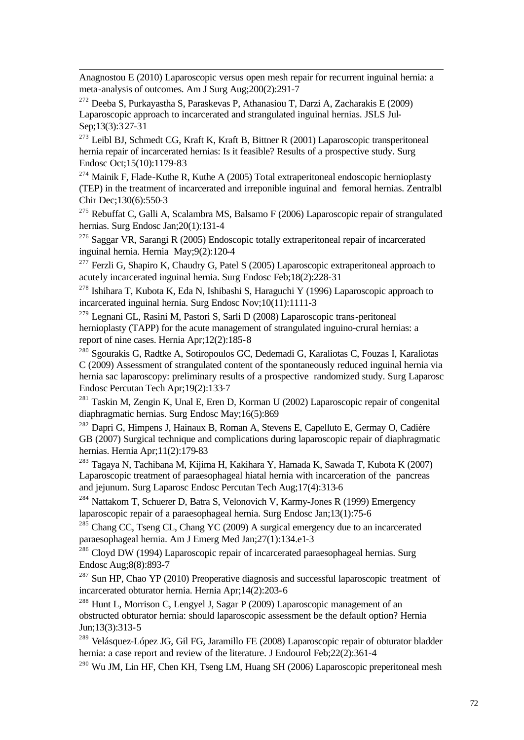Anagnostou E (2010) Laparoscopic versus open mesh repair for recurrent inguinal hernia: a meta-analysis of outcomes. Am J Surg Aug;200(2):291-7

<sup>272</sup> Deeba S, Purkayastha S, Paraskevas P, Athanasiou T, Darzi A, Zacharakis E (2009) Laparoscopic approach to incarcerated and strangulated inguinal hernias. JSLS Jul-Sep;13(3):327-31

l

 $^{273}$  Leibl BJ, Schmedt CG, Kraft K, Kraft B, Bittner R (2001) Laparoscopic transperitoneal hernia repair of incarcerated hernias: Is it feasible? Results of a prospective study. Surg Endosc Oct;15(10):1179-83

 $274$  Mainik F, Flade-Kuthe R, Kuthe A (2005) Total extraperitoneal endoscopic hernioplasty (TEP) in the treatment of incarcerated and irreponible inguinal and femoral hernias. Zentralbl Chir Dec;130(6):550-3

<sup>275</sup> Rebuffat C, Galli A, Scalambra MS, Balsamo F (2006) Laparoscopic repair of strangulated hernias. Surg Endosc Jan;20(1):131-4

<sup>276</sup> Saggar VR, Sarangi R (2005) Endoscopic totally extraperitoneal repair of incarcerated inguinal hernia. Hernia May;9(2):120-4

<sup>277</sup> Ferzli G, Shapiro K, Chaudry G, Patel S (2005) Laparoscopic extraperitoneal approach to acutely incarcerated inguinal hernia. Surg Endosc Feb;18(2):228-31

<sup>278</sup> Ishihara T, Kubota K, Eda N, Ishibashi S, Haraguchi Y (1996) Laparoscopic approach to incarcerated inguinal hernia. Surg Endosc Nov;10(11):1111-3

<sup>279</sup> Legnani GL, Rasini M, Pastori S, Sarli D (2008) Laparoscopic trans-peritoneal hernioplasty (TAPP) for the acute management of strangulated inguino-crural hernias: a report of nine cases. Hernia Apr;12(2):185-8

<sup>280</sup> Sgourakis G, Radtke A, Sotiropoulos GC, Dedemadi G, Karaliotas C, Fouzas I, Karaliotas C (2009) Assessment of strangulated content of the spontaneously reduced inguinal hernia via hernia sac laparoscopy: preliminary results of a prospective randomized study. Surg Laparosc Endosc Percutan Tech Apr;19(2):133-7

 $^{281}$  Taskin M, Zengin K, Unal E, Eren D, Korman U (2002) Laparoscopic repair of congenital diaphragmatic hernias. Surg Endosc May;16(5):869

<sup>282</sup> Dapri G, Himpens J, Hainaux B, Roman A, Stevens E, Capelluto E, Germay O, Cadière GB (2007) Surgical technique and complications during laparoscopic repair of diaphragmatic hernias. Hernia Apr;11(2):179-83

<sup>283</sup> Tagaya N, Tachibana M, Kijima H, Kakihara Y, Hamada K, Sawada T, Kubota K (2007) Laparoscopic treatment of paraesophageal hiatal hernia with incarceration of the pancreas and jejunum. Surg Laparosc Endosc Percutan Tech Aug;17(4):313-6

<sup>284</sup> Nattakom T, Schuerer D, Batra S, Velonovich V, Karmy-Jones R (1999) Emergency laparoscopic repair of a paraesophageal hernia. Surg Endosc Jan;13(1):75-6

<sup>285</sup> Chang CC, Tseng CL, Chang YC (2009) A surgical emergency due to an incarcerated paraesophageal hernia. Am J Emerg Med Jan;27(1):134.e1-3

<sup>286</sup> Cloyd DW (1994) Laparoscopic repair of incarcerated paraesophageal hernias. Surg Endosc Aug;8(8):893-7

<sup>287</sup> Sun HP, Chao YP (2010) Preoperative diagnosis and successful laparoscopic treatment of incarcerated obturator hernia. Hernia Apr;14(2):203-6

<sup>288</sup> Hunt L, Morrison C, Lengyel J, Sagar P (2009) Laparoscopic management of an obstructed obturator hernia: should laparoscopic assessment be the default option? Hernia Jun;13(3):313-5

<sup>289</sup> Velásquez-López JG, Gil FG, Jaramillo FE (2008) Laparoscopic repair of obturator bladder hernia: a case report and review of the literature. J Endourol Feb; 22(2): 361-4

 $290$  Wu JM, Lin HF, Chen KH, Tseng LM, Huang SH (2006) Laparoscopic preperitoneal mesh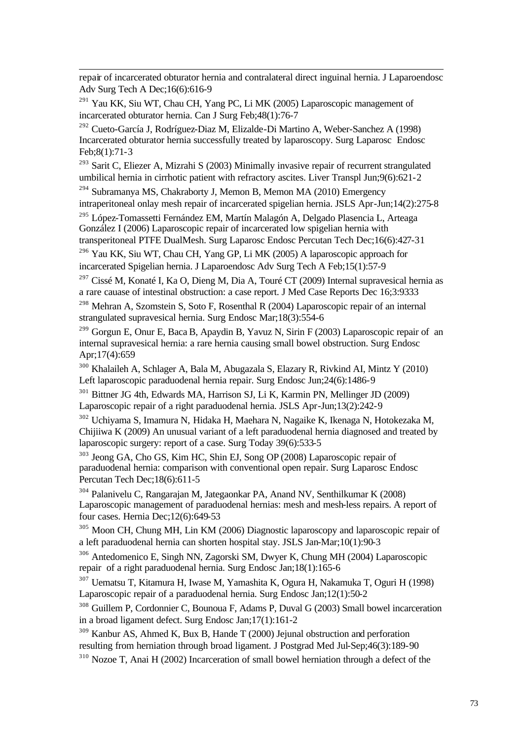repair of incarcerated obturator hernia and contralateral direct inguinal hernia. J Laparoendosc Adv Surg Tech A Dec;16(6):616-9

 $^{291}$  Yau KK, Siu WT, Chau CH, Yang PC, Li MK (2005) Laparoscopic management of incarcerated obturator hernia. Can J Surg Feb;48(1):76-7

l

<sup>292</sup> Cueto-García J, Rodríguez-Diaz M, Elizalde-Di Martino A, Weber-Sanchez A (1998) Incarcerated obturator hernia successfully treated by laparoscopy. Surg Laparosc Endosc Feb;8(1):71-3

 $293$  Sarit C, Eliezer A, Mizrahi S (2003) Minimally invasive repair of recurrent strangulated umbilical hernia in cirrhotic patient with refractory ascites. Liver Transpl Jun;9(6):621-2

 $294$  Subramanya MS, Chakraborty J, Memon B, Memon MA (2010) Emergency intraperitoneal onlay mesh repair of incarcerated spigelian hernia. JSLS Apr-Jun;14(2):275-8

<sup>295</sup> López-Tomassetti Fernández EM, Martín Malagón A, Delgado Plasencia L, Arteaga González I (2006) Laparoscopic repair of incarcerated low spigelian hernia with transperitoneal PTFE DualMesh. Surg Laparosc Endosc Percutan Tech Dec;16(6):427-31

<sup>296</sup> Yau KK, Siu WT, Chau CH, Yang GP, Li MK (2005) A laparoscopic approach for incarcerated Spigelian hernia. J Laparoendosc Adv Surg Tech A Feb;15(1):57-9

<sup>297</sup> Cissé M, Konaté I, Ka O, Dieng M, Dia A, Touré CT (2009) Internal supravesical hernia as a rare cauase of intestinal obstruction: a case report. J Med Case Reports Dec 16;3:9333

<sup>298</sup> Mehran A, Szomstein S, Soto F, Rosenthal R (2004) Laparoscopic repair of an internal strangulated supravesical hernia. Surg Endosc Mar;18(3):554-6

<sup>299</sup> Gorgun E, Onur E, Baca B, Apaydin B, Yavuz N, Sirin F (2003) Laparoscopic repair of an internal supravesical hernia: a rare hernia causing small bowel obstruction. Surg Endosc Apr;17(4):659

<sup>300</sup> Khalaileh A, Schlager A, Bala M, Abugazala S, Elazary R, Rivkind AI, Mintz Y (2010) Left laparoscopic paraduodenal hernia repair. Surg Endosc Jun;24(6):1486-9

<sup>301</sup> Bittner JG 4th, Edwards MA, Harrison SJ, Li K, Karmin PN, Mellinger JD (2009) Laparoscopic repair of a right paraduodenal hernia. JSLS Apr-Jun;13(2):242-9

<sup>302</sup> Uchiyama S, Imamura N, Hidaka H, Maehara N, Nagaike K, Ikenaga N, Hotokezaka M, Chijiiwa K (2009) An unusual variant of a left paraduodenal hernia diagnosed and treated by laparoscopic surgery: report of a case. Surg Today 39(6):533-5

<sup>303</sup> Jeong GA, Cho GS, Kim HC, Shin EJ, Song OP (2008) Laparoscopic repair of paraduodenal hernia: comparison with conventional open repair. Surg Laparosc Endosc Percutan Tech Dec;18(6):611-5

<sup>304</sup> Palanivelu C, Rangarajan M, Jategaonkar PA, Anand NV, Senthilkumar K (2008) Laparoscopic management of paraduodenal hernias: mesh and mesh-less repairs. A report of four cases. Hernia Dec;12(6):649-53

<sup>305</sup> Moon CH, Chung MH, Lin KM (2006) Diagnostic laparoscopy and laparoscopic repair of a left paraduodenal hernia can shorten hospital stay. JSLS Jan-Mar;10(1):90-3

<sup>306</sup> Antedomenico E, Singh NN, Zagorski SM, Dwyer K, Chung MH (2004) Laparoscopic repair of a right paraduodenal hernia. Surg Endosc Jan;18(1):165-6

<sup>307</sup> Uematsu T, Kitamura H, Iwase M, Yamashita K, Ogura H, Nakamuka T, Oguri H (1998) Laparoscopic repair of a paraduodenal hernia. Surg Endosc Jan;12(1):50-2

<sup>308</sup> Guillem P, Cordonnier C, Bounoua F, Adams P, Duval G (2003) Small bowel incarceration in a broad ligament defect. Surg Endosc Jan;17(1):161-2

<sup>309</sup> Kanbur AS, Ahmed K, Bux B, Hande T (2000) Jejunal obstruction and perforation resulting from herniation through broad ligament. J Postgrad Med Jul-Sep;46(3):189-90 <sup>310</sup> Nozoe T, Anai H (2002) Incarceration of small bowel herniation through a defect of the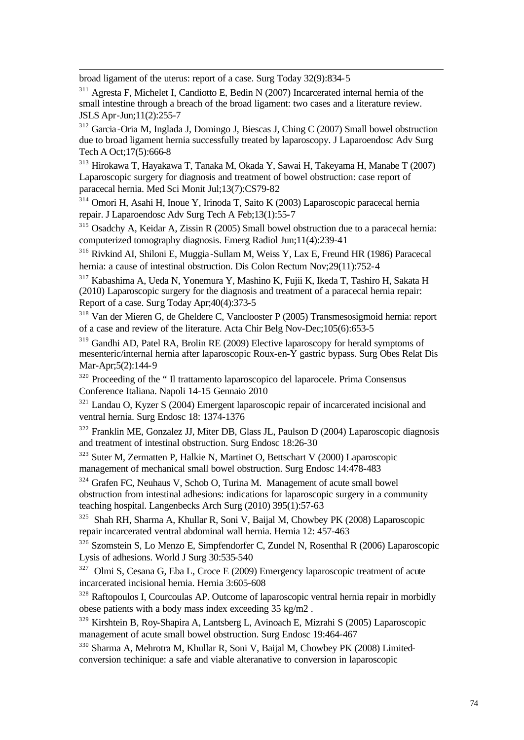broad ligament of the uterus: report of a case. Surg Today 32(9):834-5

l

<sup>311</sup> Agresta F, Michelet I, Candiotto E, Bedin N (2007) Incarcerated internal hernia of the small intestine through a breach of the broad ligament: two cases and a literature review. JSLS Apr-Jun;11(2):255-7

<sup>312</sup> Garcia-Oria M, Inglada J, Domingo J, Biescas J, Ching C (2007) Small bowel obstruction due to broad ligament hernia successfully treated by laparoscopy. J Laparoendosc Adv Surg Tech A Oct;17(5):666-8

<sup>313</sup> Hirokawa T, Hayakawa T, Tanaka M, Okada Y, Sawai H, Takeyama H, Manabe T (2007) Laparoscopic surgery for diagnosis and treatment of bowel obstruction: case report of paracecal hernia. Med Sci Monit Jul;13(7):CS79-82

<sup>314</sup> Omori H, Asahi H, Inoue Y, Irinoda T, Saito K (2003) Laparoscopic paracecal hernia repair. J Laparoendosc Adv Surg Tech A Feb;13(1):55-7

<sup>315</sup> Osadchy A, Keidar A, Zissin R (2005) Small bowel obstruction due to a paracecal hernia: computerized tomography diagnosis. Emerg Radiol Jun;11(4):239-41

<sup>316</sup> Rivkind AI, Shiloni E, Muggia -Sullam M, Weiss Y, Lax E, Freund HR (1986) Paracecal hernia: a cause of intestinal obstruction. Dis Colon Rectum Nov;29(11):752-4

<sup>317</sup> Kabashima A, Ueda N, Yonemura Y, Mashino K, Fujii K, Ikeda T, Tashiro H, Sakata H (2010) Laparoscopic surgery for the diagnosis and treatment of a paracecal hernia repair: Report of a case. Surg Today Apr;40(4):373-5

<sup>318</sup> Van der Mieren G, de Gheldere C, Vanclooster P (2005) Transmesosigmoid hernia: report of a case and review of the literature. Acta Chir Belg Nov-Dec;105(6):653-5

<sup>319</sup> Gandhi AD, Patel RA, Brolin RE (2009) Elective laparoscopy for herald symptoms of mesenteric/internal hernia after laparoscopic Roux-en-Y gastric bypass. Surg Obes Relat Dis Mar-Apr;5(2):144-9

<sup>320</sup> Proceeding of the " Il trattamento laparoscopico del laparocele. Prima Consensus Conference Italiana. Napoli 14-15 Gennaio 2010

 $321$  Landau O, Kyzer S (2004) Emergent laparoscopic repair of incarcerated incisional and ventral hernia. Surg Endosc 18: 1374-1376

<sup>322</sup> Franklin ME, Gonzalez JJ, Miter DB, Glass JL, Paulson D (2004) Laparoscopic diagnosis and treatment of intestinal obstruction. Surg Endosc 18:26-30

<sup>323</sup> Suter M, Zermatten P, Halkie N, Martinet O, Bettschart V (2000) Laparoscopic management of mechanical small bowel obstruction. Surg Endosc 14:478-483

<sup>324</sup> Grafen FC, Neuhaus V, Schob O, Turina M. Management of acute small bowel obstruction from intestinal adhesions: indications for laparoscopic surgery in a community teaching hospital. Langenbecks Arch Surg (2010) 395(1):57-63

<sup>325</sup> Shah RH, Sharma A, Khullar R, Soni V, Baijal M, Chowbey PK (2008) Laparoscopic repair incarcerated ventral abdominal wall hernia. Hernia 12: 457-463

<sup>326</sup> Szomstein S, Lo Menzo E, Simpfendorfer C, Zundel N, Rosenthal R (2006) Laparoscopic Lysis of adhesions. World J Surg 30:535-540

<sup>327</sup> Olmi S, Cesana G, Eba L, Croce E (2009) Emergency laparoscopic treatment of acute incarcerated incisional hernia. Hernia 3:605-608

<sup>328</sup> Raftopoulos I, Courcoulas AP. Outcome of laparoscopic ventral hernia repair in morbidly obese patients with a body mass index exceeding 35 kg/m2 .

<sup>329</sup> Kirshtein B, Roy-Shapira A, Lantsberg L, Avinoach E, Mizrahi S (2005) Laparoscopic management of acute small bowel obstruction. Surg Endosc 19:464-467

<sup>330</sup> Sharma A, Mehrotra M, Khullar R, Soni V, Baijal M, Chowbey PK (2008) Limitedconversion techinique: a safe and viable alteranative to conversion in laparoscopic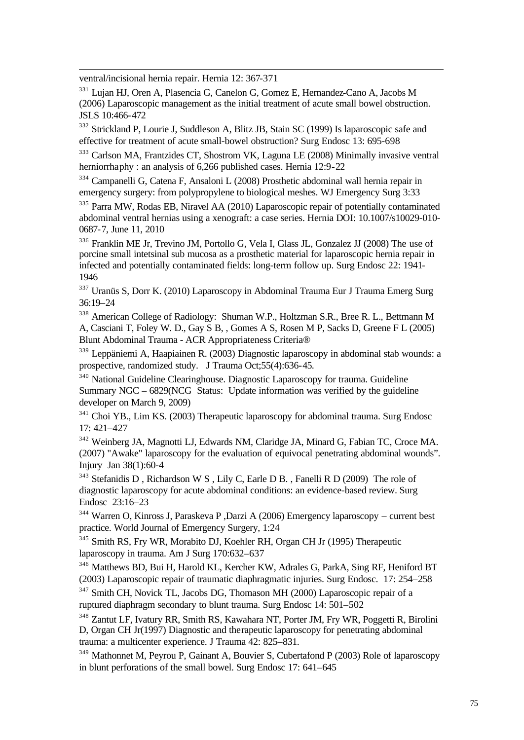ventral/incisional hernia repair. Hernia 12: 367-371

l

<sup>331</sup> Lujan HJ, Oren A, Plasencia G, Canelon G, Gomez E, Hernandez-Cano A, Jacobs M (2006) Laparoscopic management as the initial treatment of acute small bowel obstruction. JSLS 10:466-472

<sup>332</sup> Strickland P, Lourie J, Suddleson A, Blitz JB, Stain SC (1999) Is laparoscopic safe and effective for treatment of acute small-bowel obstruction? Surg Endosc 13: 695-698

<sup>333</sup> Carlson MA, Frantzides CT, Shostrom VK, Laguna LE (2008) Minimally invasive ventral herniorrhaphy : an analysis of 6,266 published cases. Hernia 12:9-22

<sup>334</sup> Campanelli G, Catena F, Ansaloni L (2008) Prosthetic abdominal wall hernia repair in emergency surgery: from polypropylene to biological meshes. WJ Emergency Surg 3:33

<sup>335</sup> Parra MW, Rodas EB, Niravel AA (2010) Laparoscopic repair of potentially contaminated abdominal ventral hernias using a xenograft: a case series. Hernia DOI: 10.1007/s10029-010- 0687-7, June 11, 2010

<sup>336</sup> Franklin ME Jr, Trevino JM, Portollo G, Vela I, Glass JL, Gonzalez JJ (2008) The use of porcine small intetsinal sub mucosa as a prosthetic material for laparoscopic hernia repair in infected and potentially contaminated fields: long-term follow up. Surg Endosc 22: 1941- 1946

<sup>337</sup> Uranüs S, Dorr K. (2010) Laparoscopy in Abdominal Trauma Eur J Trauma Emerg Surg 36:19–24

<sup>338</sup> American College of Radiology: Shuman W.P., Holtzman S.R., Bree R. L., Bettmann M A, Casciani T, Foley W. D., Gay S B, , Gomes A S, Rosen M P, Sacks D, Greene F L (2005) Blunt Abdominal Trauma - ACR Appropriateness Criteria®

<sup>339</sup> Leppäniemi A, Haapiainen R. (2003) Diagnostic laparoscopy in abdominal stab wounds: a prospective, randomized study. J Trauma Oct;55(4):636-45.

<sup>340</sup> National Guideline Clearinghouse. Diagnostic Laparoscopy for trauma. Guideline Summary NGC – 6829(NCG Status: Update information was verified by the guideline developer on March 9, 2009)

<sup>341</sup> Choi YB., Lim KS. (2003) Therapeutic laparoscopy for abdominal trauma. Surg Endosc 17: 421–427

<sup>342</sup> Weinberg JA, Magnotti LJ, Edwards NM, Claridge JA, Minard G, Fabian TC, Croce MA. (2007) "Awake" laparoscopy for the evaluation of equivocal penetrating abdominal wounds". Injury Jan 38(1):60-4

 $343$  Stefanidis D, Richardson W S, Lily C, Earle D B., Fanelli R D (2009) The role of diagnostic laparoscopy for acute abdominal conditions: an evidence-based review. Surg Endosc 23:16–23

<sup>344</sup> Warren O, Kinross J, Paraskeva P ,Darzi A (2006) Emergency laparoscopy – current best practice. World Journal of Emergency Surgery, 1:24

<sup>345</sup> Smith RS, Fry WR, Morabito DJ, Koehler RH, Organ CH Jr (1995) Therapeutic laparoscopy in trauma. Am J Surg 170:632–637

<sup>346</sup> Matthews BD, Bui H, Harold KL, Kercher KW, Adrales G, ParkA, Sing RF, Heniford BT (2003) Laparoscopic repair of traumatic diaphragmatic injuries. Surg Endosc. 17: 254–258

<sup>347</sup> Smith CH, Novick TL, Jacobs DG, Thomason MH (2000) Laparoscopic repair of a ruptured diaphragm secondary to blunt trauma. Surg Endosc 14: 501–502

<sup>348</sup> Zantut LF, Ivatury RR, Smith RS, Kawahara NT, Porter JM, Fry WR, Poggetti R, Birolini D, Organ CH Jr(1997) Diagnostic and therapeutic laparoscopy for penetrating abdominal trauma: a multicenter experience. J Trauma 42: 825–831.

<sup>349</sup> Mathonnet M, Peyrou P, Gainant A, Bouvier S, Cubertafond P (2003) Role of laparoscopy in blunt perforations of the small bowel. Surg Endosc 17: 641–645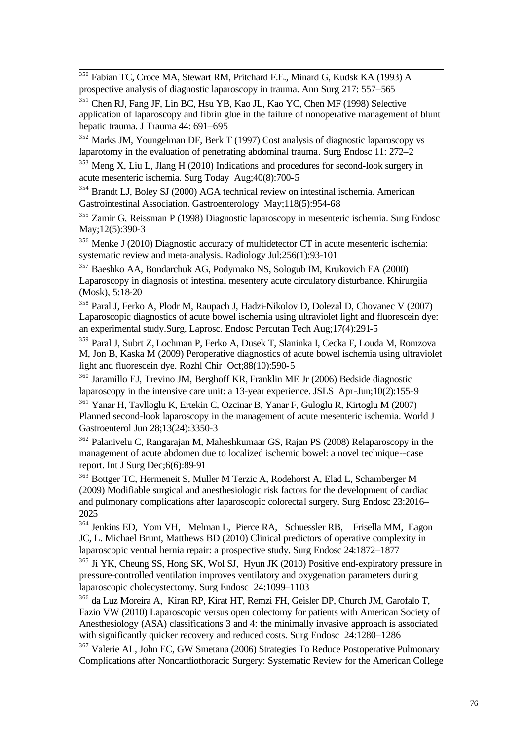l <sup>350</sup> Fabian TC, Croce MA, Stewart RM, Pritchard F.E., Minard G, Kudsk KA (1993) A prospective analysis of diagnostic laparoscopy in trauma. Ann Surg 217: 557–565

<sup>351</sup> Chen RJ, Fang JF, Lin BC, Hsu YB, Kao JL, Kao YC, Chen MF (1998) Selective application of laparoscopy and fibrin glue in the failure of nonoperative management of blunt hepatic trauma. J Trauma 44: 691–695

<sup>352</sup> Marks JM, Youngelman DF, Berk T (1997) Cost analysis of diagnostic laparoscopy vs laparotomy in the evaluation of penetrating abdominal trauma. Surg Endosc 11: 272–2

<sup>353</sup> Meng X, Liu L, Jlang H (2010) Indications and procedures for second-look surgery in acute mesenteric ischemia. Surg Today Aug;40(8):700-5

<sup>354</sup> Brandt LJ, Boley SJ (2000) AGA technical review on intestinal ischemia. American Gastrointestinal Association. Gastroenterology May;118(5):954-68

<sup>355</sup> Zamir G, Reissman P (1998) Diagnostic laparoscopy in mesenteric ischemia. Surg Endosc May;12(5):390-3

<sup>356</sup> Menke J (2010) Diagnostic accuracy of multidetector CT in acute mesenteric ischemia: systematic review and meta-analysis. Radiology Jul;256(1):93-101

<sup>357</sup> Baeshko AA, Bondarchuk AG, Podymako NS, Sologub IM, Krukovich EA (2000) Laparoscopy in diagnosis of intestinal mesentery acute circulatory disturbance. Khirurgiia (Mosk), 5:18-20

<sup>358</sup> Paral J, Ferko A, Plodr M, Raupach J, Hadzi-Nikolov D, Dolezal D, Chovanec V (2007) Laparoscopic diagnostics of acute bowel ischemia using ultraviolet light and fluorescein dye: an experimental study.Surg. Laprosc. Endosc Percutan Tech Aug;17(4):291-5

<sup>359</sup> Paral J, Subrt Z, Lochman P, Ferko A, Dusek T, Slaninka I, Cecka F, Louda M, Romzova M, Jon B, Kaska M (2009) Peroperative diagnostics of acute bowel ischemia using ultraviolet light and fluorescein dye. Rozhl Chir Oct;88(10):590-5

<sup>360</sup> Jaramillo EJ, Trevino JM, Berghoff KR, Franklin ME Jr (2006) Bedside diagnostic laparoscopy in the intensive care unit: a 13-year experience. JSLS Apr-Jun;10(2):155-9

<sup>361</sup> Yanar H, Tavlloglu K, Ertekin C, Ozcinar B, Yanar F, Guloglu R, Kirtoglu M (2007) Planned second-look laparoscopy in the management of acute mesenteric ischemia. World J Gastroenterol Jun 28;13(24):3350-3

<sup>362</sup> Palanivelu C, Rangarajan M, Maheshkumaar GS, Rajan PS (2008) Relaparoscopy in the management of acute abdomen due to localized ischemic bowel: a novel technique--case report. Int J Surg Dec;6(6):89-91

<sup>363</sup> Bottger TC, Hermeneit S, Muller M Terzic A, Rodehorst A, Elad L, Schamberger M (2009) Modifiable surgical and anesthesiologic risk factors for the development of cardiac and pulmonary complications after laparoscopic colorectal surgery. Surg Endosc 23:2016– 2025

<sup>364</sup> Jenkins ED, Yom VH, Melman L, Pierce RA, Schuessler RB, Frisella MM, Eagon JC, L. Michael Brunt, Matthews BD (2010) Clinical predictors of operative complexity in laparoscopic ventral hernia repair: a prospective study. Surg Endosc 24:1872–1877

<sup>365</sup> Ji YK, Cheung SS, Hong SK, Wol SJ, Hyun JK (2010) Positive end-expiratory pressure in pressure-controlled ventilation improves ventilatory and oxygenation parameters during laparoscopic cholecystectomy. Surg Endosc 24:1099–1103

<sup>366</sup> da Luz Moreira A, Kiran RP, Kirat HT, Remzi FH, Geisler DP, Church JM, Garofalo T, Fazio VW (2010) Laparoscopic versus open colectomy for patients with American Society of Anesthesiology (ASA) classifications 3 and 4: the minimally invasive approach is associated with significantly quicker recovery and reduced costs. Surg Endosc 24:1280–1286

<sup>367</sup> Valerie AL, John EC, GW Smetana (2006) Strategies To Reduce Postoperative Pulmonary Complications after Noncardiothoracic Surgery: Systematic Review for the American College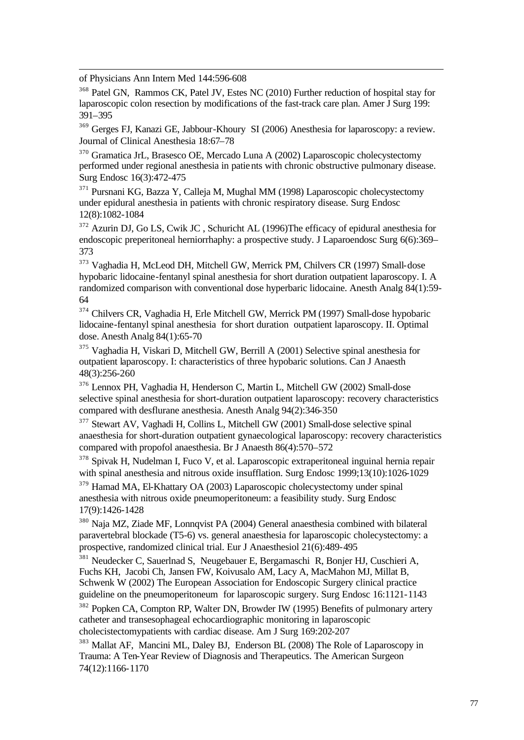of Physicians Ann Intern Med 144:596-608

l

<sup>368</sup> Patel GN, Rammos CK, Patel JV, Estes NC (2010) Further reduction of hospital stay for laparoscopic colon resection by modifications of the fast-track care plan. Amer J Surg 199: 391–395

<sup>369</sup> Gerges FJ, Kanazi GE, Jabbour-Khoury SI (2006) Anesthesia for laparoscopy: a review. Journal of Clinical Anesthesia 18:67–78

<sup>370</sup> Gramatica JrL, Brasesco OE, Mercado Luna A (2002) Laparoscopic cholecystectomy performed under regional anesthesia in patients with chronic obstructive pulmonary disease. Surg Endosc 16(3):472-475

<sup>371</sup> Pursnani KG, Bazza Y, Calleja M, Mughal MM (1998) Laparoscopic cholecystectomy under epidural anesthesia in patients with chronic respiratory disease. Surg Endosc 12(8):1082-1084

<sup>372</sup> Azurin DJ, Go LS, Cwik JC , Schuricht AL (1996)The efficacy of epidural anesthesia for endoscopic preperitoneal herniorrhaphy: a prospective study. J Laparoendosc Surg 6(6):369– 373

<sup>373</sup> Vaghadia H, McLeod DH, Mitchell GW, Merrick PM, Chilvers CR (1997) Small-dose hypobaric lidocaine-fentanyl spinal anesthesia for short duration outpatient laparoscopy. I. A randomized comparison with conventional dose hyperbaric lidocaine. Anesth Analg 84(1):59- 64

<sup>374</sup> Chilvers CR, Vaghadia H, Erle Mitchell GW, Merrick PM (1997) Small-dose hypobaric lidocaine-fentanyl spinal anesthesia for short duration outpatient laparoscopy. II. Optimal dose. Anesth Analg 84(1):65-70

<sup>375</sup> Vaghadia H, Viskari D, Mitchell GW, Berrill A (2001) Selective spinal anesthesia for outpatient laparoscopy. I: characteristics of three hypobaric solutions. Can J Anaesth 48(3):256-260

<sup>376</sup> Lennox PH, Vaghadia H, Henderson C, Martin L, Mitchell GW (2002) Small-dose selective spinal anesthesia for short-duration outpatient laparoscopy: recovery characteristics compared with desflurane anesthesia. Anesth Analg 94(2):346-350

<sup>377</sup> Stewart AV, Vaghadi H, Collins L, Mitchell GW (2001) Small-dose selective spinal anaesthesia for short-duration outpatient gynaecological laparoscopy: recovery characteristics compared with propofol anaesthesia. Br J Anaesth 86(4):570–572

<sup>378</sup> Spivak H, Nudelman I, Fuco V, et al. Laparoscopic extraperitoneal inguinal hernia repair with spinal anesthesia and nitrous oxide insufflation. Surg Endosc 1999;13(10):1026-1029

<sup>379</sup> Hamad MA, El-Khattary OA (2003) Laparoscopic cholecystectomy under spinal anesthesia with nitrous oxide pneumoperitoneum: a feasibility study. Surg Endosc 17(9):1426-1428

<sup>380</sup> Naja MZ, Ziade MF, Lonnqvist PA (2004) General anaesthesia combined with bilateral paravertebral blockade (T5-6) vs. general anaesthesia for laparoscopic cholecystectomy: a prospective, randomized clinical trial. Eur J Anaesthesiol 21(6):489-495

<sup>381</sup> Neudecker C, Sauerlnad S, Neugebauer E, Bergamaschi R, Bonjer HJ, Cuschieri A, Fuchs KH, Jacobi Ch, Jansen FW, Koivusalo AM, Lacy A, MacMahon MJ, Millat B, Schwenk W (2002) The European Association for Endoscopic Surgery clinical practice guideline on the pneumoperitoneum for laparoscopic surgery. Surg Endosc 16:1121-1143

<sup>382</sup> Popken CA, Compton RP, Walter DN, Browder IW (1995) Benefits of pulmonary artery catheter and transesophageal echocardiographic monitoring in laparoscopic cholecistectomypatients with cardiac disease. Am J Surg 169:202-207

<sup>383</sup> Mallat AF, Mancini ML, Daley BJ, Enderson BL (2008) The Role of Laparoscopy in Trauma: A Ten-Year Review of Diagnosis and Therapeutics. The American Surgeon 74(12):1166-1170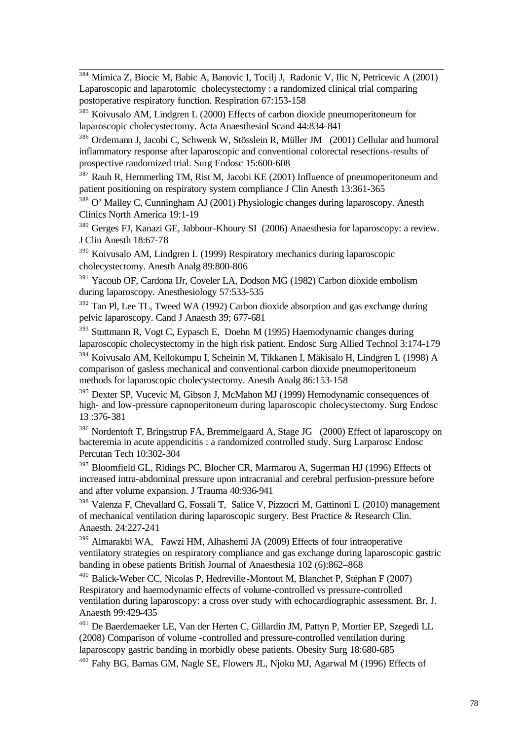l <sup>384</sup> Mimica Z, Biocic M, Babic A, Banovic I, Tocilj J, Radonic V, Ilic N, Petricevic A (2001) Laparoscopic and laparotomic cholecystectomy : a randomized clinical trial comparing postoperative respiratory function. Respiration 67:153-158

<sup>385</sup> Koivusalo AM, Lindgren L (2000) Effects of carbon dioxide pneumoperitoneum for laparoscopic cholecystectomy. Acta Anaesthesiol Scand 44:834-841

<sup>386</sup> Ordemann J, Jacobi C, Schwenk W, Stösslein R, Müller JM (2001) Cellular and humoral inflammatory response after laparoscopic and conventional colorectal resections-results of prospective randomized trial. Surg Endosc 15:600-608

<sup>387</sup> Rauh R, Hemmerling TM, Rist M, Jacobi KE (2001) Influence of pneumoperitoneum and patient positioning on respiratory system compliance J Clin Anesth 13:361-365

<sup>388</sup> O' Malley C, Cunningham AJ (2001) Physiologic changes during laparoscopy. Anesth Clinics North America 19:1-19

<sup>389</sup> Gerges FJ, Kanazi GE, Jabbour-Khoury SI (2006) Anaesthesia for laparoscopy: a review. J Clin Anesth 18:67-78

<sup>390</sup> Koivusalo AM, Lindgren L (1999) Respiratory mechanics during laparoscopic cholecystectomy. Anesth Analg 89:800-806

<sup>391</sup> Yacoub OF, Cardona IJr, Coveler LA, Dodson MG (1982) Carbon dioxide embolism during laparoscopy. Anesthesiology 57:533-535

<sup>392</sup> Tan Pl, Lee TL, Tweed WA (1992) Carbon dioxide absorption and gas exchange during pelvic laparoscopy. Cand J Anaesth 39; 677-681

<sup>393</sup> Stuttmann R, Vogt C, Eypasch E, Doehn M (1995) Haemodynamic changes during laparoscopic cholecystectomy in the high risk patient. Endosc Surg Allied Technol 3:174-179

<sup>394</sup> Koivusalo AM, Kellokumpu I, Scheinin M, Tikkanen I, Mäkisalo H, Lindgren L (1998) A comparison of gasless mechanical and conventional carbon dioxide pneumoperitoneum methods for laparoscopic cholecystectomy. Anesth Analg 86:153-158

<sup>395</sup> Dexter SP, Vucevic M, Gibson J, McMahon MJ (1999) Hemodynamic consequences of high- and low-pressure capnoperitoneum during laparoscopic cholecystectomy. Surg Endosc 13 :376-381

<sup>396</sup> Nordentoft T, Bringstrup FA, Bremmelgaard A, Stage JG (2000) Effect of laparoscopy on bacteremia in acute appendicitis : a randomized controlled study. Surg Larparosc Endosc Percutan Tech 10:302-304

<sup>397</sup> Bloomfield GL, Ridings PC, Blocher CR, Marmarou A, Sugerman HJ (1996) Effects of increased intra-abdominal pressure upon intracranial and cerebral perfusion-pressure before and after volume expansion. J Trauma 40:936-941

<sup>398</sup> Valenza F, Chevallard G, Fossali T, Salice V, Pizzocri M, Gattinoni L (2010) management of mechanical ventilation during laparoscopic surgery. Best Practice & Research Clin. Anaesth. 24:227-241

<sup>399</sup> Almarakbi WA, Fawzi HM, Alhashemi JA (2009) Effects of four intraoperative ventilatory strategies on respiratory compliance and gas exchange during laparoscopic gastric banding in obese patients British Journal of Anaesthesia 102 (6):862–868

<sup>400</sup> Balick-Weber CC, Nicolas P, Hedreville-Montout M, Blanchet P, Stéphan F (2007) Respiratory and haemodynamic effects of volume-controlled vs pressure-controlled ventilation during laparoscopy: a cross over study with echocardiographic assessment. Br. J. Anaesth 99:429-435

<sup>401</sup> De Baerdemaeker LE, Van der Herten C, Gillardin JM, Pattyn P, Mortier EP, Szegedi LL (2008) Comparison of volume -controlled and pressure-controlled ventilation during laparoscopy gastric banding in morbidly obese patients. Obesity Surg 18:680-685

<sup>402</sup> Fahy BG, Barnas GM, Nagle SE, Flowers JL, Njoku MJ, Agarwal M (1996) Effects of